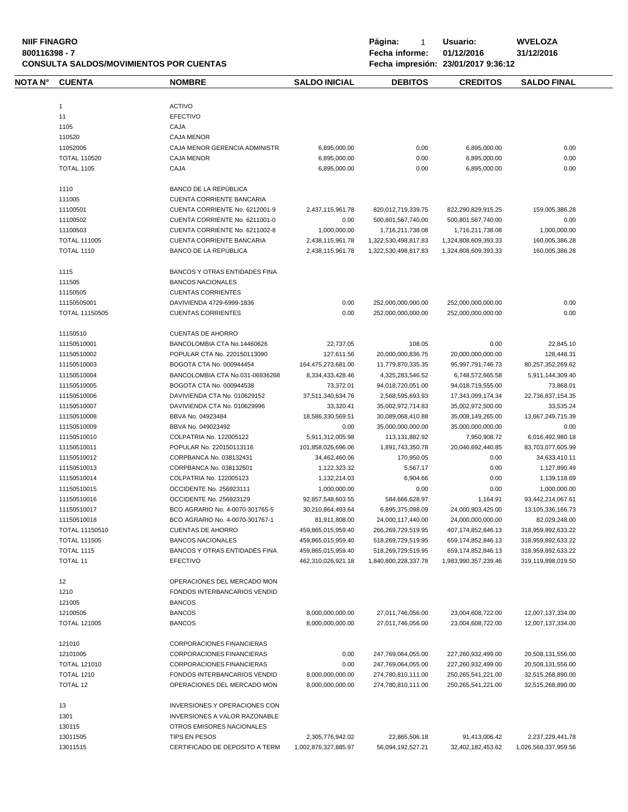**NIIF FINAGRO P á g i n a :** 1 **U s u a r i o : WVELOZA CONSULTA SALDOS/MOVIMIENTOS POR CUENTAS** 

| NOTA N° | <b>CUENTA</b>         | <b>NOMBRE</b>                        | <b>SALDO INICIAL</b> | <b>DEBITOS</b>       | <b>CREDITOS</b>        | <b>SALDO FINAL</b>    |
|---------|-----------------------|--------------------------------------|----------------------|----------------------|------------------------|-----------------------|
|         | $\mathbf{1}$          | <b>ACTIVO</b>                        |                      |                      |                        |                       |
|         | 11                    | <b>EFECTIVO</b>                      |                      |                      |                        |                       |
|         | 1105                  | CAJA                                 |                      |                      |                        |                       |
|         | 110520                | <b>CAJA MENOR</b>                    |                      |                      |                        |                       |
|         | 11052005              | CAJA MENOR GERENCIA ADMINISTR        | 6,895,000.00         | 0.00                 | 6,895,000.00           | 0.00                  |
|         | <b>TOTAL 110520</b>   | <b>CAJA MENOR</b>                    | 6,895,000.00         | 0.00                 | 6,895,000.00           | 0.00                  |
|         |                       |                                      |                      |                      |                        |                       |
|         | <b>TOTAL 1105</b>     | CAJA                                 | 6,895,000.00         | 0.00                 | 6,895,000.00           | 0.00                  |
|         | 1110                  | BANCO DE LA REPÚBLICA                |                      |                      |                        |                       |
|         | 111005                | <b>CUENTA CORRIENTE BANCARIA</b>     |                      |                      |                        |                       |
|         | 11100501              | CUENTA CORRIENTE No. 6212001-9       | 2,437,115,961.78     | 820,012,719,339.75   | 822,290,829,915.25     | 159,005,386.28        |
|         | 11100502              | CUENTA CORRIENTE No. 6211001-0       | 0.00                 | 500,801,567,740.00   | 500,801,567,740.00     | 0.00                  |
|         | 11100503              | CUENTA CORRIENTE No. 6211002-8       | 1,000,000.00         | 1,716,211,738.08     | 1,716,211,738.08       | 1,000,000.00          |
|         | <b>TOTAL 111005</b>   | <b>CUENTA CORRIENTE BANCARIA</b>     | 2,438,115,961.78     | 1,322,530,498,817.83 | 1,324,808,609,393.33   | 160,005,386.28        |
|         | <b>TOTAL 1110</b>     | BANCO DE LA REPÚBLICA                | 2,438,115,961.78     | 1,322,530,498,817.83 | 1,324,808,609,393.33   | 160,005,386.28        |
|         | 1115                  | <b>BANCOS Y OTRAS ENTIDADES FINA</b> |                      |                      |                        |                       |
|         | 111505                | <b>BANCOS NACIONALES</b>             |                      |                      |                        |                       |
|         | 11150505              | <b>CUENTAS CORRIENTES</b>            |                      |                      |                        |                       |
|         | 11150505001           | DAVIVIENDA 4729-6999-1836            | 0.00                 | 252,000,000,000.00   | 252,000,000,000.00     | 0.00                  |
|         |                       | <b>CUENTAS CORRIENTES</b>            |                      |                      |                        |                       |
|         | <b>TOTAL 11150505</b> |                                      | 0.00                 | 252,000,000,000.00   | 252,000,000,000.00     | 0.00                  |
|         | 11150510              | <b>CUENTAS DE AHORRO</b>             |                      |                      |                        |                       |
|         | 11150510001           | BANCOLOMBIA CTA No.14460626          | 22,737.05            | 108.05               | 0.00                   | 22,845.10             |
|         | 11150510002           | POPULAR CTA No. 220150113090         | 127,611.56           | 20,000,000,836.75    | 20,000,000,000.00      | 128,448.31            |
|         | 11150510003           | BOGOTA CTA No. 000944454             | 164,475,273,681.00   | 11,779,870,335.35    | 95,997,791,746.73      | 80,257,352,269.62     |
|         | 11150510004           | BANCOLOMBIA CTA No.031-06936268      | 8,334,433,428.46     | 4,325,283,546.52     | 6,748,572,665.58       | 5,911,144,309.40      |
|         | 11150510005           | BOGOTA CTA No. 000944538             | 73,372.01            | 94,018,720,051.00    | 94,018,719,555.00      | 73,868.01             |
|         | 11150510006           | DAVIVIENDA CTA No. 010629152         | 37,511,340,634.76    | 2,568,595,693.93     | 17,343,099,174.34      | 22,736,837,154.35     |
|         | 11150510007           | DAVIVIENDA CTA No. 010629996         | 33,320.41            | 35,002,972,714.83    | 35,002,972,500.00      | 33,535.24             |
|         | 11150510008           | BBVA No. 04923484                    | 18,586,330,569.51    | 30,089,068,410.88    | 35,008,149,265.00      | 13,667,249,715.39     |
|         | 11150510009           | BBVA No. 049023492                   | 0.00                 | 35,000,000,000.00    | 35,000,000,000.00      | 0.00                  |
|         | 11150510010           | COLPATRIA No. 122005122              | 5,911,312,005.98     | 113,131,882.92       | 7,950,908.72           | 6,016,492,980.18      |
|         | 11150510011           | POPULAR No. 220150113116             | 101,858,026,696.06   | 1,891,743,350.78     | 20,046,692,440.85      | 83,703,077,605.99     |
|         | 11150510012           | CORPBANCA No. 038132431              | 34,462,460.06        | 170,950.05           | 0.00                   | 34,633,410.11         |
|         | 11150510013           | CORPBANCA No. 038132601              | 1,122,323.32         | 5,567.17             | 0.00                   | 1,127,890.49          |
|         | 11150510014           | COLPATRIA No. 122005123              | 1,132,214.03         | 6,904.66             | 0.00                   | 1,139,118.69          |
|         | 11150510015           | OCCIDENTE No. 256923111              | 1,000,000.00         | 0.00                 | 0.00                   | 1,000,000.00          |
|         | 11150510016           | OCCIDENTE No. 256923129              | 92,857,548,603.55    | 584,666,628.97       | 1,164.91               | 93,442,214,067.61     |
|         | 11150510017           | BCO AGRARIO No. 4-0070-301765-5      | 30,210,864,493.64    | 6,895,375,098.09     | 24,000,903,425.00      | 13, 105, 336, 166. 73 |
|         | 11150510018           | BCO AGRARIO No. 4-0070-301767-1      | 81,911,808.00        | 24,000,117,440.00    | 24,000,000,000.00      | 82,029,248.00         |
|         | TOTAL 11150510        | <b>CUENTAS DE AHORRO</b>             | 459,865,015,959.40   | 266,269,729,519.95   | 407,174,852,846.13     | 318,959,892,633.22    |
|         | <b>TOTAL 111505</b>   | <b>BANCOS NACIONALES</b>             | 459,865,015,959.40   | 518,269,729,519.95   | 659, 174, 852, 846. 13 | 318,959,892,633.22    |
|         | <b>TOTAL 1115</b>     | BANCOS Y OTRAS ENTIDADES FINA        | 459,865,015,959.40   | 518,269,729,519.95   | 659, 174, 852, 846. 13 | 318,959,892,633.22    |
|         | <b>TOTAL 11</b>       | <b>EFECTIVO</b>                      | 462,310,026,921.18   | 1,840,800,228,337.78 | 1,983,990,357,239.46   | 319,119,898,019.50    |
|         |                       |                                      |                      |                      |                        |                       |
|         | 12                    | OPERACIONES DEL MERCADO MON          |                      |                      |                        |                       |
|         | 1210                  | FONDOS INTERBANCARIOS VENDID         |                      |                      |                        |                       |
|         | 121005                | <b>BANCOS</b>                        |                      |                      |                        |                       |
|         | 12100505              | <b>BANCOS</b>                        | 8,000,000,000.00     | 27,011,746,056.00    | 23,004,608,722.00      | 12,007,137,334.00     |
|         | <b>TOTAL 121005</b>   | <b>BANCOS</b>                        | 8,000,000,000.00     | 27,011,746,056.00    | 23,004,608,722.00      | 12,007,137,334.00     |
|         | 121010                | <b>CORPORACIONES FINANCIERAS</b>     |                      |                      |                        |                       |
|         | 12101005              | <b>CORPORACIONES FINANCIERAS</b>     | 0.00                 | 247,769,064,055.00   | 227,260,932,499.00     | 20,508,131,556.00     |
|         | <b>TOTAL 121010</b>   | CORPORACIONES FINANCIERAS            | 0.00                 | 247,769,064,055.00   | 227,260,932,499.00     | 20,508,131,556.00     |
|         | <b>TOTAL 1210</b>     | FONDOS INTERBANCARIOS VENDID         | 8,000,000,000.00     | 274,780,810,111.00   | 250, 265, 541, 221.00  | 32,515,268,890.00     |
|         | TOTAL 12              | OPERACIONES DEL MERCADO MON          | 8,000,000,000.00     | 274,780,810,111.00   | 250, 265, 541, 221.00  | 32,515,268,890.00     |
|         |                       |                                      |                      |                      |                        |                       |
|         | 13                    | INVERSIONES Y OPERACIONES CON        |                      |                      |                        |                       |
|         | 1301                  | INVERSIONES A VALOR RAZONABLE        |                      |                      |                        |                       |
|         | 130115                | OTROS EMISORES NACIONALES            |                      |                      |                        |                       |
|         | 13011505              | TIPS EN PESOS                        | 2,305,776,942.02     | 22,865,506.18        | 91,413,006.42          | 2,237,229,441.78      |
|         | 13011515              | CERTIFICADO DE DEPOSITO A TERM       | 1,002,876,327,885.97 | 56,094,192,527.21    | 32,402,182,453.62      | 1,026,568,337,959.56  |
|         |                       |                                      |                      |                      |                        |                       |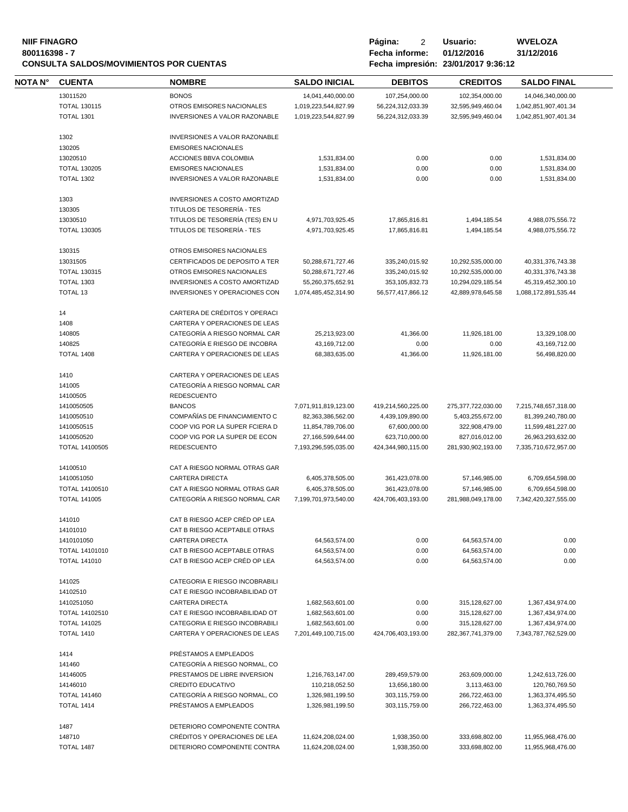# **NIIF FINAGRO P á g i n a :** 2 **U s u a r i o : WVELOZA CONSULTA SALDOS/MOVIMIENTOS POR CUENTAS**

| <b>NOTA N°</b> | <b>CUENTA</b>                | <b>NOMBRE</b>                                   | <b>SALDO INICIAL</b>           | <b>DEBITOS</b>     | <b>CREDITOS</b>                | <b>SALDO FINAL</b>   |  |
|----------------|------------------------------|-------------------------------------------------|--------------------------------|--------------------|--------------------------------|----------------------|--|
|                | 13011520                     | <b>BONOS</b>                                    | 14,041,440,000.00              | 107,254,000.00     | 102,354,000.00                 | 14,046,340,000.00    |  |
|                | <b>TOTAL 130115</b>          | OTROS EMISORES NACIONALES                       | 1,019,223,544,827.99           | 56,224,312,033.39  | 32,595,949,460.04              | 1,042,851,907,401.34 |  |
|                | <b>TOTAL 1301</b>            | INVERSIONES A VALOR RAZONABLE                   | 1,019,223,544,827.99           | 56,224,312,033.39  | 32,595,949,460.04              | 1,042,851,907,401.34 |  |
|                |                              |                                                 |                                |                    |                                |                      |  |
|                | 1302                         | INVERSIONES A VALOR RAZONABLE                   |                                |                    |                                |                      |  |
|                | 130205                       | <b>EMISORES NACIONALES</b>                      |                                |                    |                                |                      |  |
|                | 13020510                     | ACCIONES BBVA COLOMBIA                          | 1,531,834.00                   | 0.00               | 0.00                           | 1,531,834.00         |  |
|                | <b>TOTAL 130205</b>          | <b>EMISORES NACIONALES</b>                      | 1,531,834.00                   | 0.00               | 0.00                           | 1,531,834.00         |  |
|                | <b>TOTAL 1302</b>            | INVERSIONES A VALOR RAZONABLE                   | 1,531,834.00                   | 0.00               | 0.00                           | 1,531,834.00         |  |
|                |                              |                                                 |                                |                    |                                |                      |  |
|                | 1303                         | INVERSIONES A COSTO AMORTIZAD                   |                                |                    |                                |                      |  |
|                | 130305                       | TITULOS DE TESORERÍA - TES                      |                                |                    |                                |                      |  |
|                | 13030510                     | TITULOS DE TESORERÍA (TES) EN U                 | 4,971,703,925.45               | 17,865,816.81      | 1,494,185.54                   | 4,988,075,556.72     |  |
|                | <b>TOTAL 130305</b>          | TITULOS DE TESORERÍA - TES                      | 4,971,703,925.45               | 17,865,816.81      | 1,494,185.54                   | 4,988,075,556.72     |  |
|                |                              |                                                 |                                |                    |                                |                      |  |
|                | 130315                       | OTROS EMISORES NACIONALES                       |                                |                    |                                |                      |  |
|                | 13031505                     | CERTIFICADOS DE DEPOSITO A TER                  | 50,288,671,727.46              | 335,240,015.92     | 10,292,535,000.00              | 40,331,376,743.38    |  |
|                | <b>TOTAL 130315</b>          | OTROS EMISORES NACIONALES                       | 50,288,671,727.46              | 335,240,015.92     | 10,292,535,000.00              | 40,331,376,743.38    |  |
|                | <b>TOTAL 1303</b>            | <b>INVERSIONES A COSTO AMORTIZAD</b>            | 55,260,375,652.91              | 353, 105, 832. 73  | 10,294,029,185.54              | 45,319,452,300.10    |  |
|                | TOTAL 13                     | <b>INVERSIONES Y OPERACIONES CON</b>            | 1,074,485,452,314.90           | 56,577,417,866.12  | 42,889,978,645.58              | 1,088,172,891,535.44 |  |
|                | 14                           | CARTERA DE CRÉDITOS Y OPERACI                   |                                |                    |                                |                      |  |
|                | 1408                         | CARTERA Y OPERACIONES DE LEAS                   |                                |                    |                                |                      |  |
|                |                              | CATEGORÍA A RIESGO NORMAL CAR                   |                                |                    |                                | 13,329,108.00        |  |
|                | 140805                       |                                                 | 25,213,923.00                  | 41,366.00          | 11,926,181.00                  |                      |  |
|                | 140825                       | CATEGORÍA E RIESGO DE INCOBRA                   | 43,169,712.00                  | 0.00               | 0.00                           | 43,169,712.00        |  |
|                | <b>TOTAL 1408</b>            | CARTERA Y OPERACIONES DE LEAS                   | 68,383,635.00                  | 41,366.00          | 11,926,181.00                  | 56,498,820.00        |  |
|                | 1410                         | CARTERA Y OPERACIONES DE LEAS                   |                                |                    |                                |                      |  |
|                | 141005                       | CATEGORÍA A RIESGO NORMAL CAR                   |                                |                    |                                |                      |  |
|                | 14100505                     | <b>REDESCUENTO</b>                              |                                |                    |                                |                      |  |
|                | 1410050505                   | <b>BANCOS</b>                                   | 7,071,911,819,123.00           | 419,214,560,225.00 | 275,377,722,030.00             | 7,215,748,657,318.00 |  |
|                | 1410050510                   | COMPAÑÍAS DE FINANCIAMIENTO C                   | 82,363,386,562.00              | 4,439,109,890.00   | 5,403,255,672.00               | 81,399,240,780.00    |  |
|                | 1410050515                   | COOP VIG POR LA SUPER FCIERA D                  | 11,854,789,706.00              | 67,600,000.00      | 322,908,479.00                 | 11,599,481,227.00    |  |
|                | 1410050520                   | COOP VIG POR LA SUPER DE ECON                   | 27,166,599,644.00              | 623,710,000.00     | 827,016,012.00                 | 26,963,293,632.00    |  |
|                | <b>TOTAL 14100505</b>        | <b>REDESCUENTO</b>                              | 7,193,296,595,035.00           | 424,344,980,115.00 | 281,930,902,193.00             | 7,335,710,672,957.00 |  |
|                |                              |                                                 |                                |                    |                                |                      |  |
|                | 14100510                     | CAT A RIESGO NORMAL OTRAS GAR                   |                                |                    |                                |                      |  |
|                | 1410051050                   | CARTERA DIRECTA                                 | 6,405,378,505.00               | 361,423,078.00     | 57,146,985.00                  | 6,709,654,598.00     |  |
|                | TOTAL 14100510               | CAT A RIESGO NORMAL OTRAS GAR                   | 6,405,378,505.00               | 361,423,078.00     | 57,146,985.00                  | 6,709,654,598.00     |  |
|                | <b>TOTAL 141005</b>          | CATEGORÍA A RIESGO NORMAL CAR                   | 7,199,701,973,540.00           | 424,706,403,193.00 | 281,988,049,178.00             | 7,342,420,327,555.00 |  |
|                | 141010                       | CAT B RIESGO ACEP CRÉD OP LEA                   |                                |                    |                                |                      |  |
|                | 14101010                     | CAT B RIESGO ACEPTABLE OTRAS                    |                                |                    |                                |                      |  |
|                |                              |                                                 |                                |                    |                                |                      |  |
|                | 1410101050<br>TOTAL 14101010 | CARTERA DIRECTA<br>CAT B RIESGO ACEPTABLE OTRAS | 64,563,574.00<br>64,563,574.00 | 0.00               | 64,563,574.00<br>64,563,574.00 | 0.00<br>0.00         |  |
|                | <b>TOTAL 141010</b>          | CAT B RIESGO ACEP CRÉD OP LEA                   | 64,563,574.00                  | 0.00<br>0.00       | 64,563,574.00                  | 0.00                 |  |
|                |                              |                                                 |                                |                    |                                |                      |  |
|                | 141025                       | CATEGORIA E RIESGO INCOBRABILI                  |                                |                    |                                |                      |  |
|                | 14102510                     | CAT E RIESGO INCOBRABILIDAD OT                  |                                |                    |                                |                      |  |
|                | 1410251050                   | <b>CARTERA DIRECTA</b>                          | 1,682,563,601.00               | 0.00               | 315,128,627.00                 | 1,367,434,974.00     |  |
|                | TOTAL 14102510               | CAT E RIESGO INCOBRABILIDAD OT                  | 1,682,563,601.00               | 0.00               | 315,128,627.00                 | 1,367,434,974.00     |  |
|                | <b>TOTAL 141025</b>          | CATEGORIA E RIESGO INCOBRABILI                  | 1,682,563,601.00               | 0.00               | 315,128,627.00                 | 1,367,434,974.00     |  |
|                | <b>TOTAL 1410</b>            | CARTERA Y OPERACIONES DE LEAS                   | 7,201,449,100,715.00           | 424,706,403,193.00 | 282, 367, 741, 379.00          | 7,343,787,762,529.00 |  |
|                |                              |                                                 |                                |                    |                                |                      |  |
|                | 1414                         | PRÉSTAMOS A EMPLEADOS                           |                                |                    |                                |                      |  |
|                | 141460                       | CATEGORÍA A RIESGO NORMAL, CO                   |                                |                    |                                |                      |  |
|                | 14146005                     | PRESTAMOS DE LIBRE INVERSION                    | 1,216,763,147.00               | 289,459,579.00     | 263,609,000.00                 | 1,242,613,726.00     |  |
|                | 14146010                     | CREDITO EDUCATIVO                               | 110,218,052.50                 | 13,656,180.00      | 3,113,463.00                   | 120,760,769.50       |  |
|                | <b>TOTAL 141460</b>          | CATEGORÍA A RIESGO NORMAL, CO                   | 1,326,981,199.50               | 303,115,759.00     | 266,722,463.00                 | 1,363,374,495.50     |  |
|                | <b>TOTAL 1414</b>            | PRÉSTAMOS A EMPLEADOS                           | 1,326,981,199.50               | 303,115,759.00     | 266,722,463.00                 | 1,363,374,495.50     |  |
|                | 1487                         | DETERIORO COMPONENTE CONTRA                     |                                |                    |                                |                      |  |
|                | 148710                       | CRÉDITOS Y OPERACIONES DE LEA                   | 11,624,208,024.00              | 1,938,350.00       | 333,698,802.00                 | 11,955,968,476.00    |  |
|                | TOTAL 1487                   | DETERIORO COMPONENTE CONTRA                     | 11,624,208,024.00              | 1,938,350.00       | 333,698,802.00                 | 11,955,968,476.00    |  |
|                |                              |                                                 |                                |                    |                                |                      |  |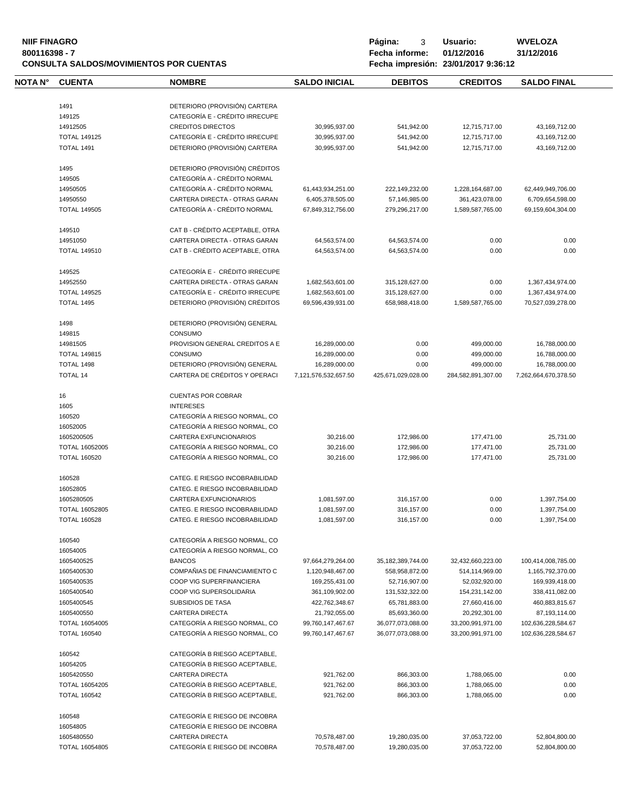# **NIIF FINAGRO P á g i n a :** 3 **U s u a r i o : WVELOZA CONSULTA SALDOS/MOVIMIENTOS POR CUENTAS**

**8** Fecha informe: 01/12/2016<br>**Fecha impresión: 23/01/2017** 9:36:12

| NOTA N° | <b>CUENTA</b>       | <b>NOMBRE</b>                   | <b>SALDO INICIAL</b> | <b>DEBITOS</b>       | <b>CREDITOS</b>    | <b>SALDO FINAL</b>   |
|---------|---------------------|---------------------------------|----------------------|----------------------|--------------------|----------------------|
|         | 1491                | DETERIORO (PROVISIÓN) CARTERA   |                      |                      |                    |                      |
|         | 149125              | CATEGORÍA E - CRÉDITO IRRECUPE  |                      |                      |                    |                      |
|         | 14912505            | <b>CREDITOS DIRECTOS</b>        | 30,995,937.00        | 541,942.00           | 12,715,717.00      | 43,169,712.00        |
|         | <b>TOTAL 149125</b> | CATEGORÍA E - CRÉDITO IRRECUPE  | 30,995,937.00        | 541,942.00           | 12,715,717.00      | 43,169,712.00        |
|         | <b>TOTAL 1491</b>   | DETERIORO (PROVISIÓN) CARTERA   | 30,995,937.00        | 541,942.00           | 12,715,717.00      | 43,169,712.00        |
|         |                     |                                 |                      |                      |                    |                      |
|         | 1495                | DETERIORO (PROVISIÓN) CRÉDITOS  |                      |                      |                    |                      |
|         | 149505              | CATEGORÍA A - CRÉDITO NORMAL    |                      |                      |                    |                      |
|         | 14950505            | CATEGORÍA A - CRÉDITO NORMAL    | 61,443,934,251.00    | 222,149,232.00       | 1,228,164,687.00   | 62,449,949,706.00    |
|         | 14950550            | CARTERA DIRECTA - OTRAS GARAN   | 6,405,378,505.00     | 57,146,985.00        | 361,423,078.00     | 6,709,654,598.00     |
|         | <b>TOTAL 149505</b> | CATEGORÍA A - CRÉDITO NORMAL    | 67,849,312,756.00    | 279,296,217.00       | 1,589,587,765.00   | 69,159,604,304.00    |
|         | 149510              | CAT B - CRÉDITO ACEPTABLE, OTRA |                      |                      |                    |                      |
|         | 14951050            | CARTERA DIRECTA - OTRAS GARAN   | 64,563,574.00        | 64,563,574.00        | 0.00               | 0.00                 |
|         | <b>TOTAL 149510</b> | CAT B - CRÉDITO ACEPTABLE, OTRA | 64,563,574.00        | 64,563,574.00        | 0.00               | 0.00                 |
|         | 149525              | CATEGORÍA E - CRÉDITO IRRECUPE  |                      |                      |                    |                      |
|         | 14952550            | CARTERA DIRECTA - OTRAS GARAN   | 1,682,563,601.00     | 315,128,627.00       | 0.00               | 1,367,434,974.00     |
|         | <b>TOTAL 149525</b> | CATEGORÍA E - CRÉDITO IRRECUPE  | 1,682,563,601.00     | 315,128,627.00       | 0.00               | 1,367,434,974.00     |
|         | <b>TOTAL 1495</b>   | DETERIORO (PROVISIÓN) CRÉDITOS  | 69,596,439,931.00    | 658.988.418.00       | 1,589,587,765.00   | 70,527,039,278.00    |
|         |                     |                                 |                      |                      |                    |                      |
|         | 1498                | DETERIORO (PROVISIÓN) GENERAL   |                      |                      |                    |                      |
|         | 149815              | CONSUMO                         |                      |                      |                    |                      |
|         | 14981505            | PROVISION GENERAL CREDITOS A E  | 16,289,000.00        | 0.00                 | 499,000.00         | 16,788,000.00        |
|         | <b>TOTAL 149815</b> | CONSUMO                         | 16,289,000.00        | 0.00                 | 499,000.00         | 16,788,000.00        |
|         | <b>TOTAL 1498</b>   | DETERIORO (PROVISIÓN) GENERAL   | 16,289,000.00        | 0.00                 | 499,000.00         | 16,788,000.00        |
|         | <b>TOTAL 14</b>     | CARTERA DE CRÉDITOS Y OPERACI   | 7,121,576,532,657.50 | 425,671,029,028.00   | 284,582,891,307.00 | 7,262,664,670,378.50 |
|         | 16                  | <b>CUENTAS POR COBRAR</b>       |                      |                      |                    |                      |
|         | 1605                | <b>INTERESES</b>                |                      |                      |                    |                      |
|         | 160520              | CATEGORÍA A RIESGO NORMAL, CO   |                      |                      |                    |                      |
|         | 16052005            | CATEGORÍA A RIESGO NORMAL, CO   |                      |                      |                    |                      |
|         | 1605200505          | CARTERA EXFUNCIONARIOS          | 30,216.00            | 172,986.00           | 177,471.00         | 25,731.00            |
|         | TOTAL 16052005      | CATEGORÍA A RIESGO NORMAL, CO   | 30,216.00            | 172,986.00           | 177,471.00         | 25,731.00            |
|         | <b>TOTAL 160520</b> | CATEGORÍA A RIESGO NORMAL, CO   | 30,216.00            | 172,986.00           | 177,471.00         | 25,731.00            |
|         | 160528              | CATEG. E RIESGO INCOBRABILIDAD  |                      |                      |                    |                      |
|         | 16052805            | CATEG. E RIESGO INCOBRABILIDAD  |                      |                      |                    |                      |
|         | 1605280505          | CARTERA EXFUNCIONARIOS          |                      |                      | 0.00               |                      |
|         |                     |                                 | 1,081,597.00         | 316, 157.00          |                    | 1,397,754.00         |
|         | TOTAL 16052805      | CATEG. E RIESGO INCOBRABILIDAD  | 1,081,597.00         | 316, 157.00          | 0.00               | 1,397,754.00         |
|         | <b>TOTAL 160528</b> | CATEG. E RIESGO INCOBRABILIDAD  | 1,081,597.00         | 316,157.00           | 0.00               | 1,397,754.00         |
|         | 160540              | CATEGORÍA A RIESGO NORMAL, CO   |                      |                      |                    |                      |
|         | 16054005            | CATEGORÍA A RIESGO NORMAL, CO   |                      |                      |                    |                      |
|         | 1605400525          | <b>BANCOS</b>                   | 97,664,279,264.00    | 35, 182, 389, 744.00 | 32,432,660,223.00  | 100,414,008,785.00   |
|         | 1605400530          | COMPAÑIAS DE FINANCIAMIENTO C   | 1,120,948,467.00     | 558,958,872.00       | 514,114,969.00     | 1,165,792,370.00     |
|         | 1605400535          | COOP VIG SUPERFINANCIERA        | 169,255,431.00       | 52,716,907.00        | 52,032,920.00      | 169,939,418.00       |
|         | 1605400540          | COOP VIG SUPERSOLIDARIA         | 361,109,902.00       | 131,532,322.00       | 154,231,142.00     | 338,411,082.00       |
|         | 1605400545          | <b>SUBSIDIOS DE TASA</b>        | 422,762,348.67       | 65,781,883.00        | 27,660,416.00      | 460,883,815.67       |
|         | 1605400550          | <b>CARTERA DIRECTA</b>          | 21,792,055.00        | 85,693,360.00        | 20,292,301.00      | 87,193,114.00        |
|         | TOTAL 16054005      | CATEGORÍA A RIESGO NORMAL, CO   | 99,760,147,467.67    | 36,077,073,088.00    | 33,200,991,971.00  | 102,636,228,584.67   |
|         | <b>TOTAL 160540</b> | CATEGORÍA A RIESGO NORMAL, CO   | 99,760,147,467.67    | 36,077,073,088.00    | 33,200,991,971.00  | 102,636,228,584.67   |
|         | 160542              | CATEGORÍA B RIESGO ACEPTABLE,   |                      |                      |                    |                      |
|         | 16054205            | CATEGORÍA B RIESGO ACEPTABLE,   |                      |                      |                    |                      |
|         | 1605420550          | <b>CARTERA DIRECTA</b>          | 921,762.00           | 866,303.00           | 1,788,065.00       | 0.00                 |
|         | TOTAL 16054205      | CATEGORÍA B RIESGO ACEPTABLE,   | 921,762.00           | 866,303.00           | 1,788,065.00       | 0.00                 |
|         | <b>TOTAL 160542</b> | CATEGORÍA B RIESGO ACEPTABLE,   | 921,762.00           | 866,303.00           | 1,788,065.00       | 0.00                 |
|         |                     | CATEGORÍA E RIESGO DE INCOBRA   |                      |                      |                    |                      |
|         | 160548              |                                 |                      |                      |                    |                      |
|         | 16054805            | CATEGORÍA E RIESGO DE INCOBRA   |                      |                      |                    |                      |
|         | 1605480550          | <b>CARTERA DIRECTA</b>          | 70,578,487.00        | 19,280,035.00        | 37,053,722.00      | 52,804,800.00        |
|         | TOTAL 16054805      | CATEGORÍA E RIESGO DE INCOBRA   | 70,578,487.00        | 19,280,035.00        | 37,053,722.00      | 52,804,800.00        |
|         |                     |                                 |                      |                      |                    |                      |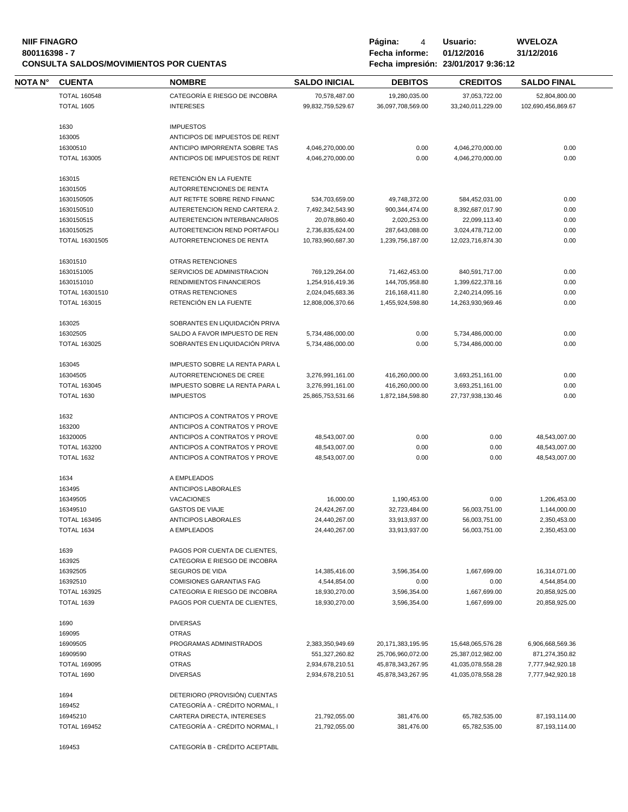# **NIIF FINAGRO P á g i n a :** 4 **U s u a r i o : WVELOZA CONSULTA SALDOS/MOVIMIENTOS POR CUENTAS**

| <b>NOTA N°</b> | <b>CUENTA</b>       | <b>NOMBRE</b>                   | <b>SALDO INICIAL</b> | <b>DEBITOS</b>        | <b>CREDITOS</b>   | <b>SALDO FINAL</b> |
|----------------|---------------------|---------------------------------|----------------------|-----------------------|-------------------|--------------------|
|                | <b>TOTAL 160548</b> | CATEGORÍA E RIESGO DE INCOBRA   | 70,578,487.00        | 19,280,035.00         | 37,053,722.00     | 52,804,800.00      |
|                | <b>TOTAL 1605</b>   | <b>INTERESES</b>                | 99,832,759,529.67    | 36,097,708,569.00     | 33,240,011,229.00 | 102,690,456,869.67 |
|                |                     |                                 |                      |                       |                   |                    |
|                | 1630                | <b>IMPUESTOS</b>                |                      |                       |                   |                    |
|                | 163005              | ANTICIPOS DE IMPUESTOS DE RENT  |                      |                       |                   |                    |
|                | 16300510            | ANTICIPO IMPORRENTA SOBRE TAS   | 4,046,270,000.00     | 0.00                  | 4,046,270,000.00  | 0.00               |
|                | <b>TOTAL 163005</b> | ANTICIPOS DE IMPUESTOS DE RENT  | 4,046,270,000.00     | 0.00                  | 4,046,270,000.00  | 0.00               |
|                | 163015              | RETENCIÓN EN LA FUENTE          |                      |                       |                   |                    |
|                | 16301505            | AUTORRETENCIONES DE RENTA       |                      |                       |                   |                    |
|                | 1630150505          | AUT RETFTE SOBRE REND FINANC    | 534,703,659.00       | 49,748,372.00         | 584,452,031.00    | 0.00               |
|                | 1630150510          | AUTERETENCION REND CARTERA 2.   | 7,492,342,543.90     | 900, 344, 474.00      | 8,392,687,017.90  | 0.00               |
|                | 1630150515          | AUTERETENCION INTERBANCARIOS    | 20,078,860.40        | 2,020,253.00          | 22,099,113.40     | 0.00               |
|                | 1630150525          | AUTORETENCION REND PORTAFOLI    | 2,736,835,624.00     | 287,643,088.00        | 3,024,478,712.00  | 0.00               |
|                | TOTAL 16301505      | AUTORRETENCIONES DE RENTA       | 10,783,960,687.30    | 1,239,756,187.00      | 12,023,716,874.30 | 0.00               |
|                | 16301510            | OTRAS RETENCIONES               |                      |                       |                   |                    |
|                | 1630151005          | SERVICIOS DE ADMINISTRACION     | 769,129,264.00       | 71,462,453.00         | 840,591,717.00    | 0.00               |
|                | 1630151010          | RENDIMIENTOS FINANCIEROS        | 1,254,916,419.36     | 144,705,958.80        | 1,399,622,378.16  | 0.00               |
|                | TOTAL 16301510      | OTRAS RETENCIONES               | 2,024,045,683.36     | 216,168,411.80        | 2,240,214,095.16  | 0.00               |
|                | <b>TOTAL 163015</b> | RETENCIÓN EN LA FUENTE          | 12,808,006,370.66    | 1,455,924,598.80      | 14,263,930,969.46 | 0.00               |
|                | 163025              | SOBRANTES EN LIQUIDACIÓN PRIVA  |                      |                       |                   |                    |
|                | 16302505            | SALDO A FAVOR IMPUESTO DE REN   | 5,734,486,000.00     | 0.00                  | 5,734,486,000.00  | 0.00               |
|                | <b>TOTAL 163025</b> | SOBRANTES EN LIQUIDACIÓN PRIVA  | 5,734,486,000.00     | 0.00                  | 5,734,486,000.00  | 0.00               |
|                | 163045              | IMPUESTO SOBRE LA RENTA PARA L  |                      |                       |                   |                    |
|                | 16304505            | AUTORRETENCIONES DE CREE        | 3,276,991,161.00     | 416,260,000.00        | 3,693,251,161.00  | 0.00               |
|                | <b>TOTAL 163045</b> | IMPUESTO SOBRE LA RENTA PARA L  | 3,276,991,161.00     | 416,260,000.00        | 3,693,251,161.00  | 0.00               |
|                | <b>TOTAL 1630</b>   | <b>IMPUESTOS</b>                | 25,865,753,531.66    | 1,872,184,598.80      | 27,737,938,130.46 | 0.00               |
|                | 1632                | ANTICIPOS A CONTRATOS Y PROVE   |                      |                       |                   |                    |
|                | 163200              | ANTICIPOS A CONTRATOS Y PROVE   |                      |                       |                   |                    |
|                | 16320005            | ANTICIPOS A CONTRATOS Y PROVE   | 48,543,007.00        | 0.00                  | 0.00              | 48,543,007.00      |
|                | <b>TOTAL 163200</b> | ANTICIPOS A CONTRATOS Y PROVE   | 48,543,007.00        | 0.00                  | 0.00              | 48,543,007.00      |
|                | <b>TOTAL 1632</b>   | ANTICIPOS A CONTRATOS Y PROVE   | 48,543,007.00        | 0.00                  | 0.00              | 48,543,007.00      |
|                | 1634                | A EMPLEADOS                     |                      |                       |                   |                    |
|                | 163495              | ANTICIPOS LABORALES             |                      |                       |                   |                    |
|                | 16349505            | <b>VACACIONES</b>               | 16,000.00            | 1,190,453.00          | 0.00              | 1,206,453.00       |
|                | 16349510            | <b>GASTOS DE VIAJE</b>          | 24,424,267.00        | 32,723,484.00         | 56,003,751.00     | 1,144,000.00       |
|                | <b>TOTAL 163495</b> | ANTICIPOS LABORALES             | 24,440,267.00        | 33,913,937.00         | 56,003,751.00     | 2,350,453.00       |
|                | TOTAL 1634          | A EMPLEADOS                     | 24,440,267.00        | 33,913,937.00         | 56,003,751.00     | 2,350,453.00       |
|                | 1639                | PAGOS POR CUENTA DE CLIENTES.   |                      |                       |                   |                    |
|                | 163925              | CATEGORIA E RIESGO DE INCOBRA   |                      |                       |                   |                    |
|                | 16392505            | SEGUROS DE VIDA                 | 14,385,416.00        | 3,596,354.00          | 1,667,699.00      | 16,314,071.00      |
|                | 16392510            | <b>COMISIONES GARANTIAS FAG</b> | 4,544,854.00         | 0.00                  | 0.00              | 4,544,854.00       |
|                | <b>TOTAL 163925</b> | CATEGORIA E RIESGO DE INCOBRA   | 18,930,270.00        | 3,596,354.00          | 1,667,699.00      | 20,858,925.00      |
|                | <b>TOTAL 1639</b>   | PAGOS POR CUENTA DE CLIENTES.   | 18,930,270.00        | 3,596,354.00          | 1,667,699.00      | 20,858,925.00      |
|                | 1690                | <b>DIVERSAS</b>                 |                      |                       |                   |                    |
|                | 169095              | <b>OTRAS</b>                    |                      |                       |                   |                    |
|                | 16909505            | PROGRAMAS ADMINISTRADOS         | 2,383,350,949.69     | 20, 171, 383, 195. 95 | 15,648,065,576.28 | 6,906,668,569.36   |
|                | 16909590            | <b>OTRAS</b>                    | 551,327,260.82       | 25,706,960,072.00     | 25,387,012,982.00 | 871,274,350.82     |
|                | <b>TOTAL 169095</b> | <b>OTRAS</b>                    | 2,934,678,210.51     | 45,878,343,267.95     | 41,035,078,558.28 | 7,777,942,920.18   |
|                | TOTAL 1690          | <b>DIVERSAS</b>                 | 2,934,678,210.51     | 45,878,343,267.95     | 41,035,078,558.28 | 7,777,942,920.18   |
|                | 1694                | DETERIORO (PROVISIÓN) CUENTAS   |                      |                       |                   |                    |
|                | 169452              | CATEGORÍA A - CRÉDITO NORMAL, I |                      |                       |                   |                    |
|                | 16945210            | CARTERA DIRECTA, INTERESES      | 21,792,055.00        | 381,476.00            | 65,782,535.00     | 87,193,114.00      |
|                | <b>TOTAL 169452</b> | CATEGORÍA A - CRÉDITO NORMAL, I | 21,792,055.00        | 381,476.00            | 65,782,535.00     | 87,193,114.00      |
|                | 169453              | CATEGORÍA B - CRÉDITO ACEPTABL  |                      |                       |                   |                    |
|                |                     |                                 |                      |                       |                   |                    |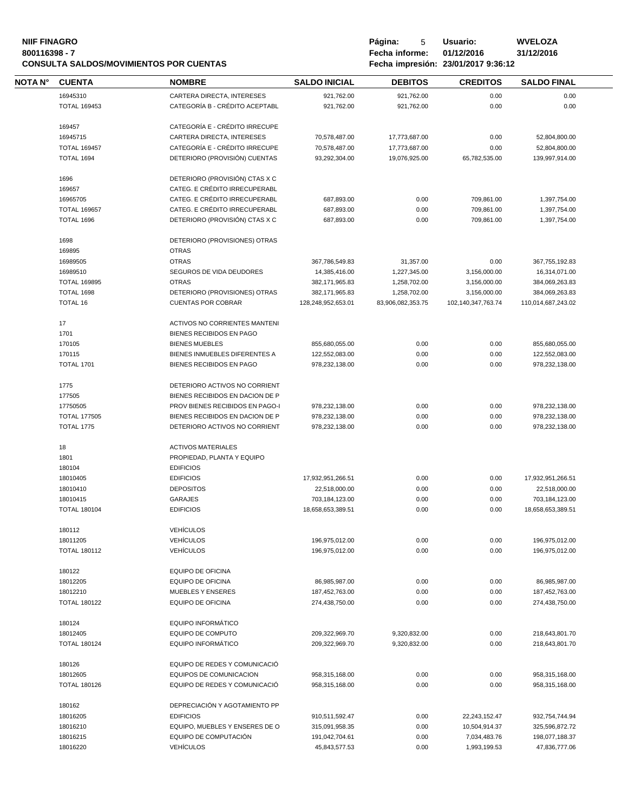# **NIIF FINAGRO P á g i n a :** 5 **U s u a r i o : WVELOZA CONSULTA SALDOS/MOVIMIENTOS POR CUENTAS**

| <b>NOTA N°</b> | <b>CUENTA</b>       | <b>NOMBRE</b>                        | <b>SALDO INICIAL</b> | <b>DEBITOS</b>    | <b>CREDITOS</b>    | <b>SALDO FINAL</b> |
|----------------|---------------------|--------------------------------------|----------------------|-------------------|--------------------|--------------------|
|                | 16945310            | CARTERA DIRECTA, INTERESES           | 921,762.00           | 921,762.00        | 0.00               | 0.00               |
|                | <b>TOTAL 169453</b> | CATEGORÍA B - CRÉDITO ACEPTABL       | 921,762.00           | 921,762.00        | 0.00               | 0.00               |
|                | 169457              | CATEGORÍA E - CRÉDITO IRRECUPE       |                      |                   |                    |                    |
|                | 16945715            | CARTERA DIRECTA, INTERESES           | 70,578,487.00        | 17,773,687.00     | 0.00               | 52,804,800.00      |
|                | <b>TOTAL 169457</b> | CATEGORÍA E - CRÉDITO IRRECUPE       | 70,578,487.00        | 17,773,687.00     | 0.00               | 52,804,800.00      |
|                | TOTAL 1694          | DETERIORO (PROVISIÓN) CUENTAS        | 93,292,304.00        | 19,076,925.00     | 65,782,535.00      | 139,997,914.00     |
|                |                     |                                      |                      |                   |                    |                    |
|                | 1696                | DETERIORO (PROVISIÓN) CTAS X C       |                      |                   |                    |                    |
|                | 169657              | CATEG. E CRÉDITO IRRECUPERABL        |                      |                   |                    |                    |
|                | 16965705            | CATEG. E CRÉDITO IRRECUPERABL        | 687,893.00           | 0.00              | 709,861.00         | 1,397,754.00       |
|                | <b>TOTAL 169657</b> | CATEG. E CRÉDITO IRRECUPERABL        | 687,893.00           | 0.00              | 709,861.00         | 1,397,754.00       |
|                | TOTAL 1696          | DETERIORO (PROVISIÓN) CTAS X C       | 687,893.00           | 0.00              | 709,861.00         | 1,397,754.00       |
|                | 1698                | DETERIORO (PROVISIONES) OTRAS        |                      |                   |                    |                    |
|                | 169895              | <b>OTRAS</b>                         |                      |                   |                    |                    |
|                | 16989505            | <b>OTRAS</b>                         | 367,786,549.83       | 31,357.00         | 0.00               | 367,755,192.83     |
|                | 16989510            | SEGUROS DE VIDA DEUDORES             |                      | 1,227,345.00      | 3,156,000.00       | 16,314,071.00      |
|                |                     |                                      | 14,385,416.00        |                   |                    |                    |
|                | <b>TOTAL 169895</b> | <b>OTRAS</b>                         | 382,171,965.83       | 1,258,702.00      | 3,156,000.00       | 384,069,263.83     |
|                | TOTAL 1698          | DETERIORO (PROVISIONES) OTRAS        | 382,171,965.83       | 1,258,702.00      | 3,156,000.00       | 384,069,263.83     |
|                | <b>TOTAL 16</b>     | <b>CUENTAS POR COBRAR</b>            | 128,248,952,653.01   | 83,906,082,353.75 | 102,140,347,763.74 | 110,014,687,243.02 |
|                | 17                  | <b>ACTIVOS NO CORRIENTES MANTENI</b> |                      |                   |                    |                    |
|                | 1701                | BIENES RECIBIDOS EN PAGO             |                      |                   |                    |                    |
|                | 170105              | <b>BIENES MUEBLES</b>                | 855,680,055.00       | 0.00              | 0.00               | 855,680,055.00     |
|                | 170115              | BIENES INMUEBLES DIFERENTES A        | 122,552,083.00       | 0.00              | 0.00               | 122,552,083.00     |
|                | <b>TOTAL 1701</b>   | BIENES RECIBIDOS EN PAGO             | 978,232,138.00       | 0.00              | 0.00               | 978,232,138.00     |
|                |                     |                                      |                      |                   |                    |                    |
|                | 1775                | DETERIORO ACTIVOS NO CORRIENT        |                      |                   |                    |                    |
|                | 177505              | BIENES RECIBIDOS EN DACION DE P      |                      |                   |                    |                    |
|                | 17750505            | PROV BIENES RECIBIDOS EN PAGO-I      | 978,232,138.00       | 0.00              | 0.00               | 978,232,138.00     |
|                | <b>TOTAL 177505</b> | BIENES RECIBIDOS EN DACION DE P      | 978,232,138.00       | 0.00              | 0.00               | 978,232,138.00     |
|                | <b>TOTAL 1775</b>   | DETERIORO ACTIVOS NO CORRIENT        | 978,232,138.00       | 0.00              | 0.00               | 978,232,138.00     |
|                | 18                  | <b>ACTIVOS MATERIALES</b>            |                      |                   |                    |                    |
|                |                     |                                      |                      |                   |                    |                    |
|                | 1801                | PROPIEDAD, PLANTA Y EQUIPO           |                      |                   |                    |                    |
|                | 180104              | <b>EDIFICIOS</b>                     |                      |                   |                    |                    |
|                | 18010405            | <b>EDIFICIOS</b>                     | 17,932,951,266.51    | 0.00              | 0.00               | 17,932,951,266.51  |
|                | 18010410            | <b>DEPOSITOS</b>                     | 22,518,000.00        | 0.00              | 0.00               | 22,518,000.00      |
|                | 18010415            | <b>GARAJES</b>                       | 703,184,123.00       | 0.00              | 0.00               | 703,184,123.00     |
|                | <b>TOTAL 180104</b> | <b>EDIFICIOS</b>                     | 18.658.653.389.51    | 0.00              | 0.00               | 18,658,653,389.51  |
|                | 180112              | <b>VEHÍCULOS</b>                     |                      |                   |                    |                    |
|                | 18011205            | <b>VEHÍCULOS</b>                     | 196,975,012.00       | 0.00              | 0.00               | 196,975,012.00     |
|                | <b>TOTAL 180112</b> | <b>VEHÍCULOS</b>                     | 196,975,012.00       | 0.00              | 0.00               | 196,975,012.00     |
|                |                     |                                      |                      |                   |                    |                    |
|                | 180122              | <b>EQUIPO DE OFICINA</b>             |                      |                   |                    |                    |
|                | 18012205            | EQUIPO DE OFICINA                    | 86,985,987.00        | 0.00              | 0.00               | 86,985,987.00      |
|                | 18012210            | MUEBLES Y ENSERES                    | 187,452,763.00       | 0.00              | 0.00               | 187,452,763.00     |
|                | <b>TOTAL 180122</b> | <b>EQUIPO DE OFICINA</b>             | 274,438,750.00       | 0.00              | 0.00               | 274,438,750.00     |
|                | 180124              | <b>EQUIPO INFORMÁTICO</b>            |                      |                   |                    |                    |
|                | 18012405            | <b>EQUIPO DE COMPUTO</b>             | 209,322,969.70       | 9,320,832.00      | 0.00               | 218,643,801.70     |
|                | <b>TOTAL 180124</b> | <b>EQUIPO INFORMÁTICO</b>            | 209,322,969.70       | 9,320,832.00      | 0.00               | 218,643,801.70     |
|                |                     |                                      |                      |                   |                    |                    |
|                | 180126              | EQUIPO DE REDES Y COMUNICACIÓ        |                      |                   |                    |                    |
|                | 18012605            | EQUIPOS DE COMUNICACION              | 958,315,168.00       | 0.00              | 0.00               | 958,315,168.00     |
|                | <b>TOTAL 180126</b> | EQUIPO DE REDES Y COMUNICACIÓ        | 958,315,168.00       | 0.00              | 0.00               | 958,315,168.00     |
|                | 180162              | DEPRECIACIÓN Y AGOTAMIENTO PP        |                      |                   |                    |                    |
|                | 18016205            | <b>EDIFICIOS</b>                     | 910,511,592.47       | 0.00              | 22,243,152.47      | 932,754,744.94     |
|                | 18016210            | EQUIPO, MUEBLES Y ENSERES DE O       | 315,091,958.35       | 0.00              | 10,504,914.37      | 325,596,872.72     |
|                |                     | EQUIPO DE COMPUTACIÓN                |                      |                   |                    |                    |
|                | 18016215            |                                      | 191,042,704.61       | 0.00              | 7,034,483.76       | 198,077,188.37     |
|                | 18016220            | <b>VEHÍCULOS</b>                     | 45,843,577.53        | 0.00              | 1,993,199.53       | 47,836,777.06      |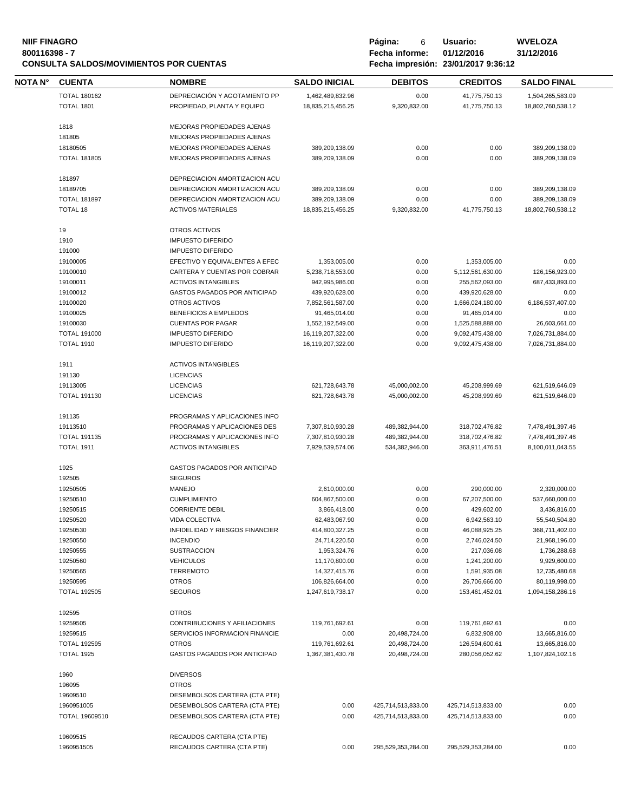# **NIIF FINAGRO P á g i n a :** 6 **U s u a r i o : WVELOZA CONSULTA SALDOS/MOVIMIENTOS POR CUENTAS**

| NOTA N° | <b>CUENTA</b>       | <b>NOMBRE</b>                       | <b>SALDO INICIAL</b>                 | <b>DEBITOS</b>                   | <b>CREDITOS</b>                  | <b>SALDO FINAL</b>                   |
|---------|---------------------|-------------------------------------|--------------------------------------|----------------------------------|----------------------------------|--------------------------------------|
|         | <b>TOTAL 180162</b> | DEPRECIACIÓN Y AGOTAMIENTO PP       | 1,462,489,832.96                     | 0.00                             | 41,775,750.13                    | 1,504,265,583.09                     |
|         | <b>TOTAL 1801</b>   | PROPIEDAD, PLANTA Y EQUIPO          | 18,835,215,456.25                    | 9,320,832.00                     | 41,775,750.13                    | 18,802,760,538.12                    |
|         |                     | MEJORAS PROPIEDADES AJENAS          |                                      |                                  |                                  |                                      |
|         | 1818<br>181805      | MEJORAS PROPIEDADES AJENAS          |                                      |                                  |                                  |                                      |
|         | 18180505            | MEJORAS PROPIEDADES AJENAS          | 389,209,138.09                       | 0.00                             | 0.00                             | 389,209,138.09                       |
|         | <b>TOTAL 181805</b> | MEJORAS PROPIEDADES AJENAS          | 389,209,138.09                       | 0.00                             | 0.00                             | 389,209,138.09                       |
|         |                     |                                     |                                      |                                  |                                  |                                      |
|         | 181897              | DEPRECIACION AMORTIZACION ACU       |                                      |                                  |                                  |                                      |
|         | 18189705            | DEPRECIACION AMORTIZACION ACU       | 389,209,138.09                       | 0.00                             | 0.00                             | 389,209,138.09                       |
|         | <b>TOTAL 181897</b> | DEPRECIACION AMORTIZACION ACU       | 389,209,138.09                       | 0.00                             | 0.00                             | 389,209,138.09                       |
|         | <b>TOTAL 18</b>     | <b>ACTIVOS MATERIALES</b>           | 18,835,215,456.25                    | 9,320,832.00                     | 41,775,750.13                    | 18,802,760,538.12                    |
|         | 19                  | OTROS ACTIVOS                       |                                      |                                  |                                  |                                      |
|         | 1910                | <b>IMPUESTO DIFERIDO</b>            |                                      |                                  |                                  |                                      |
|         | 191000              | <b>IMPUESTO DIFERIDO</b>            |                                      |                                  |                                  |                                      |
|         | 19100005            | EFECTIVO Y EQUIVALENTES A EFEC      | 1,353,005.00                         | 0.00                             | 1,353,005.00                     | 0.00                                 |
|         | 19100010            | CARTERA Y CUENTAS POR COBRAR        | 5,238,718,553.00                     | 0.00                             | 5,112,561,630.00                 | 126,156,923.00                       |
|         | 19100011            | <b>ACTIVOS INTANGIBLES</b>          | 942,995,986.00                       | 0.00                             | 255,562,093.00                   | 687,433,893.00                       |
|         | 19100012            | GASTOS PAGADOS POR ANTICIPAD        | 439,920,628.00                       | 0.00                             | 439,920,628.00                   | 0.00                                 |
|         | 19100020            | OTROS ACTIVOS                       | 7,852,561,587.00                     | 0.00                             | 1,666,024,180.00                 | 6,186,537,407.00                     |
|         | 19100025            | BENEFICIOS A EMPLEDOS               | 91,465,014.00                        | 0.00                             | 91,465,014.00                    | 0.00                                 |
|         | 19100030            | <b>CUENTAS POR PAGAR</b>            | 1,552,192,549.00                     | 0.00                             | 1,525,588,888.00                 | 26,603,661.00                        |
|         | <b>TOTAL 191000</b> | <b>IMPUESTO DIFERIDO</b>            | 16,119,207,322.00                    | 0.00                             | 9,092,475,438.00                 | 7,026,731,884.00                     |
|         | <b>TOTAL 1910</b>   | <b>IMPUESTO DIFERIDO</b>            | 16,119,207,322.00                    | 0.00                             | 9,092,475,438.00                 | 7,026,731,884.00                     |
|         |                     |                                     |                                      |                                  |                                  |                                      |
|         | 1911                | <b>ACTIVOS INTANGIBLES</b>          |                                      |                                  |                                  |                                      |
|         | 191130              | <b>LICENCIAS</b>                    |                                      |                                  |                                  |                                      |
|         | 19113005            | <b>LICENCIAS</b>                    | 621,728,643.78                       | 45,000,002.00                    | 45,208,999.69                    | 621,519,646.09                       |
|         | <b>TOTAL 191130</b> | <b>LICENCIAS</b>                    | 621,728,643.78                       | 45,000,002.00                    | 45,208,999.69                    | 621,519,646.09                       |
|         | 191135              | PROGRAMAS Y APLICACIONES INFO       |                                      |                                  |                                  |                                      |
|         | 19113510            | PROGRAMAS Y APLICACIONES DES        |                                      |                                  |                                  |                                      |
|         | <b>TOTAL 191135</b> | PROGRAMAS Y APLICACIONES INFO       | 7,307,810,930.28<br>7,307,810,930.28 | 489,382,944.00<br>489,382,944.00 | 318,702,476.82<br>318,702,476.82 | 7,478,491,397.46<br>7,478,491,397.46 |
|         | <b>TOTAL 1911</b>   | <b>ACTIVOS INTANGIBLES</b>          | 7,929,539,574.06                     | 534,382,946.00                   | 363,911,476.51                   | 8,100,011,043.55                     |
|         |                     |                                     |                                      |                                  |                                  |                                      |
|         | 1925                | GASTOS PAGADOS POR ANTICIPAD        |                                      |                                  |                                  |                                      |
|         | 192505              | <b>SEGUROS</b>                      |                                      |                                  |                                  |                                      |
|         | 19250505            | <b>MANEJO</b>                       | 2,610,000.00                         | 0.00                             | 290,000.00                       | 2,320,000.00                         |
|         | 19250510            | <b>CUMPLIMIENTO</b>                 | 604,867,500.00                       | 0.00                             | 67,207,500.00                    | 537,660,000.00                       |
|         | 19250515            | <b>CORRIENTE DEBIL</b>              | 3,866,418.00                         | 0.00                             | 429,602.00                       | 3,436,816.00                         |
|         | 19250520            | VIDA COLECTIVA                      | 62,483,067.90                        | 0.00                             | 6,942,563.10                     | 55,540,504.80                        |
|         | 19250530            | INFIDELIDAD Y RIESGOS FINANCIER     | 414,800,327.25                       | 0.00                             | 46,088,925.25                    | 368,711,402.00                       |
|         | 19250550            | <b>INCENDIO</b>                     | 24,714,220.50                        | 0.00                             | 2,746,024.50                     | 21,968,196.00                        |
|         | 19250555            | <b>SUSTRACCION</b>                  | 1,953,324.76                         | 0.00                             | 217,036.08                       | 1,736,288.68                         |
|         | 19250560            | <b>VEHICULOS</b>                    | 11,170,800.00                        | 0.00                             | 1,241,200.00                     | 9,929,600.00                         |
|         | 19250565            | <b>TERREMOTO</b>                    | 14,327,415.76                        | 0.00                             | 1,591,935.08                     | 12,735,480.68                        |
|         | 19250595            | <b>OTROS</b>                        | 106,826,664.00                       | 0.00                             | 26,706,666.00                    | 80,119,998.00                        |
|         | <b>TOTAL 192505</b> | <b>SEGUROS</b>                      | 1,247,619,738.17                     | 0.00                             | 153,461,452.01                   | 1,094,158,286.16                     |
|         | 192595              | <b>OTROS</b>                        |                                      |                                  |                                  |                                      |
|         | 19259505            | CONTRIBUCIONES Y AFILIACIONES       | 119,761,692.61                       | 0.00                             | 119,761,692.61                   | 0.00                                 |
|         | 19259515            | SERVICIOS INFORMACION FINANCIE      | 0.00                                 | 20,498,724.00                    | 6,832,908.00                     | 13,665,816.00                        |
|         | <b>TOTAL 192595</b> | <b>OTROS</b>                        | 119,761,692.61                       | 20,498,724.00                    | 126,594,600.61                   | 13,665,816.00                        |
|         | <b>TOTAL 1925</b>   | <b>GASTOS PAGADOS POR ANTICIPAD</b> | 1,367,381,430.78                     | 20,498,724.00                    | 280,056,052.62                   | 1,107,824,102.16                     |
|         |                     |                                     |                                      |                                  |                                  |                                      |
|         | 1960                | <b>DIVERSOS</b>                     |                                      |                                  |                                  |                                      |
|         | 196095              | <b>OTROS</b>                        |                                      |                                  |                                  |                                      |
|         | 19609510            | DESEMBOLSOS CARTERA (CTA PTE)       |                                      |                                  |                                  |                                      |
|         | 1960951005          | DESEMBOLSOS CARTERA (CTA PTE)       | 0.00                                 | 425,714,513,833.00               | 425,714,513,833.00               | 0.00                                 |
|         | TOTAL 19609510      | DESEMBOLSOS CARTERA (CTA PTE)       | 0.00                                 | 425,714,513,833.00               | 425,714,513,833.00               | 0.00                                 |
|         |                     |                                     |                                      |                                  |                                  |                                      |
|         | 19609515            | RECAUDOS CARTERA (CTA PTE)          |                                      |                                  |                                  |                                      |
|         | 1960951505          | RECAUDOS CARTERA (CTA PTE)          | 0.00                                 | 295,529,353,284.00               | 295,529,353,284.00               | 0.00                                 |
|         |                     |                                     |                                      |                                  |                                  |                                      |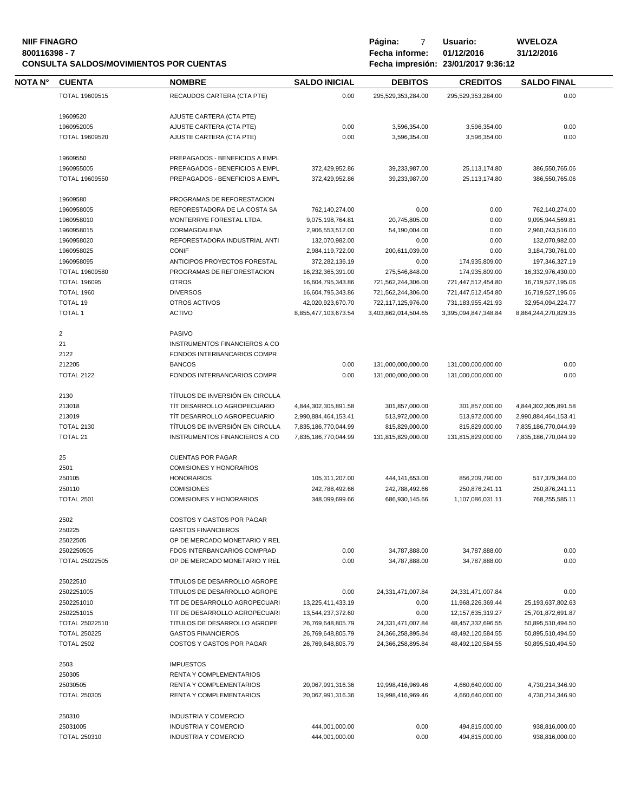# **NIIF FINAGRO P á g i n a :** 7 **U s u a r i o : WVELOZA CONSULTA SALDOS/MOVIMIENTOS POR CUENTAS**

**8** Fecha informe: 01/12/2016<br>**800112017** 9:36:12

| <b>NOTA N°</b> | <b>CUENTA</b>         | <b>NOMBRE</b>                        | <b>SALDO INICIAL</b> | <b>DEBITOS</b>       | <b>CREDITOS</b>        | <b>SALDO FINAL</b>    |
|----------------|-----------------------|--------------------------------------|----------------------|----------------------|------------------------|-----------------------|
|                | TOTAL 19609515        | RECAUDOS CARTERA (CTA PTE)           | 0.00                 | 295.529.353.284.00   | 295.529.353.284.00     | 0.00                  |
|                | 19609520              | AJUSTE CARTERA (CTA PTE)             |                      |                      |                        |                       |
|                | 1960952005            | AJUSTE CARTERA (CTA PTE)             | 0.00                 | 3,596,354.00         | 3,596,354.00           | 0.00                  |
|                | TOTAL 19609520        | AJUSTE CARTERA (CTA PTE)             | 0.00                 |                      |                        | 0.00                  |
|                |                       |                                      |                      | 3,596,354.00         | 3,596,354.00           |                       |
|                | 19609550              | PREPAGADOS - BENEFICIOS A EMPL       |                      |                      |                        |                       |
|                | 1960955005            | PREPAGADOS - BENEFICIOS A EMPL       | 372,429,952.86       | 39,233,987.00        | 25,113,174.80          | 386,550,765.06        |
|                | TOTAL 19609550        | PREPAGADOS - BENEFICIOS A EMPL       | 372,429,952.86       | 39,233,987.00        | 25,113,174.80          | 386,550,765.06        |
|                | 19609580              | PROGRAMAS DE REFORESTACION           |                      |                      |                        |                       |
|                | 1960958005            | REFORESTADORA DE LA COSTA SA         | 762,140,274.00       | 0.00                 | 0.00                   | 762,140,274.00        |
|                | 1960958010            | MONTERRYE FORESTAL LTDA.             | 9,075,198,764.81     | 20,745,805.00        | 0.00                   | 9,095,944,569.81      |
|                | 1960958015            | CORMAGDALENA                         | 2,906,553,512.00     | 54,190,004.00        | 0.00                   | 2,960,743,516.00      |
|                | 1960958020            | REFORESTADORA INDUSTRIAL ANTI        | 132,070,982.00       | 0.00                 | 0.00                   | 132,070,982.00        |
|                | 1960958025            | <b>CONIF</b>                         | 2,984,119,722.00     | 200,611,039.00       | 0.00                   | 3,184,730,761.00      |
|                | 1960958095            | ANTICIPOS PROYECTOS FORESTAL         | 372,282,136.19       | 0.00                 | 174,935,809.00         | 197,346,327.19        |
|                | TOTAL 19609580        | PROGRAMAS DE REFORESTACION           | 16,232,365,391.00    | 275,546,848.00       | 174,935,809.00         | 16,332,976,430.00     |
|                | <b>TOTAL 196095</b>   | <b>OTROS</b>                         | 16,604,795,343.86    | 721,562,244,306.00   | 721,447,512,454.80     | 16,719,527,195.06     |
|                | TOTAL 1960            | <b>DIVERSOS</b>                      | 16,604,795,343.86    | 721,562,244,306.00   | 721,447,512,454.80     | 16,719,527,195.06     |
|                | <b>TOTAL 19</b>       | OTROS ACTIVOS                        | 42,020,923,670.70    | 722,117,125,976.00   | 731, 183, 955, 421. 93 | 32,954,094,224.77     |
|                | <b>TOTAL 1</b>        | <b>ACTIVO</b>                        | 8.855.477.103.673.54 | 3,403,862,014,504.65 | 3,395,094,847,348.84   | 8,864,244,270,829.35  |
|                |                       |                                      |                      |                      |                        |                       |
|                | $\overline{2}$        | PASIVO                               |                      |                      |                        |                       |
|                | 21                    | INSTRUMENTOS FINANCIEROS A CO        |                      |                      |                        |                       |
|                | 2122                  | FONDOS INTERBANCARIOS COMPR          |                      |                      |                        |                       |
|                | 212205                | <b>BANCOS</b>                        | 0.00                 | 131,000,000,000.00   | 131,000,000,000.00     | 0.00                  |
|                | <b>TOTAL 2122</b>     | FONDOS INTERBANCARIOS COMPR          | 0.00                 | 131,000,000,000.00   | 131,000,000,000.00     | 0.00                  |
|                | 2130                  | TÍTULOS DE INVERSIÓN EN CIRCULA      |                      |                      |                        |                       |
|                | 213018                | TIT DESARROLLO AGROPECUARIO          | 4,844,302,305,891.58 | 301,857,000.00       | 301,857,000.00         | 4,844,302,305,891.58  |
|                | 213019                | TIT DESARROLLO AGROPECUARIO          | 2,990,884,464,153.41 | 513,972,000.00       | 513,972,000.00         | 2,990,884,464,153.41  |
|                | <b>TOTAL 2130</b>     | TÍTULOS DE INVERSIÓN EN CIRCULA      | 7,835,186,770,044.99 | 815,829,000.00       | 815,829,000.00         | 7,835,186,770,044.99  |
|                | <b>TOTAL 21</b>       | <b>INSTRUMENTOS FINANCIEROS A CO</b> | 7,835,186,770,044.99 | 131,815,829,000.00   | 131,815,829,000.00     | 7,835,186,770,044.99  |
|                | 25                    | <b>CUENTAS POR PAGAR</b>             |                      |                      |                        |                       |
|                | 2501                  | <b>COMISIONES Y HONORARIOS</b>       |                      |                      |                        |                       |
|                | 250105                | <b>HONORARIOS</b>                    | 105,311,207.00       | 444,141,653.00       | 856,209,790.00         | 517,379,344.00        |
|                | 250110                | <b>COMISIONES</b>                    | 242,788,492.66       | 242,788,492.66       | 250,876,241.11         | 250,876,241.11        |
|                | <b>TOTAL 2501</b>     | <b>COMISIONES Y HONORARIOS</b>       | 348.099.699.66       | 686,930,145.66       | 1,107,086,031.11       | 768,255,585.11        |
|                |                       |                                      |                      |                      |                        |                       |
|                | 2502                  | COSTOS Y GASTOS POR PAGAR            |                      |                      |                        |                       |
|                | 250225                | <b>GASTOS FINANCIEROS</b>            |                      |                      |                        |                       |
|                | 25022505              | OP DE MERCADO MONETARIO Y REL        |                      |                      |                        |                       |
|                | 2502250505            | FDOS INTERBANCARIOS COMPRAD          | 0.00                 | 34,787,888.00        | 34,787,888.00          | 0.00                  |
|                | <b>TOTAL 25022505</b> | OP DE MERCADO MONETARIO Y REL        | 0.00                 | 34,787,888.00        | 34,787,888.00          | 0.00                  |
|                | 25022510              | TITULOS DE DESARROLLO AGROPE         |                      |                      |                        |                       |
|                | 2502251005            | TITULOS DE DESARROLLO AGROPE         | 0.00                 | 24,331,471,007.84    | 24,331,471,007.84      | 0.00                  |
|                | 2502251010            | TIT DE DESARROLLO AGROPECUARI        | 13,225,411,433.19    | 0.00                 | 11,968,226,369.44      | 25, 193, 637, 802. 63 |
|                | 2502251015            | TIT DE DESARROLLO AGROPECUARI        | 13,544,237,372.60    | 0.00                 | 12, 157, 635, 319. 27  | 25,701,872,691.87     |
|                | TOTAL 25022510        | TITULOS DE DESARROLLO AGROPE         | 26,769,648,805.79    | 24,331,471,007.84    | 48,457,332,696.55      | 50,895,510,494.50     |
|                | <b>TOTAL 250225</b>   | <b>GASTOS FINANCIEROS</b>            | 26,769,648,805.79    | 24,366,258,895.84    | 48,492,120,584.55      | 50,895,510,494.50     |
|                | <b>TOTAL 2502</b>     | COSTOS Y GASTOS POR PAGAR            | 26,769,648,805.79    | 24,366,258,895.84    | 48,492,120,584.55      | 50,895,510,494.50     |
|                |                       |                                      |                      |                      |                        |                       |
|                | 2503                  | <b>IMPUESTOS</b>                     |                      |                      |                        |                       |
|                | 250305                | <b>RENTA Y COMPLEMENTARIOS</b>       |                      |                      |                        |                       |
|                | 25030505              | <b>RENTA Y COMPLEMENTARIOS</b>       | 20,067,991,316.36    | 19,998,416,969.46    | 4,660,640,000.00       | 4,730,214,346.90      |
|                | <b>TOTAL 250305</b>   | <b>RENTA Y COMPLEMENTARIOS</b>       | 20,067,991,316.36    | 19,998,416,969.46    | 4,660,640,000.00       | 4,730,214,346.90      |
|                | 250310                | <b>INDUSTRIA Y COMERCIO</b>          |                      |                      |                        |                       |
|                | 25031005              | INDUSTRIA Y COMERCIO                 | 444,001,000.00       | 0.00                 | 494,815,000.00         | 938,816,000.00        |
|                | <b>TOTAL 250310</b>   | <b>INDUSTRIA Y COMERCIO</b>          | 444,001,000.00       | 0.00                 | 494,815,000.00         | 938,816,000.00        |
|                |                       |                                      |                      |                      |                        |                       |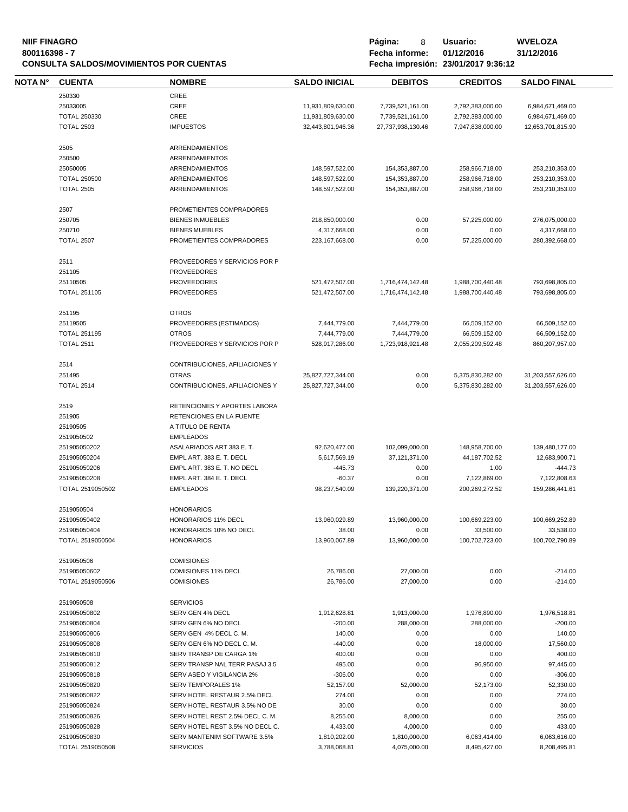# **NIIF FINAGRO P á g i n a :** 8 **U s u a r i o : WVELOZA CONSULTA SALDOS/MOVIMIENTOS POR CUENTAS**

**80016 - 80011639 Fecha informe: 01/12/2016**<br>**8001/2017** 9:36:12

| NOTA N° | <b>CUENTA</b>       | <b>NOMBRE</b>                   | <b>SALDO INICIAL</b> | <b>DEBITOS</b>    | <b>CREDITOS</b>  | <b>SALDO FINAL</b> |
|---------|---------------------|---------------------------------|----------------------|-------------------|------------------|--------------------|
|         | 250330              | CREE                            |                      |                   |                  |                    |
|         | 25033005            | CREE                            | 11,931,809,630.00    | 7,739,521,161.00  | 2,792,383,000.00 | 6,984,671,469.00   |
|         |                     |                                 |                      |                   |                  |                    |
|         | <b>TOTAL 250330</b> | CREE                            | 11,931,809,630.00    | 7,739,521,161.00  | 2,792,383,000.00 | 6,984,671,469.00   |
|         | <b>TOTAL 2503</b>   | <b>IMPUESTOS</b>                | 32,443,801,946.36    | 27,737,938,130.46 | 7,947,838,000.00 | 12,653,701,815.90  |
|         | 2505                | ARRENDAMIENTOS                  |                      |                   |                  |                    |
|         | 250500              | ARRENDAMIENTOS                  |                      |                   |                  |                    |
|         | 25050005            | <b>ARRENDAMIENTOS</b>           | 148,597,522.00       | 154,353,887.00    | 258,966,718.00   | 253,210,353.00     |
|         | <b>TOTAL 250500</b> | <b>ARRENDAMIENTOS</b>           | 148,597,522.00       | 154,353,887.00    | 258,966,718.00   | 253,210,353.00     |
|         | <b>TOTAL 2505</b>   | <b>ARRENDAMIENTOS</b>           | 148,597,522.00       | 154,353,887.00    | 258,966,718.00   | 253,210,353.00     |
|         |                     |                                 |                      |                   |                  |                    |
|         | 2507                | PROMETIENTES COMPRADORES        |                      |                   |                  |                    |
|         | 250705              | <b>BIENES INMUEBLES</b>         | 218,850,000.00       | 0.00              | 57,225,000.00    | 276,075,000.00     |
|         | 250710              | <b>BIENES MUEBLES</b>           | 4,317,668.00         | 0.00              | 0.00             | 4,317,668.00       |
|         | <b>TOTAL 2507</b>   | PROMETIENTES COMPRADORES        | 223, 167, 668.00     | 0.00              | 57,225,000.00    | 280,392,668.00     |
|         | 2511                | PROVEEDORES Y SERVICIOS POR P   |                      |                   |                  |                    |
|         | 251105              | <b>PROVEEDORES</b>              |                      |                   |                  |                    |
|         |                     |                                 |                      |                   |                  |                    |
|         | 25110505            | <b>PROVEEDORES</b>              | 521,472,507.00       | 1,716,474,142.48  | 1,988,700,440.48 | 793,698,805.00     |
|         | <b>TOTAL 251105</b> | <b>PROVEEDORES</b>              | 521,472,507.00       | 1,716,474,142.48  | 1,988,700,440.48 | 793,698,805.00     |
|         | 251195              | <b>OTROS</b>                    |                      |                   |                  |                    |
|         | 25119505            | PROVEEDORES (ESTIMADOS)         | 7,444,779.00         | 7,444,779.00      | 66,509,152.00    | 66,509,152.00      |
|         | <b>TOTAL 251195</b> | <b>OTROS</b>                    | 7,444,779.00         | 7,444,779.00      | 66,509,152.00    | 66,509,152.00      |
|         | <b>TOTAL 2511</b>   | PROVEEDORES Y SERVICIOS POR P   | 528,917,286.00       | 1,723,918,921.48  | 2.055.209.592.48 | 860,207,957.00     |
|         |                     |                                 |                      |                   |                  |                    |
|         | 2514                | CONTRIBUCIONES, AFILIACIONES Y  |                      |                   |                  |                    |
|         | 251495              | <b>OTRAS</b>                    | 25,827,727,344.00    | 0.00              | 5,375,830,282.00 | 31,203,557,626.00  |
|         | <b>TOTAL 2514</b>   | CONTRIBUCIONES, AFILIACIONES Y  | 25,827,727,344.00    | 0.00              | 5,375,830,282.00 | 31,203,557,626.00  |
|         | 2519                | RETENCIONES Y APORTES LABORA    |                      |                   |                  |                    |
|         | 251905              | RETENCIONES EN LA FUENTE        |                      |                   |                  |                    |
|         | 25190505            | A TITULO DE RENTA               |                      |                   |                  |                    |
|         |                     |                                 |                      |                   |                  |                    |
|         | 2519050502          | <b>EMPLEADOS</b>                |                      |                   |                  |                    |
|         | 251905050202        | ASALARIADOS ART 383 E.T.        | 92,620,477.00        | 102,099,000.00    | 148,958,700.00   | 139,480,177.00     |
|         | 251905050204        | EMPL ART. 383 E. T. DECL        | 5,617,569.19         | 37,121,371.00     | 44, 187, 702.52  | 12,683,900.71      |
|         | 251905050206        | EMPL ART. 383 E. T. NO DECL     | $-445.73$            | 0.00              | 1.00             | $-444.73$          |
|         | 251905050208        | EMPL ART. 384 E. T. DECL        | $-60.37$             | 0.00              | 7,122,869.00     | 7,122,808.63       |
|         | TOTAL 2519050502    | <b>EMPLEADOS</b>                | 98,237,540.09        | 139,220,371.00    | 200.269.272.52   | 159,286,441.61     |
|         | 2519050504          | <b>HONORARIOS</b>               |                      |                   |                  |                    |
|         | 251905050402        | <b>HONORARIOS 11% DECL</b>      | 13,960,029.89        | 13,960,000.00     | 100,669,223.00   | 100,669,252.89     |
|         | 251905050404        | HONORARIOS 10% NO DECL          | 38.00                | 0.00              | 33,500.00        | 33,538.00          |
|         | TOTAL 2519050504    | <b>HONORARIOS</b>               | 13,960,067.89        | 13,960,000.00     | 100,702,723.00   | 100,702,790.89     |
|         |                     |                                 |                      |                   |                  |                    |
|         | 2519050506          | <b>COMISIONES</b>               |                      |                   |                  |                    |
|         | 251905050602        | COMISIONES 11% DECL             | 26,786.00            | 27,000.00         | 0.00             | $-214.00$          |
|         | TOTAL 2519050506    | <b>COMISIONES</b>               | 26,786.00            | 27,000.00         | 0.00             | $-214.00$          |
|         | 2519050508          | <b>SERVICIOS</b>                |                      |                   |                  |                    |
|         | 251905050802        | SERV GEN 4% DECL                | 1,912,628.81         | 1,913,000.00      | 1,976,890.00     | 1,976,518.81       |
|         |                     |                                 |                      |                   |                  |                    |
|         | 251905050804        | SERV GEN 6% NO DECL             | $-200.00$            | 288,000.00        | 288,000.00       | $-200.00$          |
|         | 251905050806        | SERV GEN 4% DECL C. M.          | 140.00               | 0.00              | 0.00             | 140.00             |
|         | 251905050808        | SERV GEN 6% NO DECL C. M.       | $-440.00$            | 0.00              | 18,000.00        | 17,560.00          |
|         | 251905050810        | SERV TRANSP DE CARGA 1%         | 400.00               | 0.00              | 0.00             | 400.00             |
|         | 251905050812        | SERV TRANSP NAL TERR PASAJ 3.5  | 495.00               | 0.00              | 96,950.00        | 97,445.00          |
|         | 251905050818        | SERV ASEO Y VIGILANCIA 2%       | $-306.00$            | 0.00              | 0.00             | $-306.00$          |
|         | 251905050820        | <b>SERV TEMPORALES 1%</b>       | 52,157.00            | 52,000.00         | 52,173.00        | 52,330.00          |
|         | 251905050822        | SERV HOTEL RESTAUR 2.5% DECL    | 274.00               | 0.00              | 0.00             | 274.00             |
|         | 251905050824        | SERV HOTEL RESTAUR 3.5% NO DE   | 30.00                | 0.00              | 0.00             | 30.00              |
|         |                     |                                 |                      |                   |                  |                    |
|         | 251905050826        | SERV HOTEL REST 2.5% DECL C. M. | 8,255.00             | 8,000.00          | 0.00             | 255.00             |
|         | 251905050828        | SERV HOTEL REST 3.5% NO DECL C. | 4,433.00             | 4,000.00          | 0.00             | 433.00             |
|         | 251905050830        | SERV MANTENIM SOFTWARE 3.5%     | 1,810,202.00         | 1,810,000.00      | 6,063,414.00     | 6,063,616.00       |
|         | TOTAL 2519050508    | <b>SERVICIOS</b>                | 3,788,068.81         | 4,075,000.00      | 8,495,427.00     | 8,208,495.81       |
|         |                     |                                 |                      |                   |                  |                    |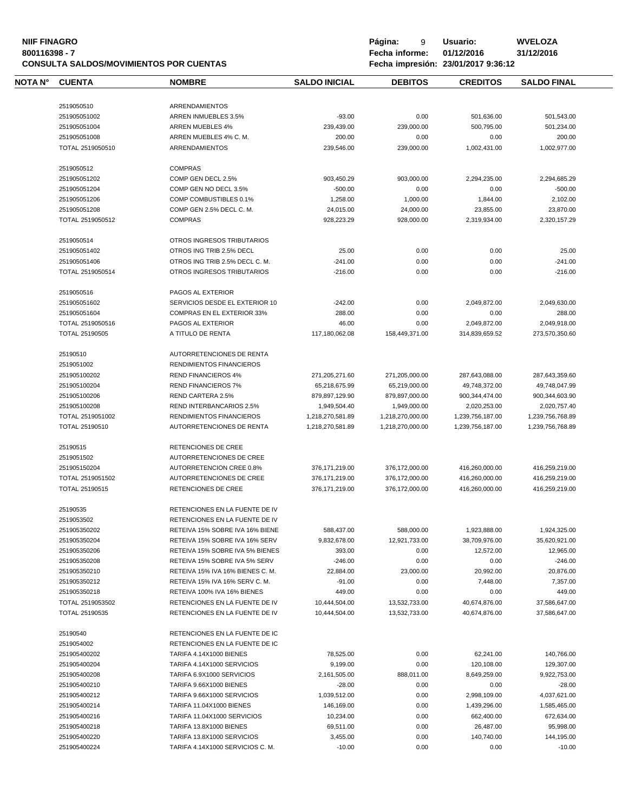# **NIIF FINAGRO P á g i n a :** 9 **U s u a r i o : WVELOZA CONSULTA SALDOS/MOVIMIENTOS POR CUENTAS**

**8** Fecha informe: 01/12/2016<br>**Fecha impresión: 23/01/2017** 9:36:12

| NOTA N° | <b>CUENTA</b>                | <b>NOMBRE</b>                                         | <b>SALDO INICIAL</b>  | <b>DEBITOS</b>   | <b>CREDITOS</b>         | <b>SALDO FINAL</b>      |
|---------|------------------------------|-------------------------------------------------------|-----------------------|------------------|-------------------------|-------------------------|
|         |                              |                                                       |                       |                  |                         |                         |
|         | 2519050510                   | <b>ARRENDAMIENTOS</b>                                 |                       |                  |                         |                         |
|         | 251905051002                 | ARREN INMUEBLES 3.5%                                  | $-93.00$              | 0.00             | 501,636.00              | 501,543.00              |
|         | 251905051004                 | <b>ARREN MUEBLES 4%</b>                               | 239,439.00            | 239,000.00       | 500,795.00              | 501,234.00              |
|         | 251905051008                 | ARREN MUEBLES 4% C.M.                                 | 200.00                | 0.00             | 0.00                    | 200.00                  |
|         | TOTAL 2519050510             | ARRENDAMIENTOS                                        | 239,546.00            | 239,000.00       | 1,002,431.00            | 1,002,977.00            |
|         | 2519050512                   | <b>COMPRAS</b>                                        |                       |                  |                         |                         |
|         | 251905051202                 | COMP GEN DECL 2.5%                                    | 903,450.29            | 903,000.00       | 2,294,235.00            | 2,294,685.29            |
|         | 251905051204                 | COMP GEN NO DECL 3.5%                                 | $-500.00$             | 0.00             | 0.00                    | $-500.00$               |
|         | 251905051206                 | COMP COMBUSTIBLES 0.1%                                | 1,258.00              | 1,000.00         | 1,844.00                | 2,102.00                |
|         | 251905051208                 | COMP GEN 2.5% DECL C. M.                              | 24,015.00             | 24,000.00        | 23,855.00               | 23,870.00               |
|         | TOTAL 2519050512             | <b>COMPRAS</b>                                        | 928,223.29            | 928,000.00       | 2,319,934.00            | 2,320,157.29            |
|         |                              |                                                       |                       |                  |                         |                         |
|         | 2519050514                   | OTROS INGRESOS TRIBUTARIOS                            |                       |                  |                         |                         |
|         | 251905051402                 | OTROS ING TRIB 2.5% DECL                              | 25.00                 | 0.00             | 0.00                    | 25.00                   |
|         | 251905051406                 | OTROS ING TRIB 2.5% DECL C. M.                        | $-241.00$             | 0.00             | 0.00                    | $-241.00$               |
|         | TOTAL 2519050514             | OTROS INGRESOS TRIBUTARIOS                            | $-216.00$             | 0.00             | 0.00                    | $-216.00$               |
|         | 2519050516                   | PAGOS AL EXTERIOR                                     |                       |                  |                         |                         |
|         | 251905051602                 | SERVICIOS DESDE EL EXTERIOR 10                        | $-242.00$             | 0.00             | 2,049,872.00            | 2,049,630.00            |
|         | 251905051604                 | <b>COMPRAS EN EL EXTERIOR 33%</b>                     | 288.00                | 0.00             | 0.00                    | 288.00                  |
|         | TOTAL 2519050516             | PAGOS AL EXTERIOR                                     | 46.00                 | 0.00             | 2,049,872.00            | 2,049,918.00            |
|         | TOTAL 25190505               | A TITULO DE RENTA                                     | 117,180,062.08        | 158,449,371.00   | 314,839,659.52          | 273,570,350.60          |
|         | 25190510                     | AUTORRETENCIONES DE RENTA                             |                       |                  |                         |                         |
|         | 2519051002                   | RENDIMIENTOS FINANCIEROS                              |                       |                  |                         |                         |
|         | 251905100202                 | <b>REND FINANCIEROS 4%</b>                            | 271,205,271.60        | 271,205,000.00   | 287,643,088.00          | 287,643,359.60          |
|         | 251905100204                 | <b>REND FINANCIEROS 7%</b>                            | 65,218,675.99         | 65,219,000.00    | 49,748,372.00           | 49,748,047.99           |
|         | 251905100206                 | REND CARTERA 2.5%                                     | 879,897,129.90        | 879,897,000.00   | 900,344,474.00          | 900,344,603.90          |
|         | 251905100208                 | REND INTERBANCARIOS 2.5%                              | 1,949,504.40          | 1,949,000.00     | 2,020,253.00            | 2,020,757.40            |
|         | TOTAL 2519051002             | RENDIMIENTOS FINANCIEROS                              | 1,218,270,581.89      | 1,218,270,000.00 | 1,239,756,187.00        | 1,239,756,768.89        |
|         | TOTAL 25190510               | AUTORRETENCIONES DE RENTA                             | 1,218,270,581.89      | 1,218,270,000.00 | 1,239,756,187.00        | 1,239,756,768.89        |
|         |                              |                                                       |                       |                  |                         |                         |
|         | 25190515                     | RETENCIONES DE CREE                                   |                       |                  |                         |                         |
|         | 2519051502                   | AUTORRETENCIONES DE CREE                              |                       |                  |                         |                         |
|         | 251905150204                 | AUTORRETENCION CREE 0.8%                              | 376,171,219.00        | 376,172,000.00   | 416,260,000.00          | 416,259,219.00          |
|         | TOTAL 2519051502             | AUTORRETENCIONES DE CREE                              | 376,171,219.00        | 376,172,000.00   | 416,260,000.00          | 416,259,219.00          |
|         | TOTAL 25190515               | RETENCIONES DE CREE                                   | 376.171.219.00        | 376.172.000.00   | 416,260,000.00          | 416,259,219.00          |
|         | 25190535                     | RETENCIONES EN LA FUENTE DE IV                        |                       |                  |                         |                         |
|         | 2519053502                   | RETENCIONES EN LA FUENTE DE IV                        |                       |                  |                         |                         |
|         | 251905350202                 | RETEIVA 15% SOBRE IVA 16% BIENE                       | 588,437.00            | 588,000.00       | 1,923,888.00            | 1,924,325.00            |
|         | 251905350204                 | RETEIVA 15% SOBRE IVA 16% SERV                        | 9,832,678.00          | 12,921,733.00    | 38,709,976.00           | 35,620,921.00           |
|         | 251905350206                 | RETEIVA 15% SOBRE IVA 5% BIENES                       | 393.00                | 0.00             | 12,572.00               | 12,965.00               |
|         | 251905350208                 | RETEIVA 15% SOBRE IVA 5% SERV                         | $-246.00$             | 0.00             | 0.00                    | $-246.00$               |
|         | 251905350210                 | RETEIVA 15% IVA 16% BIENES C.M.                       | 22,884.00             | 23,000.00        | 20,992.00               | 20,876.00               |
|         | 251905350212                 | RETEIVA 15% IVA 16% SERV C.M.                         | $-91.00$              | 0.00             | 7,448.00                | 7,357.00                |
|         | 251905350218                 | RETEIVA 100% IVA 16% BIENES                           | 449.00                | 0.00             | 0.00                    | 449.00                  |
|         | TOTAL 2519053502             | RETENCIONES EN LA FUENTE DE IV                        | 10,444,504.00         | 13,532,733.00    | 40,674,876.00           | 37,586,647.00           |
|         | TOTAL 25190535               | RETENCIONES EN LA FUENTE DE IV                        | 10,444,504.00         | 13,532,733.00    | 40,674,876.00           | 37,586,647.00           |
|         | 25190540                     | RETENCIONES EN LA FUENTE DE IC                        |                       |                  |                         |                         |
|         | 2519054002                   | RETENCIONES EN LA FUENTE DE IC                        |                       |                  |                         |                         |
|         | 251905400202                 | <b>TARIFA 4.14X1000 BIENES</b>                        | 78,525.00             | 0.00             | 62,241.00               | 140,766.00              |
|         | 251905400204                 | TARIFA 4.14X1000 SERVICIOS                            | 9,199.00              | 0.00             | 120,108.00              | 129,307.00              |
|         | 251905400208                 | TARIFA 6.9X1000 SERVICIOS                             | 2,161,505.00          | 888,011.00       | 8,649,259.00            | 9,922,753.00            |
|         | 251905400210                 | TARIFA 9.66X1000 BIENES                               | $-28.00$              | 0.00             | 0.00                    | $-28.00$                |
|         | 251905400212                 | TARIFA 9.66X1000 SERVICIOS                            | 1,039,512.00          | 0.00             | 2,998,109.00            | 4,037,621.00            |
|         | 251905400214                 | TARIFA 11.04X1000 BIENES                              | 146,169.00            | 0.00             | 1,439,296.00            | 1,585,465.00            |
|         |                              | TARIFA 11.04X1000 SERVICIOS                           | 10,234.00             | 0.00             | 662,400.00              | 672,634.00              |
|         |                              |                                                       |                       |                  |                         |                         |
|         | 251905400216                 |                                                       |                       |                  |                         |                         |
|         | 251905400218<br>251905400220 | TARIFA 13.8X1000 BIENES<br>TARIFA 13.8X1000 SERVICIOS | 69,511.00<br>3,455.00 | 0.00<br>0.00     | 26,487.00<br>140,740.00 | 95,998.00<br>144,195.00 |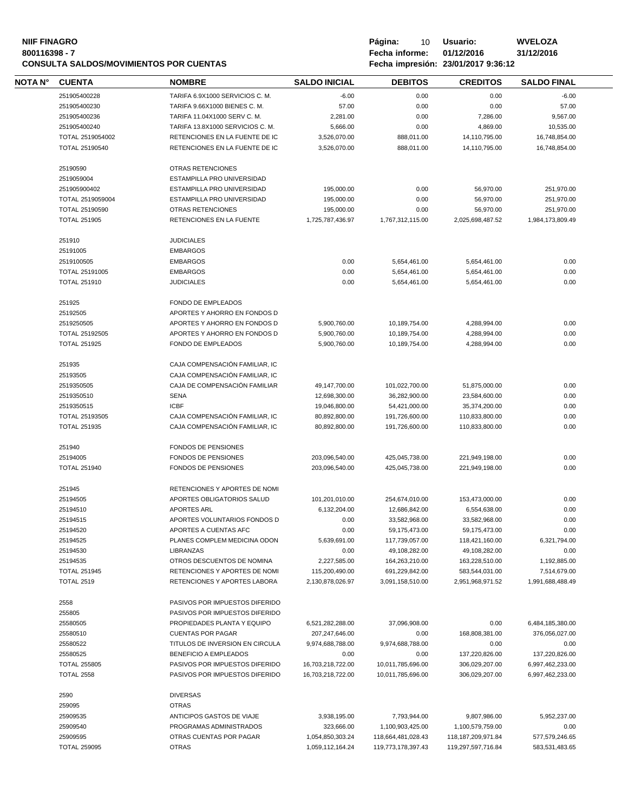# **NIIF FINAGRO P á g i n a :** 10 **U s u a r i o : WVELOZA CONSULTA SALDOS/MOVIMIENTOS POR CUENTAS**

| NOTA N° | <b>CUENTA</b>         | <b>NOMBRE</b>                    | <b>SALDO INICIAL</b> | <b>DEBITOS</b>     | <b>CREDITOS</b>       | <b>SALDO FINAL</b> |
|---------|-----------------------|----------------------------------|----------------------|--------------------|-----------------------|--------------------|
|         | 251905400228          | TARIFA 6.9X1000 SERVICIOS C. M.  | $-6.00$              | 0.00               | 0.00                  | $-6.00$            |
|         | 251905400230          | TARIFA 9.66X1000 BIENES C. M.    | 57.00                | 0.00               | 0.00                  | 57.00              |
|         | 251905400236          | TARIFA 11.04X1000 SERV C. M.     | 2,281.00             | 0.00               | 7,286.00              | 9,567.00           |
|         | 251905400240          | TARIFA 13.8X1000 SERVICIOS C. M. | 5,666.00             | 0.00               | 4,869.00              | 10,535.00          |
|         | TOTAL 2519054002      | RETENCIONES EN LA FUENTE DE IC   | 3,526,070.00         | 888,011.00         | 14,110,795.00         | 16,748,854.00      |
|         | <b>TOTAL 25190540</b> | RETENCIONES EN LA FUENTE DE IC   | 3,526,070.00         | 888,011.00         | 14,110,795.00         | 16,748,854.00      |
|         | 25190590              | OTRAS RETENCIONES                |                      |                    |                       |                    |
|         | 2519059004            | ESTAMPILLA PRO UNIVERSIDAD       |                      |                    |                       |                    |
|         | 251905900402          | ESTAMPILLA PRO UNIVERSIDAD       | 195,000.00           | 0.00               | 56,970.00             | 251,970.00         |
|         | TOTAL 2519059004      | ESTAMPILLA PRO UNIVERSIDAD       | 195,000.00           | 0.00               | 56,970.00             | 251,970.00         |
|         | <b>TOTAL 25190590</b> | OTRAS RETENCIONES                | 195,000.00           | 0.00               | 56,970.00             | 251,970.00         |
|         | <b>TOTAL 251905</b>   | RETENCIONES EN LA FUENTE         | 1,725,787,436.97     | 1,767,312,115.00   | 2,025,698,487.52      | 1,984,173,809.49   |
|         |                       |                                  |                      |                    |                       |                    |
|         | 251910                | <b>JUDICIALES</b>                |                      |                    |                       |                    |
|         | 25191005              | <b>EMBARGOS</b>                  |                      |                    |                       |                    |
|         | 2519100505            | <b>EMBARGOS</b>                  | 0.00                 | 5,654,461.00       | 5,654,461.00          | 0.00               |
|         | TOTAL 25191005        | <b>EMBARGOS</b>                  | 0.00                 | 5,654,461.00       | 5,654,461.00          | 0.00               |
|         | <b>TOTAL 251910</b>   | <b>JUDICIALES</b>                | 0.00                 | 5,654,461.00       | 5,654,461.00          | 0.00               |
|         | 251925                | FONDO DE EMPLEADOS               |                      |                    |                       |                    |
|         | 25192505              |                                  |                      |                    |                       |                    |
|         |                       | APORTES Y AHORRO EN FONDOS D     |                      |                    |                       |                    |
|         | 2519250505            | APORTES Y AHORRO EN FONDOS D     | 5,900,760.00         | 10,189,754.00      | 4,288,994.00          | 0.00               |
|         | <b>TOTAL 25192505</b> | APORTES Y AHORRO EN FONDOS D     | 5,900,760.00         | 10,189,754.00      | 4,288,994.00          | 0.00               |
|         | <b>TOTAL 251925</b>   | FONDO DE EMPLEADOS               | 5,900,760.00         | 10,189,754.00      | 4,288,994.00          | 0.00               |
|         | 251935                | CAJA COMPENSACIÓN FAMILIAR, IC   |                      |                    |                       |                    |
|         | 25193505              | CAJA COMPENSACIÓN FAMILIAR, IC   |                      |                    |                       |                    |
|         | 2519350505            | CAJA DE COMPENSACIÓN FAMILIAR    | 49,147,700.00        | 101,022,700.00     | 51,875,000.00         | 0.00               |
|         | 2519350510            | <b>SENA</b>                      | 12,698,300.00        | 36,282,900.00      | 23,584,600.00         | 0.00               |
|         | 2519350515            | <b>ICBF</b>                      | 19,046,800.00        | 54,421,000.00      | 35,374,200.00         | 0.00               |
|         | TOTAL 25193505        | CAJA COMPENSACIÓN FAMILIAR, IC   | 80,892,800.00        | 191,726,600.00     | 110,833,800.00        | 0.00               |
|         | <b>TOTAL 251935</b>   | CAJA COMPENSACIÓN FAMILIAR, IC   | 80,892,800.00        | 191,726,600.00     | 110,833,800.00        | 0.00               |
|         |                       |                                  |                      |                    |                       |                    |
|         | 251940                | FONDOS DE PENSIONES              |                      |                    |                       |                    |
|         | 25194005              | FONDOS DE PENSIONES              | 203,096,540.00       | 425,045,738.00     | 221,949,198.00        | 0.00               |
|         | <b>TOTAL 251940</b>   | <b>FONDOS DE PENSIONES</b>       | 203,096,540.00       | 425,045,738.00     | 221,949,198.00        | 0.00               |
|         | 251945                | RETENCIONES Y APORTES DE NOMI    |                      |                    |                       |                    |
|         | 25194505              | APORTES OBLIGATORIOS SALUD       | 101,201,010.00       | 254,674,010.00     | 153,473,000.00        | 0.00               |
|         | 25194510              | <b>APORTES ARL</b>               | 6,132,204.00         | 12,686,842.00      | 6,554,638.00          | 0.00               |
|         | 25194515              | APORTES VOLUNTARIOS FONDOS D     | 0.00                 | 33,582,968.00      | 33,582,968.00         | 0.00               |
|         | 25194520              | APORTES A CUENTAS AFC            | 0.00                 | 59,175,473.00      | 59,175,473.00         | 0.00               |
|         | 25194525              | PLANES COMPLEM MEDICINA ODON     | 5,639,691.00         | 117,739,057.00     | 118,421,160.00        | 6,321,794.00       |
|         | 25194530              | LIBRANZAS                        | 0.00                 | 49,108,282.00      | 49,108,282.00         | 0.00               |
|         | 25194535              | OTROS DESCUENTOS DE NOMINA       | 2,227,585.00         | 164,263,210.00     | 163,228,510.00        | 1,192,885.00       |
|         | <b>TOTAL 251945</b>   | RETENCIONES Y APORTES DE NOMI    | 115,200,490.00       | 691,229,842.00     | 583,544,031.00        | 7,514,679.00       |
|         | <b>TOTAL 2519</b>     | RETENCIONES Y APORTES LABORA     | 2,130,878,026.97     | 3,091,158,510.00   | 2,951,968,971.52      | 1,991,688,488.49   |
|         |                       |                                  |                      |                    |                       |                    |
|         | 2558                  | PASIVOS POR IMPUESTOS DIFERIDO   |                      |                    |                       |                    |
|         | 255805                | PASIVOS POR IMPUESTOS DIFERIDO   |                      |                    |                       |                    |
|         | 25580505              | PROPIEDADES PLANTA Y EQUIPO      | 6,521,282,288.00     | 37,096,908.00      | 0.00                  | 6,484,185,380.00   |
|         | 25580510              | <b>CUENTAS POR PAGAR</b>         | 207,247,646.00       | 0.00               | 168,808,381.00        | 376,056,027.00     |
|         | 25580522              | TITULOS DE INVERSION EN CIRCULA  | 9,974,688,788.00     | 9,974,688,788.00   | 0.00                  | 0.00               |
|         | 25580525              | BENEFICIO A EMPLEADOS            | 0.00                 | 0.00               | 137,220,826.00        | 137,220,826.00     |
|         | <b>TOTAL 255805</b>   | PASIVOS POR IMPUESTOS DIFERIDO   | 16,703,218,722.00    | 10,011,785,696.00  | 306,029,207.00        | 6,997,462,233.00   |
|         | <b>TOTAL 2558</b>     | PASIVOS POR IMPUESTOS DIFERIDO   | 16,703,218,722.00    | 10,011,785,696.00  | 306,029,207.00        | 6,997,462,233.00   |
|         | 2590                  | <b>DIVERSAS</b>                  |                      |                    |                       |                    |
|         | 259095                | <b>OTRAS</b>                     |                      |                    |                       |                    |
|         | 25909535              | ANTICIPOS GASTOS DE VIAJE        | 3,938,195.00         | 7,793,944.00       | 9,807,986.00          | 5,952,237.00       |
|         | 25909540              | PROGRAMAS ADMINISTRADOS          | 323,666.00           | 1,100,903,425.00   | 1,100,579,759.00      | 0.00               |
|         | 25909595              | OTRAS CUENTAS POR PAGAR          | 1,054,850,303.24     | 118,664,481,028.43 | 118, 187, 209, 971.84 | 577,579,246.65     |
|         |                       |                                  |                      |                    |                       |                    |
|         | <b>TOTAL 259095</b>   | <b>OTRAS</b>                     | 1,059,112,164.24     | 119,773,178,397.43 | 119,297,597,716.84    | 583,531,483.65     |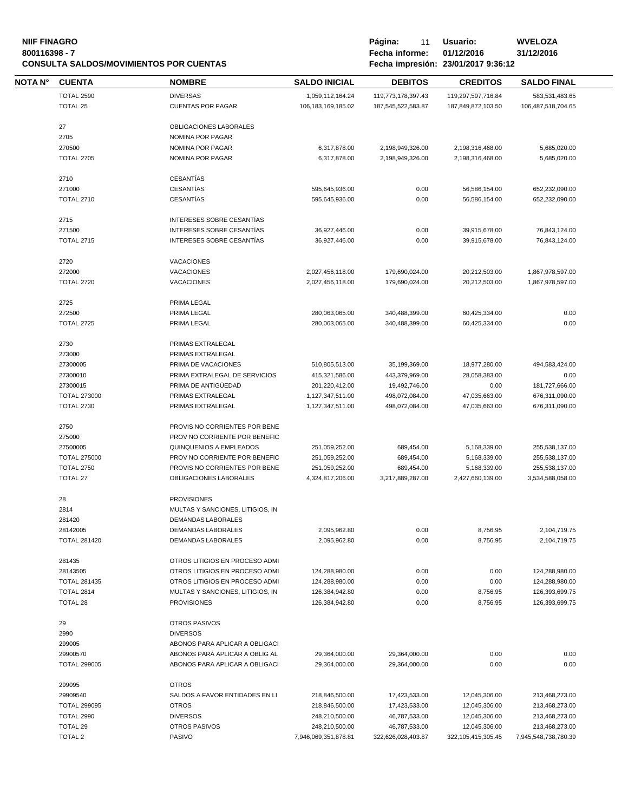#### **NIIF FINAGRO P á g i n a :** 11 **U s u a r i o : WVELOZA 800116398 - 7 Fecha informe: 01/12/2016 31/12/2016 CONSULTA SALDOS/MOVIMIENTOS POR CUENTAS**

| Página:        | 11 | Usuario:                                                 |
|----------------|----|----------------------------------------------------------|
| Fecha informe: |    | 01/12/20                                                 |
|                |    | $F = 1.2$ $F = 1.2$ $F = 1.2$ $F = 0.004$ in $F = 0.004$ |

| NOTA N° | <b>CUENTA</b>       | <b>NOMBRE</b>                          | <b>SALDO INICIAL</b>  | <b>DEBITOS</b>     | <b>CREDITOS</b>        | <b>SALDO FINAL</b>   |
|---------|---------------------|----------------------------------------|-----------------------|--------------------|------------------------|----------------------|
|         | TOTAL 2590          | <b>DIVERSAS</b>                        | 1,059,112,164.24      | 119,773,178,397.43 | 119,297,597,716.84     | 583,531,483.65       |
|         | TOTAL 25            | <b>CUENTAS POR PAGAR</b>               | 106, 183, 169, 185.02 | 187,545,522,583.87 | 187,849,872,103.50     | 106,487,518,704.65   |
|         |                     | OBLIGACIONES LABORALES                 |                       |                    |                        |                      |
|         | 27                  |                                        |                       |                    |                        |                      |
|         | 2705                | NOMINA POR PAGAR                       |                       |                    |                        |                      |
|         | 270500              | NOMINA POR PAGAR                       | 6,317,878.00          | 2,198,949,326.00   | 2,198,316,468.00       | 5,685,020.00         |
|         | <b>TOTAL 2705</b>   | NOMINA POR PAGAR                       | 6,317,878.00          | 2,198,949,326.00   | 2,198,316,468.00       | 5,685,020.00         |
|         | 2710                | <b>CESANTÍAS</b>                       |                       |                    |                        |                      |
|         | 271000              | <b>CESANTÍAS</b>                       | 595,645,936.00        | 0.00               | 56,586,154.00          | 652,232,090.00       |
|         | <b>TOTAL 2710</b>   | <b>CESANTÍAS</b>                       | 595,645,936.00        | 0.00               | 56,586,154.00          | 652,232,090.00       |
|         | 2715                | INTERESES SOBRE CESANTIAS              |                       |                    |                        |                      |
|         | 271500              | INTERESES SOBRE CESANTÍAS              | 36,927,446.00         | 0.00               | 39,915,678.00          | 76,843,124.00        |
|         | <b>TOTAL 2715</b>   | INTERESES SOBRE CESANTÍAS              | 36,927,446.00         | 0.00               | 39,915,678.00          | 76,843,124.00        |
|         |                     |                                        |                       |                    |                        |                      |
|         | 2720<br>272000      | <b>VACACIONES</b><br><b>VACACIONES</b> | 2,027,456,118.00      | 179,690,024.00     | 20,212,503.00          | 1,867,978,597.00     |
|         |                     |                                        |                       |                    |                        |                      |
|         | <b>TOTAL 2720</b>   | VACACIONES                             | 2,027,456,118.00      | 179,690,024.00     | 20,212,503.00          | 1,867,978,597.00     |
|         | 2725                | PRIMA LEGAL                            |                       |                    |                        |                      |
|         | 272500              | PRIMA LEGAL                            | 280,063,065.00        | 340,488,399.00     | 60,425,334.00          | 0.00                 |
|         | <b>TOTAL 2725</b>   | PRIMA LEGAL                            | 280,063,065.00        | 340,488,399.00     | 60,425,334.00          | 0.00                 |
|         | 2730                | PRIMAS EXTRALEGAL                      |                       |                    |                        |                      |
|         | 273000              | PRIMAS EXTRALEGAL                      |                       |                    |                        |                      |
|         | 27300005            | PRIMA DE VACACIONES                    |                       |                    |                        | 494,583,424.00       |
|         | 27300010            | PRIMA EXTRALEGAL DE SERVICIOS          | 510,805,513.00        | 35,199,369.00      | 18,977,280.00          |                      |
|         |                     |                                        | 415,321,586.00        | 443,379,969.00     | 28,058,383.00          | 0.00                 |
|         | 27300015            | PRIMA DE ANTIGÜEDAD                    | 201,220,412.00        | 19,492,746.00      | 0.00                   | 181,727,666.00       |
|         | <b>TOTAL 273000</b> | PRIMAS EXTRALEGAL                      | 1,127,347,511.00      | 498,072,084.00     | 47,035,663.00          | 676,311,090.00       |
|         | <b>TOTAL 2730</b>   | PRIMAS EXTRALEGAL                      | 1,127,347,511.00      | 498,072,084.00     | 47,035,663.00          | 676,311,090.00       |
|         | 2750                | PROVIS NO CORRIENTES POR BENE          |                       |                    |                        |                      |
|         | 275000              | PROV NO CORRIENTE POR BENEFIC          |                       |                    |                        |                      |
|         | 27500005            | QUINQUENIOS A EMPLEADOS                | 251,059,252.00        | 689,454.00         | 5,168,339.00           | 255,538,137.00       |
|         | <b>TOTAL 275000</b> | PROV NO CORRIENTE POR BENEFIC          | 251,059,252.00        | 689,454.00         | 5,168,339.00           | 255,538,137.00       |
|         | <b>TOTAL 2750</b>   | PROVIS NO CORRIENTES POR BENE          | 251,059,252.00        | 689,454.00         | 5,168,339.00           | 255,538,137.00       |
|         | TOTAL 27            | OBLIGACIONES LABORALES                 | 4,324,817,206.00      | 3,217,889,287.00   | 2,427,660,139.00       | 3,534,588,058.00     |
|         |                     | <b>PROVISIONES</b>                     |                       |                    |                        |                      |
|         | 28                  |                                        |                       |                    |                        |                      |
|         | 2814                | MULTAS Y SANCIONES, LITIGIOS, IN       |                       |                    |                        |                      |
|         | 281420              | DEMANDAS LABORALES                     |                       |                    |                        |                      |
|         | 28142005            | DEMANDAS LABORALES                     | 2,095,962.80          | 0.00               | 8,756.95               | 2,104,719.75         |
|         | <b>TOTAL 281420</b> | DEMANDAS LABORALES                     | 2,095,962.80          | 0.00               | 8,756.95               | 2,104,719.75         |
|         | 281435              | OTROS LITIGIOS EN PROCESO ADMI         |                       |                    |                        |                      |
|         | 28143505            | OTROS LITIGIOS EN PROCESO ADMI         | 124,288,980.00        | 0.00               | 0.00                   | 124,288,980.00       |
|         | <b>TOTAL 281435</b> | OTROS LITIGIOS EN PROCESO ADMI         | 124,288,980.00        | 0.00               | 0.00                   | 124,288,980.00       |
|         | TOTAL 2814          | MULTAS Y SANCIONES, LITIGIOS, IN       | 126,384,942.80        | 0.00               | 8,756.95               | 126,393,699.75       |
|         | TOTAL 28            | <b>PROVISIONES</b>                     | 126,384,942.80        | 0.00               | 8,756.95               | 126.393.699.75       |
|         | 29                  | OTROS PASIVOS                          |                       |                    |                        |                      |
|         | 2990                | <b>DIVERSOS</b>                        |                       |                    |                        |                      |
|         | 299005              | ABONOS PARA APLICAR A OBLIGACI         |                       |                    |                        |                      |
|         | 29900570            | ABONOS PARA APLICAR A OBLIG AL         | 29,364,000.00         | 29,364,000.00      | 0.00                   | 0.00                 |
|         | <b>TOTAL 299005</b> | ABONOS PARA APLICAR A OBLIGACI         | 29,364,000.00         | 29,364,000.00      | 0.00                   | 0.00                 |
|         |                     |                                        |                       |                    |                        |                      |
|         | 299095              | <b>OTROS</b>                           |                       |                    |                        |                      |
|         | 29909540            | SALDOS A FAVOR ENTIDADES EN LI         | 218,846,500.00        | 17,423,533.00      | 12,045,306.00          | 213,468,273.00       |
|         | <b>TOTAL 299095</b> | <b>OTROS</b>                           | 218,846,500.00        | 17,423,533.00      | 12,045,306.00          | 213,468,273.00       |
|         | TOTAL 2990          | <b>DIVERSOS</b>                        | 248,210,500.00        | 46,787,533.00      | 12,045,306.00          | 213,468,273.00       |
|         | TOTAL 29            | OTROS PASIVOS                          | 248,210,500.00        | 46,787,533.00      | 12,045,306.00          | 213,468,273.00       |
|         | <b>TOTAL 2</b>      | PASIVO                                 | 7,946,069,351,878.81  | 322,626,028,403.87 | 322, 105, 415, 305. 45 | 7,945,548,738,780.39 |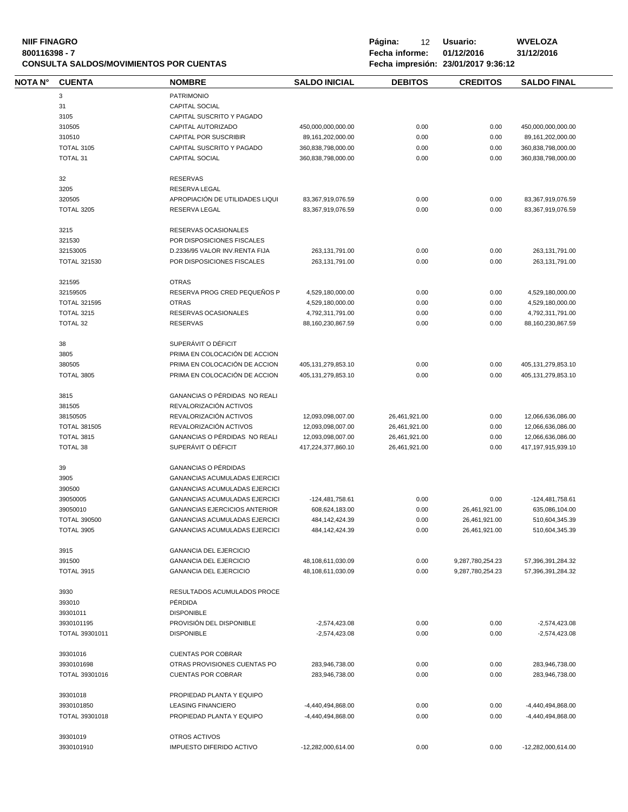| <b>NIIF FINAGRO</b>                            | Página:        | 12 | Usuario:                            | <b>WVELOZA</b> |
|------------------------------------------------|----------------|----|-------------------------------------|----------------|
| 800116398 - 7                                  | Fecha informe: |    | 01/12/2016                          | 31/12/2016     |
| <b>CONSULTA SALDOS/MOVIMIENTOS POR CUENTAS</b> |                |    | Fecha impresión: 23/01/2017 9:36:12 |                |

**CONSULTA SALDOS/MOVIMIENTOS POR CUENTAS Fecha impresión: 23/01/2017 9:36:12**

| NOTA N° | <b>CUENTA</b>       | <b>NOMBRE</b>                                      | <b>SALDO INICIAL</b>   | <b>DEBITOS</b> | <b>CREDITOS</b>  | <b>SALDO FINAL</b>     |
|---------|---------------------|----------------------------------------------------|------------------------|----------------|------------------|------------------------|
|         | 3                   | <b>PATRIMONIO</b>                                  |                        |                |                  |                        |
|         | 31                  | <b>CAPITAL SOCIAL</b>                              |                        |                |                  |                        |
|         | 3105                | CAPITAL SUSCRITO Y PAGADO                          |                        |                |                  |                        |
|         | 310505              | CAPITAL AUTORIZADO                                 | 450,000,000,000.00     | 0.00           | 0.00             | 450,000,000,000.00     |
|         | 310510              | <b>CAPITAL POR SUSCRIBIR</b>                       | 89, 161, 202, 000. 00  | 0.00           | 0.00             | 89, 161, 202, 000. 00  |
|         | <b>TOTAL 3105</b>   | CAPITAL SUSCRITO Y PAGADO                          | 360,838,798,000.00     | 0.00           | 0.00             | 360,838,798,000.00     |
|         | <b>TOTAL 31</b>     | <b>CAPITAL SOCIAL</b>                              | 360,838,798,000.00     | 0.00           | 0.00             | 360,838,798,000.00     |
|         |                     |                                                    |                        |                |                  |                        |
|         | 32                  | <b>RESERVAS</b>                                    |                        |                |                  |                        |
|         | 3205                | RESERVA LEGAL                                      |                        |                |                  |                        |
|         | 320505              | APROPIACIÓN DE UTILIDADES LIQUI                    | 83,367,919,076.59      | 0.00           | 0.00             | 83,367,919,076.59      |
|         | <b>TOTAL 3205</b>   | RESERVA LEGAL                                      | 83,367,919,076.59      | 0.00           | 0.00             | 83,367,919,076.59      |
|         |                     |                                                    |                        |                |                  |                        |
|         | 3215<br>321530      | RESERVAS OCASIONALES<br>POR DISPOSICIONES FISCALES |                        |                |                  |                        |
|         |                     |                                                    |                        |                |                  |                        |
|         | 32153005            | D.2336/95 VALOR INV.RENTA FIJA                     | 263,131,791.00         | 0.00           | 0.00             | 263,131,791.00         |
|         | <b>TOTAL 321530</b> | POR DISPOSICIONES FISCALES                         | 263,131,791.00         | 0.00           | 0.00             | 263,131,791.00         |
|         | 321595              | <b>OTRAS</b>                                       |                        |                |                  |                        |
|         | 32159505            | RESERVA PROG CRED PEQUEÑOS P                       | 4,529,180,000.00       | 0.00           | 0.00             | 4,529,180,000.00       |
|         | <b>TOTAL 321595</b> | <b>OTRAS</b>                                       | 4,529,180,000.00       | 0.00           | 0.00             | 4,529,180,000.00       |
|         | <b>TOTAL 3215</b>   | RESERVAS OCASIONALES                               | 4,792,311,791.00       | 0.00           | 0.00             | 4,792,311,791.00       |
|         | TOTAL 32            | <b>RESERVAS</b>                                    | 88,160,230,867.59      | 0.00           | 0.00             | 88,160,230,867.59      |
|         |                     |                                                    |                        |                |                  |                        |
|         | 38                  | SUPERÁVIT O DÉFICIT                                |                        |                |                  |                        |
|         | 3805                | PRIMA EN COLOCACIÓN DE ACCION                      |                        |                |                  |                        |
|         | 380505              | PRIMA EN COLOCACIÓN DE ACCION                      | 405, 131, 279, 853. 10 | 0.00           | 0.00             | 405, 131, 279, 853. 10 |
|         | <b>TOTAL 3805</b>   | PRIMA EN COLOCACIÓN DE ACCION                      | 405, 131, 279, 853. 10 | 0.00           | 0.00             | 405, 131, 279, 853. 10 |
|         |                     |                                                    |                        |                |                  |                        |
|         | 3815                | GANANCIAS O PÉRDIDAS NO REALI                      |                        |                |                  |                        |
|         | 381505              | REVALORIZACIÓN ACTIVOS                             |                        |                |                  |                        |
|         | 38150505            | REVALORIZACIÓN ACTIVOS                             | 12,093,098,007.00      | 26,461,921.00  | 0.00             | 12,066,636,086.00      |
|         | <b>TOTAL 381505</b> | REVALORIZACIÓN ACTIVOS                             | 12,093,098,007.00      | 26,461,921.00  | 0.00             | 12,066,636,086.00      |
|         | <b>TOTAL 3815</b>   | GANANCIAS O PÉRDIDAS NO REALI                      | 12,093,098,007.00      | 26,461,921.00  | 0.00             | 12,066,636,086.00      |
|         | TOTAL 38            | SUPERÁVIT O DÉFICIT                                | 417,224,377,860.10     | 26,461,921.00  | 0.00             | 417,197,915,939.10     |
|         | 39                  | <b>GANANCIAS O PÉRDIDAS</b>                        |                        |                |                  |                        |
|         |                     | <b>GANANCIAS ACUMULADAS EJERCICI</b>               |                        |                |                  |                        |
|         | 3905                |                                                    |                        |                |                  |                        |
|         | 390500              | GANANCIAS ACUMULADAS EJERCICI                      |                        |                |                  |                        |
|         | 39050005            | <b>GANANCIAS ACUMULADAS EJERCICI</b>               | -124,481,758.61        | 0.00           | 0.00             | -124,481,758.61        |
|         | 39050010            | <b>GANANCIAS EJERCICIOS ANTERIOR</b>               | 608,624,183.00         | 0.00           | 26,461,921.00    | 635,086,104.00         |
|         | <b>TOTAL 390500</b> | <b>GANANCIAS ACUMULADAS EJERCICI</b>               | 484, 142, 424. 39      | 0.00           | 26,461,921.00    | 510,604,345.39         |
|         | <b>TOTAL 3905</b>   | GANANCIAS ACUMULADAS EJERCICI                      | 484, 142, 424. 39      | 0.00           | 26,461,921.00    | 510,604,345.39         |
|         | 3915                | <b>GANANCIA DEL EJERCICIO</b>                      |                        |                |                  |                        |
|         | 391500              | <b>GANANCIA DEL EJERCICIO</b>                      | 48,108,611,030.09      | 0.00           | 9,287,780,254.23 | 57,396,391,284.32      |
|         |                     |                                                    |                        |                |                  |                        |
|         | <b>TOTAL 3915</b>   | <b>GANANCIA DEL EJERCICIO</b>                      | 48,108,611,030.09      | 0.00           | 9,287,780,254.23 | 57,396,391,284.32      |
|         | 3930                | RESULTADOS ACUMULADOS PROCE                        |                        |                |                  |                        |
|         | 393010              | PÉRDIDA                                            |                        |                |                  |                        |
|         | 39301011            | <b>DISPONIBLE</b>                                  |                        |                |                  |                        |
|         | 3930101195          | PROVISIÓN DEL DISPONIBLE                           | $-2,574,423.08$        | 0.00           | 0.00             | $-2,574,423.08$        |
|         | TOTAL 39301011      | <b>DISPONIBLE</b>                                  | $-2,574,423.08$        | 0.00           | 0.00             | $-2,574,423.08$        |
|         |                     |                                                    |                        |                |                  |                        |
|         | 39301016            | <b>CUENTAS POR COBRAR</b>                          |                        |                |                  |                        |
|         | 3930101698          | OTRAS PROVISIONES CUENTAS PO                       | 283,946,738.00         | 0.00           | 0.00             | 283,946,738.00         |
|         | TOTAL 39301016      | <b>CUENTAS POR COBRAR</b>                          | 283,946,738.00         | 0.00           | 0.00             | 283,946,738.00         |
|         |                     |                                                    |                        |                |                  |                        |
|         | 39301018            | PROPIEDAD PLANTA Y EQUIPO                          |                        |                |                  |                        |
|         | 3930101850          | <b>LEASING FINANCIERO</b>                          | -4,440,494,868.00      | 0.00           | 0.00             | -4,440,494,868.00      |
|         | TOTAL 39301018      | PROPIEDAD PLANTA Y EQUIPO                          | -4,440,494,868.00      | 0.00           | 0.00             | -4,440,494,868.00      |
|         | 39301019            | OTROS ACTIVOS                                      |                        |                |                  |                        |
|         | 3930101910          | IMPUESTO DIFERIDO ACTIVO                           | -12,282,000,614.00     | 0.00           | 0.00             | -12,282,000,614.00     |
|         |                     |                                                    |                        |                |                  |                        |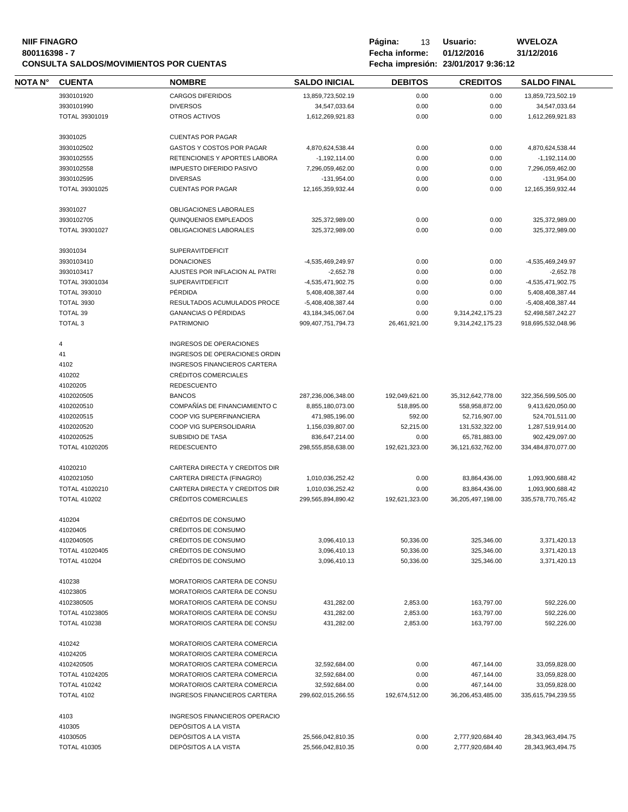#### **NIIF FINAGRO P á g i n a :** 13 **U s u a r i o : WVELOZA 800116398 - 7 Fecha informe: 01/12/2016 31/12/2016 CONSULTA SALDOS/MOVIMIENTOS POR CUENTAS Fecha impresión: 23/01/2017 9:36:12**

| Página:        | 13 | Usuario:                                      |
|----------------|----|-----------------------------------------------|
| Fecha informe: |    | 01/12/2016                                    |
|                |    | $F_{\alpha\alpha}$ ka imperión. 22/04/2017.02 |

| <b>NOTA N°</b> | <b>CUENTA</b>                         | <b>NOMBRE</b>                                     | <b>SALDO INICIAL</b>         | <b>DEBITOS</b>         | <b>CREDITOS</b>          | <b>SALDO FINAL</b>           |
|----------------|---------------------------------------|---------------------------------------------------|------------------------------|------------------------|--------------------------|------------------------------|
|                | 3930101920                            | <b>CARGOS DIFERIDOS</b>                           | 13,859,723,502.19            | 0.00                   | 0.00                     | 13,859,723,502.19            |
|                | 3930101990                            | <b>DIVERSOS</b>                                   | 34,547,033.64                | 0.00                   | 0.00                     | 34,547,033.64                |
|                | TOTAL 39301019                        | OTROS ACTIVOS                                     | 1,612,269,921.83             | 0.00                   | 0.00                     | 1,612,269,921.83             |
|                | 39301025                              | <b>CUENTAS POR PAGAR</b>                          |                              |                        |                          |                              |
|                | 3930102502                            | GASTOS Y COSTOS POR PAGAR                         | 4,870,624,538.44             | 0.00                   | 0.00                     | 4,870,624,538.44             |
|                | 3930102555                            | RETENCIONES Y APORTES LABORA                      | $-1,192,114.00$              | 0.00                   | 0.00                     | $-1,192,114.00$              |
|                | 3930102558                            | <b>IMPUESTO DIFERIDO PASIVO</b>                   | 7,296,059,462.00             | 0.00                   | 0.00                     | 7,296,059,462.00             |
|                | 3930102595                            | <b>DIVERSAS</b>                                   |                              |                        |                          | $-131,954.00$                |
|                |                                       |                                                   | $-131,954.00$                | 0.00                   | 0.00                     |                              |
|                | TOTAL 39301025                        | <b>CUENTAS POR PAGAR</b>                          | 12, 165, 359, 932. 44        | 0.00                   | 0.00                     | 12, 165, 359, 932. 44        |
|                | 39301027                              | OBLIGACIONES LABORALES                            |                              |                        |                          |                              |
|                | 3930102705                            | QUINQUENIOS EMPLEADOS                             | 325,372,989.00               | 0.00                   | 0.00                     | 325,372,989.00               |
|                | TOTAL 39301027                        | OBLIGACIONES LABORALES                            | 325,372,989.00               | 0.00                   | 0.00                     | 325,372,989.00               |
|                | 39301034                              | <b>SUPERAVITDEFICIT</b>                           |                              |                        |                          |                              |
|                | 3930103410                            | <b>DONACIONES</b>                                 | -4,535,469,249.97            | 0.00                   | 0.00                     | -4,535,469,249.97            |
|                |                                       | AJUSTES POR INFLACION AL PATRI                    |                              |                        |                          |                              |
|                | 3930103417                            |                                                   | $-2,652.78$                  | 0.00                   | 0.00                     | $-2,652.78$                  |
|                | TOTAL 39301034                        | <b>SUPERAVITDEFICIT</b>                           | -4,535,471,902.75            | 0.00                   | 0.00                     | -4,535,471,902.75            |
|                | <b>TOTAL 393010</b>                   | PÉRDIDA                                           | 5,408,408,387.44             | 0.00                   | 0.00                     | 5,408,408,387.44             |
|                | <b>TOTAL 3930</b>                     | RESULTADOS ACUMULADOS PROCE                       | -5,408,408,387.44            | 0.00                   | 0.00                     | -5,408,408,387.44            |
|                | TOTAL 39                              | <b>GANANCIAS O PÉRDIDAS</b>                       | 43, 184, 345, 067. 04        | 0.00                   | 9,314,242,175.23         | 52,498,587,242.27            |
|                | <b>TOTAL 3</b>                        | <b>PATRIMONIO</b>                                 | 909, 407, 751, 794. 73       | 26,461,921.00          | 9,314,242,175.23         | 918,695,532,048.96           |
|                | 4                                     | <b>INGRESOS DE OPERACIONES</b>                    |                              |                        |                          |                              |
|                | 41                                    | INGRESOS DE OPERACIONES ORDIN                     |                              |                        |                          |                              |
|                | 4102                                  | <b>INGRESOS FINANCIEROS CARTERA</b>               |                              |                        |                          |                              |
|                | 410202                                | <b>CRÉDITOS COMERCIALES</b>                       |                              |                        |                          |                              |
|                | 41020205                              | <b>REDESCUENTO</b>                                |                              |                        |                          |                              |
|                |                                       |                                                   |                              |                        |                          |                              |
|                | 4102020505                            | <b>BANCOS</b>                                     | 287,236,006,348.00           | 192,049,621.00         | 35,312,642,778.00        | 322,356,599,505.00           |
|                | 4102020510                            | COMPAÑÍAS DE FINANCIAMIENTO C                     | 8,855,180,073.00             | 518,895.00             | 558,958,872.00           | 9,413,620,050.00             |
|                | 4102020515                            | COOP VIG SUPERFINANCIERA                          | 471,985,196.00               | 592.00                 | 52,716,907.00            | 524,701,511.00               |
|                | 4102020520                            | COOP VIG SUPERSOLIDARIA                           | 1,156,039,807.00             | 52,215.00              | 131,532,322.00           | 1,287,519,914.00             |
|                | 4102020525                            | <b>SUBSIDIO DE TASA</b>                           | 836,647,214.00               | 0.00                   | 65,781,883.00            | 902,429,097.00               |
|                | TOTAL 41020205                        | <b>REDESCUENTO</b>                                | 298,555,858,638.00           | 192,621,323.00         | 36, 121, 632, 762.00     | 334,484,870,077.00           |
|                | 41020210                              | CARTERA DIRECTA Y CREDITOS DIR                    |                              |                        |                          |                              |
|                | 4102021050                            | CARTERA DIRECTA (FINAGRO)                         | 1,010,036,252.42             | 0.00                   | 83,864,436.00            | 1,093,900,688.42             |
|                | TOTAL 41020210                        | CARTERA DIRECTA Y CREDITOS DIR                    | 1,010,036,252.42             | 0.00                   | 83,864,436.00            | 1,093,900,688.42             |
|                | <b>TOTAL 410202</b>                   | CRÉDITOS COMERCIALES                              | 299,565,894,890.42           | 192,621,323.00         | 36,205,497,198.00        | 335,578,770,765.42           |
|                |                                       |                                                   |                              |                        |                          |                              |
|                | 410204<br>41020405                    | <b>CRÉDITOS DE CONSUMO</b><br>CRÉDITOS DE CONSUMO |                              |                        |                          |                              |
|                |                                       |                                                   |                              |                        |                          |                              |
|                | 4102040505                            | CRÉDITOS DE CONSUMO                               | 3,096,410.13                 | 50,336.00              | 325,346.00               | 3,371,420.13                 |
|                | TOTAL 41020405<br><b>TOTAL 410204</b> | CRÉDITOS DE CONSUMO<br>CRÉDITOS DE CONSUMO        | 3,096,410.13<br>3,096,410.13 | 50,336.00<br>50,336.00 | 325,346.00<br>325,346.00 | 3,371,420.13<br>3,371,420.13 |
|                |                                       |                                                   |                              |                        |                          |                              |
|                | 410238                                | MORATORIOS CARTERA DE CONSU                       |                              |                        |                          |                              |
|                | 41023805                              | MORATORIOS CARTERA DE CONSU                       |                              |                        |                          |                              |
|                | 4102380505                            | MORATORIOS CARTERA DE CONSU                       | 431,282.00                   | 2,853.00               | 163,797.00               | 592,226.00                   |
|                | TOTAL 41023805                        | MORATORIOS CARTERA DE CONSU                       | 431,282.00                   | 2,853.00               | 163,797.00               | 592,226.00                   |
|                | <b>TOTAL 410238</b>                   | MORATORIOS CARTERA DE CONSU                       | 431,282.00                   | 2,853.00               | 163,797.00               | 592,226.00                   |
|                | 410242                                | MORATORIOS CARTERA COMERCIA                       |                              |                        |                          |                              |
|                | 41024205                              |                                                   |                              |                        |                          |                              |
|                |                                       | MORATORIOS CARTERA COMERCIA                       |                              |                        |                          |                              |
|                | 4102420505                            | MORATORIOS CARTERA COMERCIA                       | 32,592,684.00                | 0.00                   | 467,144.00               | 33,059,828.00                |
|                | TOTAL 41024205                        | MORATORIOS CARTERA COMERCIA                       | 32,592,684.00                | 0.00                   | 467,144.00               | 33,059,828.00                |
|                | <b>TOTAL 410242</b>                   | MORATORIOS CARTERA COMERCIA                       | 32,592,684.00                | 0.00                   | 467,144.00               | 33,059,828.00                |
|                | TOTAL 4102                            | INGRESOS FINANCIEROS CARTERA                      | 299,602,015,266.55           | 192,674,512.00         | 36,206,453,485.00        | 335,615,794,239.55           |
|                | 4103                                  | INGRESOS FINANCIEROS OPERACIO                     |                              |                        |                          |                              |
|                |                                       |                                                   |                              |                        |                          |                              |
|                |                                       |                                                   |                              |                        |                          |                              |
|                | 410305<br>41030505                    | DEPÓSITOS A LA VISTA<br>DEPÓSITOS A LA VISTA      | 25,566,042,810.35            | 0.00                   | 2,777,920,684.40         | 28,343,963,494.75            |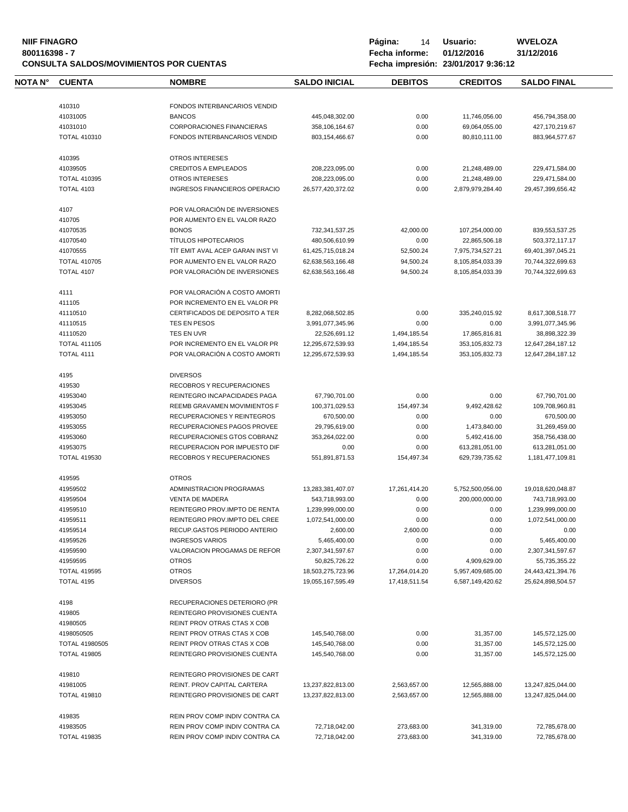# **NIIF FINAGRO P á g i n a :** 14 **U s u a r i o : WVELOZA CONSULTA SALDOS/MOVIMIENTOS POR CUENTAS**

| <b>NOTA N°</b> | <b>CUENTA</b>                     | <b>NOMBRE</b>                        | <b>SALDO INICIAL</b>                   | <b>DEBITOS</b>                 | <b>CREDITOS</b>                      | <b>SALDO FINAL</b>                     |
|----------------|-----------------------------------|--------------------------------------|----------------------------------------|--------------------------------|--------------------------------------|----------------------------------------|
|                |                                   |                                      |                                        |                                |                                      |                                        |
|                | 410310                            | FONDOS INTERBANCARIOS VENDID         |                                        |                                |                                      |                                        |
|                | 41031005                          | <b>BANCOS</b>                        | 445,048,302.00                         | 0.00                           | 11,746,056.00                        | 456,794,358.00                         |
|                | 41031010                          | <b>CORPORACIONES FINANCIERAS</b>     | 358,106,164.67                         | 0.00                           | 69,064,055.00                        | 427,170,219.67                         |
|                | <b>TOTAL 410310</b>               | <b>FONDOS INTERBANCARIOS VENDID</b>  | 803, 154, 466.67                       | 0.00                           | 80,810,111.00                        | 883,964,577.67                         |
|                | 410395                            | <b>OTROS INTERESES</b>               |                                        |                                |                                      |                                        |
|                | 41039505                          | <b>CREDITOS A EMPLEADOS</b>          | 208,223,095.00                         | 0.00                           | 21,248,489.00                        | 229,471,584.00                         |
|                | <b>TOTAL 410395</b>               | <b>OTROS INTERESES</b>               | 208,223,095.00                         | 0.00                           | 21,248,489.00                        | 229,471,584.00                         |
|                | <b>TOTAL 4103</b>                 | <b>INGRESOS FINANCIEROS OPERACIO</b> | 26,577,420,372.02                      | 0.00                           | 2,879,979,284.40                     | 29,457,399,656.42                      |
|                | 4107                              | POR VALORACIÓN DE INVERSIONES        |                                        |                                |                                      |                                        |
|                | 410705                            | POR AUMENTO EN EL VALOR RAZO         |                                        |                                |                                      |                                        |
|                | 41070535                          | <b>BONOS</b>                         | 732,341,537.25                         | 42,000.00                      | 107,254,000.00                       | 839,553,537.25                         |
|                | 41070540                          | <b>TÍTULOS HIPOTECARIOS</b>          | 480,506,610.99                         | 0.00                           | 22,865,506.18                        | 503,372,117.17                         |
|                | 41070555                          | TIT EMIT AVAL ACEP GARAN INST VI     | 61,425,715,018.24                      | 52,500.24                      | 7,975,734,527.21                     | 69,401,397,045.21                      |
|                | <b>TOTAL 410705</b>               | POR AUMENTO EN EL VALOR RAZO         | 62,638,563,166.48                      | 94,500.24                      | 8,105,854,033.39                     | 70,744,322,699.63                      |
|                | TOTAL 4107                        | POR VALORACIÓN DE INVERSIONES        | 62,638,563,166.48                      | 94,500.24                      | 8,105,854,033.39                     | 70,744,322,699.63                      |
|                |                                   |                                      |                                        |                                |                                      |                                        |
|                | 4111                              | POR VALORACIÓN A COSTO AMORTI        |                                        |                                |                                      |                                        |
|                | 411105                            | POR INCREMENTO EN EL VALOR PR        |                                        |                                |                                      |                                        |
|                | 41110510                          | CERTIFICADOS DE DEPOSITO A TER       | 8.282.068.502.85                       | 0.00                           | 335,240,015.92                       | 8,617,308,518.77                       |
|                | 41110515                          | TES EN PESOS                         | 3,991,077,345.96                       | 0.00                           | 0.00                                 | 3,991,077,345.96                       |
|                | 41110520                          | TES EN UVR                           | 22,526,691.12                          | 1,494,185.54                   | 17,865,816.81                        | 38,898,322.39                          |
|                | <b>TOTAL 411105</b>               | POR INCREMENTO EN EL VALOR PR        | 12,295,672,539.93                      | 1,494,185.54                   | 353,105,832.73                       | 12,647,284,187.12                      |
|                | TOTAL 4111                        | POR VALORACIÓN A COSTO AMORTI        | 12.295.672.539.93                      | 1,494,185.54                   | 353.105.832.73                       | 12,647,284,187.12                      |
|                | 4195                              | <b>DIVERSOS</b>                      |                                        |                                |                                      |                                        |
|                | 419530                            | RECOBROS Y RECUPERACIONES            |                                        |                                |                                      |                                        |
|                | 41953040                          | REINTEGRO INCAPACIDADES PAGA         | 67,790,701.00                          | 0.00                           | 0.00                                 | 67,790,701.00                          |
|                | 41953045                          | REEMB GRAVAMEN MOVIMIENTOS F         | 100,371,029.53                         | 154,497.34                     | 9,492,428.62                         | 109,708,960.81                         |
|                | 41953050                          | RECUPERACIONES Y REINTEGROS          | 670,500.00                             | 0.00                           | 0.00                                 | 670,500.00                             |
|                | 41953055                          | RECUPERACIONES PAGOS PROVEE          | 29,795,619.00                          | 0.00                           | 1,473,840.00                         | 31,269,459.00                          |
|                | 41953060                          | RECUPERACIONES GTOS COBRANZ          | 353,264,022.00                         | 0.00                           | 5,492,416.00                         | 358,756,438.00                         |
|                | 41953075                          | RECUPERACION POR IMPUESTO DIF        | 0.00                                   | 0.00                           | 613,281,051.00                       | 613,281,051.00                         |
|                | <b>TOTAL 419530</b>               | RECOBROS Y RECUPERACIONES            | 551,891,871.53                         | 154,497.34                     | 629,739,735.62                       | 1,181,477,109.81                       |
|                | 419595                            | <b>OTROS</b>                         |                                        |                                |                                      |                                        |
|                | 41959502                          | ADMINISTRACION PROGRAMAS             | 13,283,381,407.07                      | 17,261,414.20                  | 5,752,500,056.00                     | 19,018,620,048.87                      |
|                | 41959504                          | <b>VENTA DE MADERA</b>               | 543,718,993.00                         | 0.00                           | 200,000,000.00                       | 743,718,993.00                         |
|                | 41959510                          | REINTEGRO PROV.IMPTO DE RENTA        | 1,239,999,000.00                       | 0.00                           | 0.00                                 | 1,239,999,000.00                       |
|                | 41959511                          | REINTEGRO PROV.IMPTO DEL CREE        | 1,072,541,000.00                       | 0.00                           | 0.00                                 | 1,072,541,000.00                       |
|                | 41959514                          | RECUP.GASTOS PERIODO ANTERIO         | 2,600.00                               | 2,600.00                       | 0.00                                 | 0.00                                   |
|                | 41959526                          | <b>INGRESOS VARIOS</b>               | 5,465,400.00                           | 0.00                           |                                      |                                        |
|                | 41959590                          | VALORACION PROGAMAS DE REFOR         |                                        | 0.00                           | 0.00<br>0.00                         | 5,465,400.00                           |
|                |                                   | <b>OTROS</b>                         | 2,307,341,597.67                       |                                |                                      | 2,307,341,597.67                       |
|                | 41959595                          |                                      | 50,825,726.22                          | 0.00                           | 4,909,629.00                         | 55,735,355.22                          |
|                | <b>TOTAL 419595</b><br>TOTAL 4195 | <b>OTROS</b><br><b>DIVERSOS</b>      | 18,503,275,723.96<br>19,055,167,595.49 | 17,264,014.20<br>17,418,511.54 | 5,957,409,685.00<br>6,587,149,420.62 | 24,443,421,394.76<br>25,624,898,504.57 |
|                |                                   |                                      |                                        |                                |                                      |                                        |
|                | 4198                              | RECUPERACIONES DETERIORO (PR         |                                        |                                |                                      |                                        |
|                | 419805                            | REINTEGRO PROVISIONES CUENTA         |                                        |                                |                                      |                                        |
|                | 41980505                          | REINT PROV OTRAS CTAS X COB          |                                        |                                |                                      |                                        |
|                | 4198050505                        | REINT PROV OTRAS CTAS X COB          | 145,540,768.00                         | 0.00                           | 31,357.00                            | 145,572,125.00                         |
|                | <b>TOTAL 41980505</b>             | REINT PROV OTRAS CTAS X COB          | 145,540,768.00                         | 0.00                           | 31,357.00                            | 145,572,125.00                         |
|                | <b>TOTAL 419805</b>               | REINTEGRO PROVISIONES CUENTA         | 145,540,768.00                         | 0.00                           | 31,357.00                            | 145,572,125.00                         |
|                | 419810                            | REINTEGRO PROVISIONES DE CART        |                                        |                                |                                      |                                        |
|                | 41981005                          | REINT. PROV CAPITAL CARTERA          | 13,237,822,813.00                      | 2,563,657.00                   | 12,565,888.00                        | 13,247,825,044.00                      |
|                | <b>TOTAL 419810</b>               | REINTEGRO PROVISIONES DE CART        | 13,237,822,813.00                      | 2,563,657.00                   | 12,565,888.00                        | 13,247,825,044.00                      |
|                | 419835                            | REIN PROV COMP INDIV CONTRA CA       |                                        |                                |                                      |                                        |
|                | 41983505                          | REIN PROV COMP INDIV CONTRA CA       | 72,718,042.00                          | 273,683.00                     | 341,319.00                           | 72,785,678.00                          |
|                | <b>TOTAL 419835</b>               | REIN PROV COMP INDIV CONTRA CA       | 72,718,042.00                          | 273,683.00                     | 341,319.00                           | 72,785,678.00                          |
|                |                                   |                                      |                                        |                                |                                      |                                        |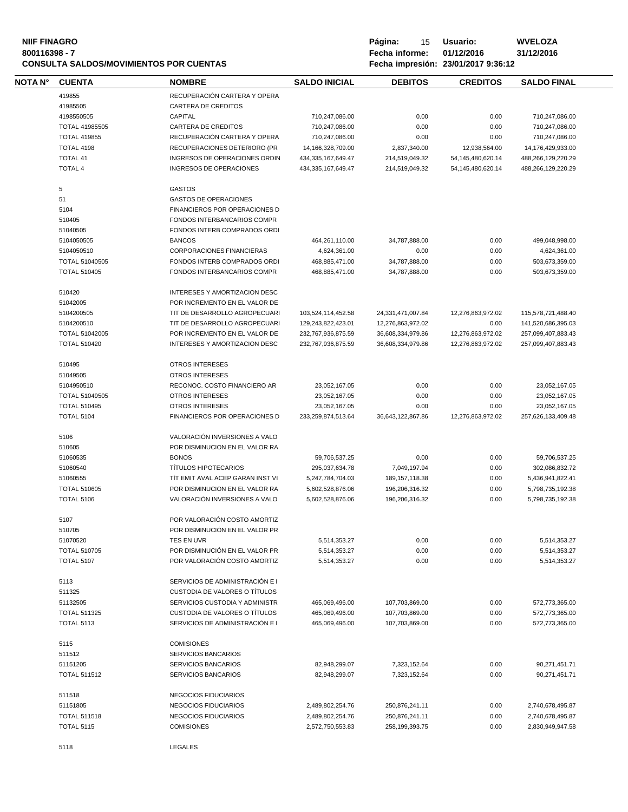| <b>NIIF FINAGRO</b><br>800116398 - 7<br><b>CONSULTA SALDOS/MOVIMIENTOS POR CUENTAS</b> |                                 |                                                                |                                | Página:<br>15<br>Fecha informe: | Usuario:<br>01/12/2016<br>Fecha impresión: 23/01/2017 9:36:12 | <b>WVELOZA</b><br>31/12/2016   |  |
|----------------------------------------------------------------------------------------|---------------------------------|----------------------------------------------------------------|--------------------------------|---------------------------------|---------------------------------------------------------------|--------------------------------|--|
| NOTA N°                                                                                | <b>CUENTA</b>                   | <b>NOMBRE</b>                                                  | <b>SALDO INICIAL</b>           | <b>DEBITOS</b>                  | <b>CREDITOS</b>                                               | <b>SALDO FINAL</b>             |  |
|                                                                                        | 419855                          | RECUPERACIÓN CARTERA Y OPERA                                   |                                |                                 |                                                               |                                |  |
|                                                                                        | 41985505                        | <b>CARTERA DE CREDITOS</b>                                     |                                |                                 |                                                               |                                |  |
|                                                                                        | 4198550505                      | CAPITAL                                                        | 710,247,086.00                 | 0.00                            | 0.00                                                          | 710,247,086.00                 |  |
|                                                                                        |                                 |                                                                |                                |                                 |                                                               |                                |  |
|                                                                                        | <b>TOTAL 41985505</b>           | <b>CARTERA DE CREDITOS</b>                                     | 710,247,086.00                 | 0.00                            | 0.00                                                          | 710,247,086.00                 |  |
|                                                                                        | <b>TOTAL 419855</b>             | RECUPERACIÓN CARTERA Y OPERA                                   | 710,247,086.00                 | 0.00                            | 0.00                                                          | 710,247,086.00                 |  |
|                                                                                        | TOTAL 4198                      | RECUPERACIONES DETERIORO (PR                                   | 14,166,328,709.00              | 2,837,340.00                    | 12,938,564.00                                                 | 14,176,429,933.00              |  |
|                                                                                        | <b>TOTAL 41</b>                 | INGRESOS DE OPERACIONES ORDIN                                  | 434, 335, 167, 649. 47         | 214,519,049.32                  | 54,145,480,620.14                                             | 488,266,129,220.29             |  |
|                                                                                        | <b>TOTAL 4</b>                  | INGRESOS DE OPERACIONES                                        | 434, 335, 167, 649. 47         | 214,519,049.32                  | 54,145,480,620.14                                             | 488,266,129,220.29             |  |
|                                                                                        | 5                               | <b>GASTOS</b>                                                  |                                |                                 |                                                               |                                |  |
|                                                                                        |                                 |                                                                |                                |                                 |                                                               |                                |  |
|                                                                                        | 51                              | <b>GASTOS DE OPERACIONES</b>                                   |                                |                                 |                                                               |                                |  |
|                                                                                        | 5104                            | FINANCIEROS POR OPERACIONES D                                  |                                |                                 |                                                               |                                |  |
|                                                                                        | 510405                          | FONDOS INTERBANCARIOS COMPR                                    |                                |                                 |                                                               |                                |  |
|                                                                                        | 51040505                        | FONDOS INTERB COMPRADOS ORDI                                   |                                |                                 |                                                               |                                |  |
|                                                                                        | 5104050505                      | <b>BANCOS</b>                                                  | 464,261,110.00                 | 34,787,888.00                   | 0.00                                                          | 499,048,998.00                 |  |
|                                                                                        |                                 |                                                                |                                |                                 |                                                               |                                |  |
|                                                                                        | 5104050510                      | <b>CORPORACIONES FINANCIERAS</b>                               | 4,624,361.00                   | 0.00                            | 0.00                                                          | 4,624,361.00                   |  |
|                                                                                        | TOTAL 51040505                  | FONDOS INTERB COMPRADOS ORDI                                   | 468,885,471.00                 | 34,787,888.00                   | 0.00                                                          | 503,673,359.00                 |  |
|                                                                                        | <b>TOTAL 510405</b>             | FONDOS INTERBANCARIOS COMPR                                    | 468,885,471.00                 | 34,787,888.00                   | 0.00                                                          | 503,673,359.00                 |  |
|                                                                                        |                                 |                                                                |                                |                                 |                                                               |                                |  |
|                                                                                        | 510420<br>51042005              | INTERESES Y AMORTIZACION DESC<br>POR INCREMENTO EN EL VALOR DE |                                |                                 |                                                               |                                |  |
|                                                                                        | 5104200505                      | TIT DE DESARROLLO AGROPECUARI                                  | 103,524,114,452.58             | 24,331,471,007.84               | 12,276,863,972.02                                             | 115,578,721,488.40             |  |
|                                                                                        |                                 |                                                                |                                |                                 |                                                               |                                |  |
|                                                                                        | 5104200510                      | TIT DE DESARROLLO AGROPECUARI                                  | 129,243,822,423.01             | 12,276,863,972.02               | 0.00                                                          | 141,520,686,395.03             |  |
|                                                                                        | TOTAL 51042005                  | POR INCREMENTO EN EL VALOR DE                                  | 232,767,936,875.59             | 36,608,334,979.86               | 12,276,863,972.02                                             | 257,099,407,883.43             |  |
|                                                                                        | <b>TOTAL 510420</b>             | INTERESES Y AMORTIZACION DESC                                  | 232,767,936,875.59             | 36,608,334,979.86               | 12,276,863,972.02                                             | 257,099,407,883.43             |  |
|                                                                                        | 510495                          | OTROS INTERESES                                                |                                |                                 |                                                               |                                |  |
|                                                                                        | 51049505                        | OTROS INTERESES                                                |                                |                                 |                                                               |                                |  |
|                                                                                        | 5104950510                      |                                                                |                                |                                 |                                                               |                                |  |
|                                                                                        |                                 | RECONOC. COSTO FINANCIERO AR                                   | 23,052,167.05                  | 0.00                            | 0.00                                                          | 23,052,167.05                  |  |
|                                                                                        | <b>TOTAL 51049505</b>           | OTROS INTERESES                                                | 23,052,167.05                  | 0.00                            | 0.00                                                          | 23,052,167.05                  |  |
|                                                                                        | <b>TOTAL 510495</b>             | <b>OTROS INTERESES</b>                                         | 23,052,167.05                  | 0.00                            | 0.00                                                          | 23,052,167.05                  |  |
|                                                                                        | <b>TOTAL 5104</b>               | FINANCIEROS POR OPERACIONES D                                  | 233,259,874,513.64             | 36,643,122,867.86               | 12,276,863,972.02                                             | 257,626,133,409.48             |  |
|                                                                                        | 5106                            | VALORACIÓN INVERSIONES A VALO                                  |                                |                                 |                                                               |                                |  |
|                                                                                        | 510605                          | POR DISMINUCION EN EL VALOR RA                                 |                                |                                 |                                                               |                                |  |
|                                                                                        | 51060535                        | <b>BONOS</b>                                                   | 59,706,537.25                  | 0.00                            | 0.00                                                          | 59,706,537.25                  |  |
|                                                                                        |                                 |                                                                |                                |                                 |                                                               |                                |  |
|                                                                                        | 51060540                        | <b>TÍTULOS HIPOTECARIOS</b>                                    | 295,037,634.78                 | 7,049,197.94                    | 0.00                                                          | 302,086,832.72                 |  |
|                                                                                        | 51060555                        | TÍT EMIT AVAL ACEP GARAN INST VI                               | 5,247,784,704.03               | 189, 157, 118.38                | 0.00                                                          | 5,436,941,822.41               |  |
|                                                                                        | <b>TOTAL 510605</b>             | POR DISMINUCION EN EL VALOR RA                                 | 5,602,528,876.06               | 196,206,316.32                  | 0.00                                                          | 5,798,735,192.38               |  |
|                                                                                        | TOTAL 5106                      | VALORACION INVERSIONES A VALO                                  | 5,602,528,876.06               | 196,206,316.32                  | 0.00                                                          | 5,798,735,192.38               |  |
|                                                                                        | 5107                            | POR VALORACIÓN COSTO AMORTIZ                                   |                                |                                 |                                                               |                                |  |
|                                                                                        |                                 |                                                                |                                |                                 |                                                               |                                |  |
|                                                                                        | 510705                          | POR DISMINUCIÓN EN EL VALOR PR                                 |                                |                                 |                                                               |                                |  |
|                                                                                        | 51070520                        | TES EN UVR                                                     | 5,514,353.27                   | 0.00                            | 0.00                                                          | 5,514,353.27                   |  |
|                                                                                        | <b>TOTAL 510705</b>             | POR DISMINUCIÓN EN EL VALOR PR                                 | 5,514,353.27                   | 0.00                            | 0.00                                                          | 5,514,353.27                   |  |
|                                                                                        | <b>TOTAL 5107</b>               | POR VALORACIÓN COSTO AMORTIZ                                   | 5,514,353.27                   | 0.00                            | 0.00                                                          | 5,514,353.27                   |  |
|                                                                                        | 5113                            | SERVICIOS DE ADMINISTRACIÓN E I                                |                                |                                 |                                                               |                                |  |
|                                                                                        | 511325                          | CUSTODIA DE VALORES O TÍTULOS                                  |                                |                                 |                                                               |                                |  |
|                                                                                        |                                 |                                                                |                                |                                 |                                                               |                                |  |
|                                                                                        | 51132505                        | SERVICIOS CUSTODIA Y ADMINISTR                                 | 465,069,496.00                 | 107,703,869.00                  | 0.00                                                          | 572,773,365.00                 |  |
|                                                                                        | <b>TOTAL 511325</b>             | CUSTODIA DE VALORES O TÍTULOS                                  | 465,069,496.00                 | 107,703,869.00                  | 0.00                                                          | 572,773,365.00                 |  |
|                                                                                        | <b>TOTAL 5113</b>               | SERVICIOS DE ADMINISTRACIÓN E I                                | 465.069.496.00                 | 107,703,869.00                  | 0.00                                                          | 572,773,365.00                 |  |
|                                                                                        | 5115                            | <b>COMISIONES</b>                                              |                                |                                 |                                                               |                                |  |
|                                                                                        | 511512                          | <b>SERVICIOS BANCARIOS</b>                                     |                                |                                 |                                                               |                                |  |
|                                                                                        |                                 |                                                                |                                |                                 |                                                               |                                |  |
|                                                                                        | 51151205<br><b>TOTAL 511512</b> | SERVICIOS BANCARIOS<br>SERVICIOS BANCARIOS                     | 82,948,299.07<br>82,948,299.07 | 7,323,152.64<br>7,323,152.64    | 0.00<br>0.00                                                  | 90,271,451.71<br>90,271,451.71 |  |
|                                                                                        |                                 |                                                                |                                |                                 |                                                               |                                |  |
|                                                                                        | 511518                          | NEGOCIOS FIDUCIARIOS                                           |                                |                                 |                                                               |                                |  |
|                                                                                        | 51151805                        | NEGOCIOS FIDUCIARIOS                                           | 2,489,802,254.76               | 250,876,241.11                  | 0.00                                                          | 2,740,678,495.87               |  |
|                                                                                        | <b>TOTAL 511518</b>             | NEGOCIOS FIDUCIARIOS                                           | 2,489,802,254.76               | 250,876,241.11                  | 0.00                                                          | 2,740,678,495.87               |  |
|                                                                                        | <b>TOTAL 5115</b>               | <b>COMISIONES</b>                                              | 2,572,750,553.83               | 258,199,393.75                  | 0.00                                                          | 2,830,949,947.58               |  |
|                                                                                        | 5118                            | <b>LEGALES</b>                                                 |                                |                                 |                                                               |                                |  |
|                                                                                        |                                 |                                                                |                                |                                 |                                                               |                                |  |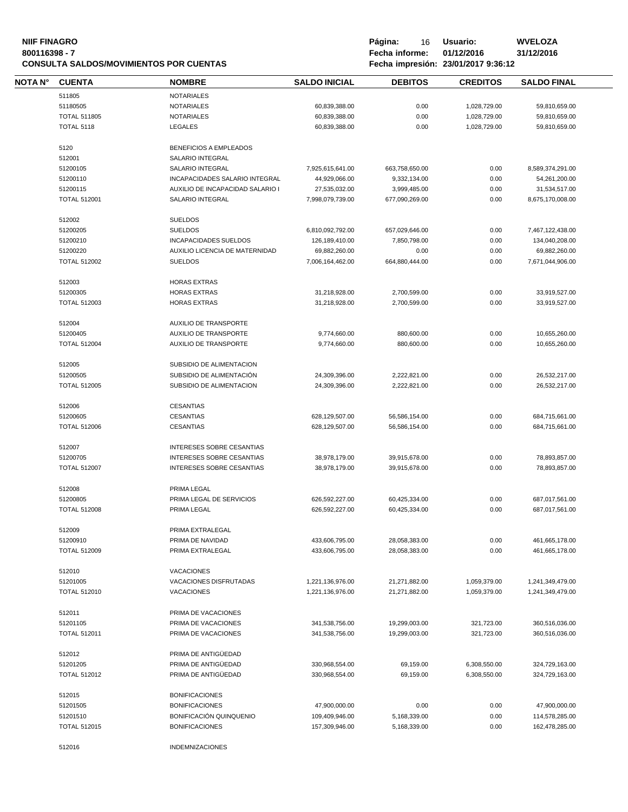# **NIIF FINAGRO P á g i n a :** 16 **U s u a r i o : WVELOZA CONSULTA SALDOS/MOVIMIENTOS POR CUENTAS**

| <b>NOTA N°</b> | <b>CUENTA</b>       | <b>NOMBRE</b>                    | <b>SALDO INICIAL</b> | <b>DEBITOS</b> | <b>CREDITOS</b> | <b>SALDO FINAL</b> |
|----------------|---------------------|----------------------------------|----------------------|----------------|-----------------|--------------------|
|                | 511805              | <b>NOTARIALES</b>                |                      |                |                 |                    |
|                | 51180505            | <b>NOTARIALES</b>                | 60,839,388.00        | 0.00           | 1,028,729.00    | 59,810,659.00      |
|                | <b>TOTAL 511805</b> | <b>NOTARIALES</b>                | 60,839,388.00        | 0.00           | 1,028,729.00    | 59,810,659.00      |
|                | <b>TOTAL 5118</b>   | <b>LEGALES</b>                   | 60,839,388.00        | 0.00           | 1,028,729.00    | 59,810,659.00      |
|                |                     |                                  |                      |                |                 |                    |
|                | 5120                | BENEFICIOS A EMPLEADOS           |                      |                |                 |                    |
|                | 512001              | SALARIO INTEGRAL                 |                      |                |                 |                    |
|                | 51200105            | SALARIO INTEGRAL                 | 7,925,615,641.00     | 663,758,650.00 | 0.00            | 8,589,374,291.00   |
|                | 51200110            | INCAPACIDADES SALARIO INTEGRAL   | 44,929,066.00        | 9,332,134.00   | 0.00            | 54,261,200.00      |
|                | 51200115            | AUXILIO DE INCAPACIDAD SALARIO I | 27,535,032.00        | 3,999,485.00   | 0.00            | 31,534,517.00      |
|                | <b>TOTAL 512001</b> | <b>SALARIO INTEGRAL</b>          | 7,998,079,739.00     | 677,090,269.00 | 0.00            | 8,675,170,008.00   |
|                |                     |                                  |                      |                |                 |                    |
|                | 512002              | <b>SUELDOS</b>                   |                      |                |                 |                    |
|                | 51200205            | <b>SUELDOS</b>                   | 6,810,092,792.00     | 657,029,646.00 | 0.00            | 7,467,122,438.00   |
|                | 51200210            | <b>INCAPACIDADES SUELDOS</b>     | 126,189,410.00       | 7,850,798.00   | 0.00            | 134,040,208.00     |
|                | 51200220            | AUXILIO LICENCIA DE MATERNIDAD   | 69,882,260.00        | 0.00           | 0.00            | 69,882,260.00      |
|                | <b>TOTAL 512002</b> | <b>SUELDOS</b>                   | 7,006,164,462.00     | 664,880,444.00 | 0.00            | 7,671,044,906.00   |
|                |                     |                                  |                      |                |                 |                    |
|                | 512003              | <b>HORAS EXTRAS</b>              |                      |                |                 |                    |
|                | 51200305            | <b>HORAS EXTRAS</b>              | 31,218,928.00        | 2,700,599.00   | 0.00            | 33,919,527.00      |
|                | <b>TOTAL 512003</b> | <b>HORAS EXTRAS</b>              | 31,218,928.00        | 2,700,599.00   | 0.00            | 33,919,527.00      |
|                | 512004              | AUXILIO DE TRANSPORTE            |                      |                |                 |                    |
|                | 51200405            | AUXILIO DE TRANSPORTE            | 9,774,660.00         | 880,600.00     | 0.00            | 10,655,260.00      |
|                | <b>TOTAL 512004</b> | AUXILIO DE TRANSPORTE            | 9,774,660.00         | 880,600.00     | 0.00            | 10,655,260.00      |
|                |                     |                                  |                      |                |                 |                    |
|                | 512005              | SUBSIDIO DE ALIMENTACION         |                      |                |                 |                    |
|                | 51200505            | SUBSIDIO DE ALIMENTACIÓN         | 24,309,396.00        | 2,222,821.00   | 0.00            | 26,532,217.00      |
|                | <b>TOTAL 512005</b> | SUBSIDIO DE ALIMENTACION         | 24,309,396.00        | 2,222,821.00   | 0.00            | 26,532,217.00      |
|                |                     |                                  |                      |                |                 |                    |
|                | 512006              | <b>CESANTIAS</b>                 |                      |                |                 |                    |
|                | 51200605            | <b>CESANTIAS</b>                 | 628,129,507.00       | 56,586,154.00  | 0.00            | 684,715,661.00     |
|                | <b>TOTAL 512006</b> | CESANTIAS                        | 628,129,507.00       | 56,586,154.00  | 0.00            | 684,715,661.00     |
|                | 512007              | <b>INTERESES SOBRE CESANTIAS</b> |                      |                |                 |                    |
|                | 51200705            | INTERESES SOBRE CESANTIAS        | 38,978,179.00        | 39,915,678.00  | 0.00            | 78,893,857.00      |
|                | <b>TOTAL 512007</b> | <b>INTERESES SOBRE CESANTIAS</b> | 38,978,179.00        | 39,915,678.00  | 0.00            | 78,893,857.00      |
|                |                     |                                  |                      |                |                 |                    |
|                | 512008              | PRIMA LEGAL                      |                      |                |                 |                    |
|                | 51200805            | PRIMA LEGAL DE SERVICIOS         | 626,592,227.00       | 60,425,334.00  | 0.00            | 687,017,561.00     |
|                | <b>TOTAL 512008</b> | PRIMA LEGAL                      | 626,592,227.00       | 60,425,334.00  | 0.00            | 687,017,561.00     |
|                |                     |                                  |                      |                |                 |                    |
|                | 512009              | PRIMA EXTRALEGAL                 |                      |                |                 |                    |
|                | 51200910            | PRIMA DE NAVIDAD                 | 433,606,795.00       | 28,058,383.00  | 0.00            | 461,665,178.00     |
|                | <b>TOTAL 512009</b> | PRIMA EXTRALEGAL                 | 433,606,795.00       | 28,058,383.00  | 0.00            | 461,665,178.00     |
|                | 512010              | <b>VACACIONES</b>                |                      |                |                 |                    |
|                |                     |                                  |                      |                |                 |                    |
|                | 51201005            | VACACIONES DISFRUTADAS           | 1,221,136,976.00     | 21,271,882.00  | 1,059,379.00    | 1,241,349,479.00   |
|                | <b>TOTAL 512010</b> | <b>VACACIONES</b>                | 1,221,136,976.00     | 21,271,882.00  | 1,059,379.00    | 1,241,349,479.00   |
|                | 512011              | PRIMA DE VACACIONES              |                      |                |                 |                    |
|                | 51201105            | PRIMA DE VACACIONES              | 341,538,756.00       | 19,299,003.00  | 321,723.00      | 360,516,036.00     |
|                | <b>TOTAL 512011</b> | PRIMA DE VACACIONES              | 341,538,756.00       | 19,299,003.00  | 321,723.00      | 360,516,036.00     |
|                |                     |                                  |                      |                |                 |                    |
|                | 512012              | PRIMA DE ANTIGÜEDAD              |                      |                |                 |                    |
|                | 51201205            | PRIMA DE ANTIGÜEDAD              | 330,968,554.00       | 69,159.00      | 6,308,550.00    | 324,729,163.00     |
|                | <b>TOTAL 512012</b> | PRIMA DE ANTIGÜEDAD              | 330,968,554.00       | 69,159.00      | 6,308,550.00    | 324,729,163.00     |
|                |                     |                                  |                      |                |                 |                    |
|                | 512015              | <b>BONIFICACIONES</b>            |                      |                |                 |                    |
|                | 51201505            | <b>BONIFICACIONES</b>            | 47,900,000.00        | 0.00           | 0.00            | 47,900,000.00      |
|                | 51201510            | BONIFICACIÓN QUINQUENIO          | 109,409,946.00       | 5,168,339.00   | 0.00            | 114,578,285.00     |
|                | <b>TOTAL 512015</b> | <b>BONIFICACIONES</b>            | 157,309,946.00       | 5,168,339.00   | 0.00            | 162,478,285.00     |
|                |                     |                                  |                      |                |                 |                    |
|                | 512016              | <b>INDEMNIZACIONES</b>           |                      |                |                 |                    |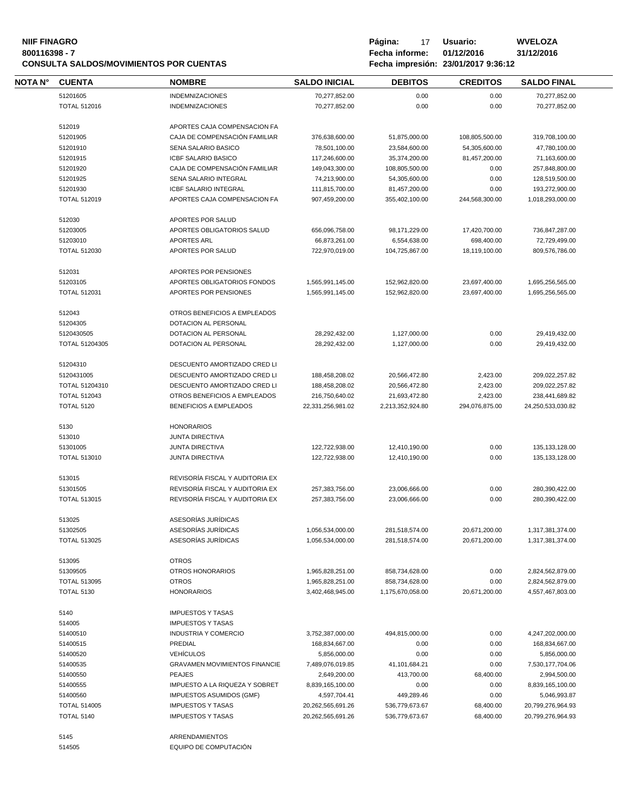#### **NIIF FINAGRO P á g i n a :** 17 **U s u a r i o : WVELOZA 800116398 - 7 Fecha informe: 01/12/2016 31/12/2016 CONSULTA SALDOS/MOVIMIENTOS POR CUENTAS Fecha impresión:** 23/01/2017 9:36:

| Página: | 17             | Usuario:                          |
|---------|----------------|-----------------------------------|
|         | Fecha informe: | 01/12/2016                        |
|         |                | Fecha impresión 23/01/2017 9:36:1 |

| <b>NOTA N°</b> | <b>CUENTA</b>       | <b>NOMBRE</b>                                        | <b>SALDO INICIAL</b>                 | <b>DEBITOS</b>   | <b>CREDITOS</b>                | <b>SALDO FINAL</b>                   |
|----------------|---------------------|------------------------------------------------------|--------------------------------------|------------------|--------------------------------|--------------------------------------|
|                | 51201605            | <b>INDEMNIZACIONES</b>                               | 70,277,852.00                        | 0.00             | 0.00                           | 70,277,852.00                        |
|                | <b>TOTAL 512016</b> | <b>INDEMNIZACIONES</b>                               | 70,277,852.00                        | 0.00             | 0.00                           | 70,277,852.00                        |
|                |                     |                                                      |                                      |                  |                                |                                      |
|                | 512019              | APORTES CAJA COMPENSACION FA                         |                                      |                  |                                |                                      |
|                | 51201905            | CAJA DE COMPENSACIÓN FAMILIAR                        | 376,638,600.00                       | 51,875,000.00    | 108,805,500.00                 | 319,708,100.00                       |
|                | 51201910            | SENA SALARIO BASICO                                  | 78,501,100.00                        | 23,584,600.00    | 54,305,600.00                  | 47,780,100.00                        |
|                | 51201915            | ICBF SALARIO BASICO                                  | 117,246,600.00                       | 35,374,200.00    | 81,457,200.00                  | 71,163,600.00                        |
|                | 51201920            | CAJA DE COMPENSACIÓN FAMILIAR                        | 149,043,300.00                       | 108,805,500.00   | 0.00                           | 257,848,800.00                       |
|                | 51201925            | SENA SALARIO INTEGRAL                                | 74,213,900.00                        | 54,305,600.00    | 0.00                           | 128,519,500.00                       |
|                | 51201930            | <b>ICBF SALARIO INTEGRAL</b>                         | 111,815,700.00                       | 81,457,200.00    | 0.00                           | 193,272,900.00                       |
|                | <b>TOTAL 512019</b> | APORTES CAJA COMPENSACION FA                         | 907,459,200.00                       | 355,402,100.00   | 244,568,300.00                 | 1,018,293,000.00                     |
|                |                     |                                                      |                                      |                  |                                |                                      |
|                | 512030              | APORTES POR SALUD                                    |                                      |                  |                                |                                      |
|                | 51203005            | APORTES OBLIGATORIOS SALUD                           | 656,096,758.00                       | 98,171,229.00    | 17,420,700.00                  | 736,847,287.00                       |
|                | 51203010            | <b>APORTES ARL</b>                                   | 66,873,261.00                        | 6,554,638.00     | 698,400.00                     | 72,729,499.00                        |
|                | <b>TOTAL 512030</b> | APORTES POR SALUD                                    | 722,970,019.00                       | 104,725,867.00   | 18,119,100.00                  | 809,576,786.00                       |
|                |                     |                                                      |                                      |                  |                                |                                      |
|                | 512031<br>51203105  | APORTES POR PENSIONES<br>APORTES OBLIGATORIOS FONDOS |                                      | 152,962,820.00   |                                |                                      |
|                | <b>TOTAL 512031</b> | APORTES POR PENSIONES                                | 1,565,991,145.00<br>1,565,991,145.00 | 152,962,820.00   | 23,697,400.00<br>23,697,400.00 | 1,695,256,565.00<br>1,695,256,565.00 |
|                |                     |                                                      |                                      |                  |                                |                                      |
|                | 512043              | OTROS BENEFICIOS A EMPLEADOS                         |                                      |                  |                                |                                      |
|                | 51204305            | DOTACION AL PERSONAL                                 |                                      |                  |                                |                                      |
|                | 5120430505          | DOTACION AL PERSONAL                                 | 28,292,432.00                        | 1,127,000.00     | 0.00                           | 29,419,432.00                        |
|                | TOTAL 51204305      | DOTACION AL PERSONAL                                 | 28,292,432.00                        | 1,127,000.00     | 0.00                           | 29,419,432.00                        |
|                |                     |                                                      |                                      |                  |                                |                                      |
|                | 51204310            | DESCUENTO AMORTIZADO CRED LI                         |                                      |                  |                                |                                      |
|                | 5120431005          | DESCUENTO AMORTIZADO CRED LI                         | 188,458,208.02                       | 20,566,472.80    | 2,423.00                       | 209,022,257.82                       |
|                | TOTAL 51204310      | DESCUENTO AMORTIZADO CRED LI                         | 188,458,208.02                       | 20,566,472.80    | 2,423.00                       | 209,022,257.82                       |
|                | <b>TOTAL 512043</b> | OTROS BENEFICIOS A EMPLEADOS                         | 216,750,640.02                       | 21,693,472.80    | 2,423.00                       | 238,441,689.82                       |
|                | <b>TOTAL 5120</b>   | BENEFICIOS A EMPLEADOS                               | 22,331,256,981.02                    | 2,213,352,924.80 | 294,076,875.00                 | 24,250,533,030.82                    |
|                |                     |                                                      |                                      |                  |                                |                                      |
|                | 5130                | <b>HONORARIOS</b>                                    |                                      |                  |                                |                                      |
|                | 513010              | <b>JUNTA DIRECTIVA</b>                               |                                      |                  |                                |                                      |
|                | 51301005            | <b>JUNTA DIRECTIVA</b>                               | 122,722,938.00                       | 12,410,190.00    | 0.00                           | 135, 133, 128.00                     |
|                | <b>TOTAL 513010</b> | <b>JUNTA DIRECTIVA</b>                               | 122,722,938.00                       | 12,410,190.00    | 0.00                           | 135, 133, 128.00                     |
|                |                     |                                                      |                                      |                  |                                |                                      |
|                | 513015              | REVISORÍA FISCAL Y AUDITORIA EX                      |                                      |                  |                                |                                      |
|                | 51301505            | REVISORÍA FISCAL Y AUDITORIA EX                      | 257,383,756.00                       | 23,006,666.00    | 0.00                           | 280,390,422.00                       |
|                | <b>TOTAL 513015</b> | REVISORÍA FISCAL Y AUDITORIA EX                      | 257,383,756.00                       | 23,006,666.00    | 0.00                           | 280,390,422.00                       |
|                | 513025              | ASESORÍAS JURÍDICAS                                  |                                      |                  |                                |                                      |
|                | 51302505            | ASESORÍAS JURÍDICAS                                  | 1,056,534,000.00                     | 281,518,574.00   | 20,671,200.00                  | 1,317,381,374.00                     |
|                | <b>TOTAL 513025</b> | ASESORÍAS JURÍDICAS                                  | 1,056,534,000.00                     | 281,518,574.00   | 20,671,200.00                  | 1,317,381,374.00                     |
|                |                     |                                                      |                                      |                  |                                |                                      |
|                | 513095              | <b>OTROS</b>                                         |                                      |                  |                                |                                      |
|                | 51309505            | OTROS HONORARIOS                                     | 1,965,828,251.00                     | 858,734,628.00   | 0.00                           | 2,824,562,879.00                     |
|                | <b>TOTAL 513095</b> | <b>OTROS</b>                                         | 1,965,828,251.00                     | 858,734,628.00   | 0.00                           | 2,824,562,879.00                     |
|                | <b>TOTAL 5130</b>   | <b>HONORARIOS</b>                                    | 3,402,468,945.00                     | 1,175,670,058.00 | 20,671,200.00                  | 4,557,467,803.00                     |
|                |                     |                                                      |                                      |                  |                                |                                      |
|                | 5140                | <b>IMPUESTOS Y TASAS</b>                             |                                      |                  |                                |                                      |
|                | 514005              | <b>IMPUESTOS Y TASAS</b>                             |                                      |                  |                                |                                      |
|                | 51400510            | <b>INDUSTRIA Y COMERCIO</b>                          | 3,752,387,000.00                     | 494,815,000.00   | 0.00                           | 4,247,202,000.00                     |
|                | 51400515            | PREDIAL                                              | 168,834,667.00                       | 0.00             | 0.00                           | 168,834,667.00                       |
|                | 51400520            | <b>VEHÍCULOS</b>                                     | 5,856,000.00                         | 0.00             | 0.00                           | 5,856,000.00                         |
|                | 51400535            | <b>GRAVAMEN MOVIMIENTOS FINANCIE</b>                 | 7,489,076,019.85                     | 41,101,684.21    | 0.00                           | 7,530,177,704.06                     |
|                | 51400550            | <b>PEAJES</b>                                        | 2,649,200.00                         | 413,700.00       | 68,400.00                      | 2,994,500.00                         |
|                | 51400555            | IMPUESTO A LA RIQUEZA Y SOBRET                       | 8,839,165,100.00                     | 0.00             | 0.00                           | 8,839,165,100.00                     |
|                | 51400560            | IMPUESTOS ASUMIDOS (GMF)                             | 4,597,704.41                         | 449,289.46       | 0.00                           | 5,046,993.87                         |
|                | <b>TOTAL 514005</b> | <b>IMPUESTOS Y TASAS</b>                             | 20,262,565,691.26                    | 536,779,673.67   | 68,400.00                      | 20,799,276,964.93                    |
|                | <b>TOTAL 5140</b>   | <b>IMPUESTOS Y TASAS</b>                             | 20,262,565,691.26                    | 536,779,673.67   | 68,400.00                      | 20,799,276,964.93                    |
|                |                     | <b>ARRENDAMIENTOS</b>                                |                                      |                  |                                |                                      |
|                | 5145<br>514505      | EQUIPO DE COMPUTACIÓN                                |                                      |                  |                                |                                      |
|                |                     |                                                      |                                      |                  |                                |                                      |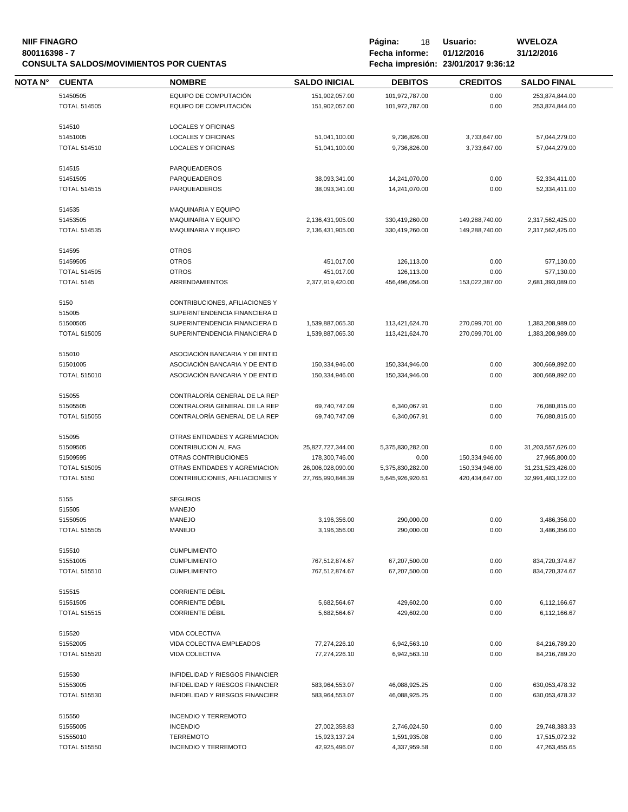# **NIIF FINAGRO P á g i n a :** 18 **U s u a r i o : WVELOZA CONSULTA SALDOS/MOVIMIENTOS POR CUENTAS**

| NOTA N° | <b>CUENTA</b>       | <b>NOMBRE</b>                   | <b>SALDO INICIAL</b> | <b>DEBITOS</b>           | <b>CREDITOS</b> | <b>SALDO FINAL</b> |
|---------|---------------------|---------------------------------|----------------------|--------------------------|-----------------|--------------------|
|         | 51450505            | EQUIPO DE COMPUTACIÓN           | 151,902,057.00       | 101,972,787.00           | 0.00            | 253,874,844.00     |
|         | <b>TOTAL 514505</b> | EQUIPO DE COMPUTACIÓN           | 151,902,057.00       | 101,972,787.00           | 0.00            | 253,874,844.00     |
|         |                     |                                 |                      |                          |                 |                    |
|         | 514510              | <b>LOCALES Y OFICINAS</b>       |                      |                          |                 |                    |
|         | 51451005            | LOCALES Y OFICINAS              | 51,041,100.00        | 9,736,826.00             | 3,733,647.00    | 57,044,279.00      |
|         | <b>TOTAL 514510</b> | LOCALES Y OFICINAS              | 51,041,100.00        | 9,736,826.00             | 3,733,647.00    | 57,044,279.00      |
|         |                     |                                 |                      |                          |                 |                    |
|         | 514515              | PARQUEADEROS                    |                      |                          |                 |                    |
|         | 51451505            | PARQUEADEROS                    | 38,093,341.00        | 14,241,070.00            | 0.00            | 52,334,411.00      |
|         | <b>TOTAL 514515</b> | PARQUEADEROS                    | 38,093,341.00        | 14,241,070.00            | 0.00            | 52,334,411.00      |
|         |                     |                                 |                      |                          |                 |                    |
|         | 514535              | <b>MAQUINARIA Y EQUIPO</b>      |                      |                          |                 |                    |
|         | 51453505            | MAQUINARIA Y EQUIPO             | 2,136,431,905.00     | 330,419,260.00           | 149,288,740.00  | 2,317,562,425.00   |
|         | <b>TOTAL 514535</b> | <b>MAQUINARIA Y EQUIPO</b>      | 2,136,431,905.00     | 330,419,260.00           | 149,288,740.00  | 2,317,562,425.00   |
|         | 514595              |                                 |                      |                          |                 |                    |
|         | 51459505            | <b>OTROS</b><br><b>OTROS</b>    | 451,017.00           |                          | 0.00            | 577,130.00         |
|         | <b>TOTAL 514595</b> | <b>OTROS</b>                    | 451,017.00           | 126,113.00<br>126,113.00 | 0.00            | 577,130.00         |
|         | <b>TOTAL 5145</b>   | ARRENDAMIENTOS                  | 2,377,919,420.00     | 456,496,056.00           | 153,022,387.00  | 2,681,393,089.00   |
|         |                     |                                 |                      |                          |                 |                    |
|         | 5150                | CONTRIBUCIONES, AFILIACIONES Y  |                      |                          |                 |                    |
|         | 515005              | SUPERINTENDENCIA FINANCIERA D   |                      |                          |                 |                    |
|         | 51500505            | SUPERINTENDENCIA FINANCIERA D   | 1,539,887,065.30     | 113,421,624.70           | 270,099,701.00  | 1,383,208,989.00   |
|         | <b>TOTAL 515005</b> | SUPERINTENDENCIA FINANCIERA D   | 1,539,887,065.30     | 113,421,624.70           | 270,099,701.00  | 1,383,208,989.00   |
|         |                     |                                 |                      |                          |                 |                    |
|         | 515010              | ASOCIACIÓN BANCARIA Y DE ENTID  |                      |                          |                 |                    |
|         | 51501005            | ASOCIACIÓN BANCARIA Y DE ENTID  | 150,334,946.00       | 150,334,946.00           | 0.00            | 300,669,892.00     |
|         | <b>TOTAL 515010</b> | ASOCIACIÓN BANCARIA Y DE ENTID  | 150,334,946.00       | 150,334,946.00           | 0.00            | 300,669,892.00     |
|         |                     |                                 |                      |                          |                 |                    |
|         | 515055              | CONTRALORÍA GENERAL DE LA REP   |                      |                          |                 |                    |
|         | 51505505            | CONTRALORIA GENERAL DE LA REP   | 69,740,747.09        | 6,340,067.91             | 0.00            | 76,080,815.00      |
|         | <b>TOTAL 515055</b> | CONTRALORÍA GENERAL DE LA REP   | 69,740,747.09        | 6,340,067.91             | 0.00            | 76,080,815.00      |
|         |                     |                                 |                      |                          |                 |                    |
|         | 515095              | OTRAS ENTIDADES Y AGREMIACION   |                      |                          |                 |                    |
|         | 51509505            | CONTRIBUCION AL FAG             | 25,827,727,344.00    | 5,375,830,282.00         | 0.00            | 31,203,557,626.00  |
|         | 51509595            | OTRAS CONTRIBUCIONES            | 178,300,746.00       | 0.00                     | 150,334,946.00  | 27,965,800.00      |
|         | <b>TOTAL 515095</b> | OTRAS ENTIDADES Y AGREMIACION   | 26,006,028,090.00    | 5,375,830,282.00         | 150,334,946.00  | 31,231,523,426.00  |
|         | <b>TOTAL 5150</b>   | CONTRIBUCIONES, AFILIACIONES Y  | 27,765,990,848.39    | 5,645,926,920.61         | 420,434,647.00  | 32,991,483,122.00  |
|         |                     | <b>SEGUROS</b>                  |                      |                          |                 |                    |
|         | 5155<br>515505      | <b>MANEJO</b>                   |                      |                          |                 |                    |
|         | 51550505            | <b>MANEJO</b>                   | 3,196,356.00         | 290,000.00               | 0.00            | 3,486,356.00       |
|         | <b>TOTAL 515505</b> | <b>MANEJO</b>                   | 3,196,356.00         | 290,000.00               | 0.00            | 3,486,356.00       |
|         |                     |                                 |                      |                          |                 |                    |
|         | 515510              | <b>CUMPLIMIENTO</b>             |                      |                          |                 |                    |
|         | 51551005            | <b>CUMPLIMIENTO</b>             | 767,512,874.67       | 67,207,500.00            | 0.00            | 834,720,374.67     |
|         | <b>TOTAL 515510</b> | <b>CUMPLIMIENTO</b>             | 767,512,874.67       | 67,207,500.00            | 0.00            | 834,720,374.67     |
|         |                     |                                 |                      |                          |                 |                    |
|         | 515515              | <b>CORRIENTE DÉBIL</b>          |                      |                          |                 |                    |
|         | 51551505            | <b>CORRIENTE DÉBIL</b>          | 5,682,564.67         | 429,602.00               | 0.00            | 6,112,166.67       |
|         | <b>TOTAL 515515</b> | <b>CORRIENTE DÉBIL</b>          | 5,682,564.67         | 429,602.00               | 0.00            | 6,112,166.67       |
|         |                     |                                 |                      |                          |                 |                    |
|         | 515520              | VIDA COLECTIVA                  |                      |                          |                 |                    |
|         | 51552005            | VIDA COLECTIVA EMPLEADOS        | 77,274,226.10        | 6,942,563.10             | 0.00            | 84,216,789.20      |
|         | <b>TOTAL 515520</b> | VIDA COLECTIVA                  | 77,274,226.10        | 6,942,563.10             | 0.00            | 84,216,789.20      |
|         |                     |                                 |                      |                          |                 |                    |
|         | 515530              | INFIDELIDAD Y RIESGOS FINANCIER |                      |                          |                 |                    |
|         | 51553005            | INFIDELIDAD Y RIESGOS FINANCIER | 583,964,553.07       | 46,088,925.25            | 0.00            | 630,053,478.32     |
|         | <b>TOTAL 515530</b> | INFIDELIDAD Y RIESGOS FINANCIER | 583,964,553.07       | 46,088,925.25            | 0.00            | 630,053,478.32     |
|         |                     |                                 |                      |                          |                 |                    |
|         | 515550              | <b>INCENDIO Y TERREMOTO</b>     |                      |                          |                 |                    |
|         | 51555005            | <b>INCENDIO</b>                 | 27,002,358.83        | 2,746,024.50             | 0.00            | 29,748,383.33      |
|         | 51555010            | <b>TERREMOTO</b>                | 15,923,137.24        | 1,591,935.08             | 0.00            | 17,515,072.32      |
|         | <b>TOTAL 515550</b> | <b>INCENDIO Y TERREMOTO</b>     | 42,925,496.07        | 4,337,959.58             | 0.00            | 47,263,455.65      |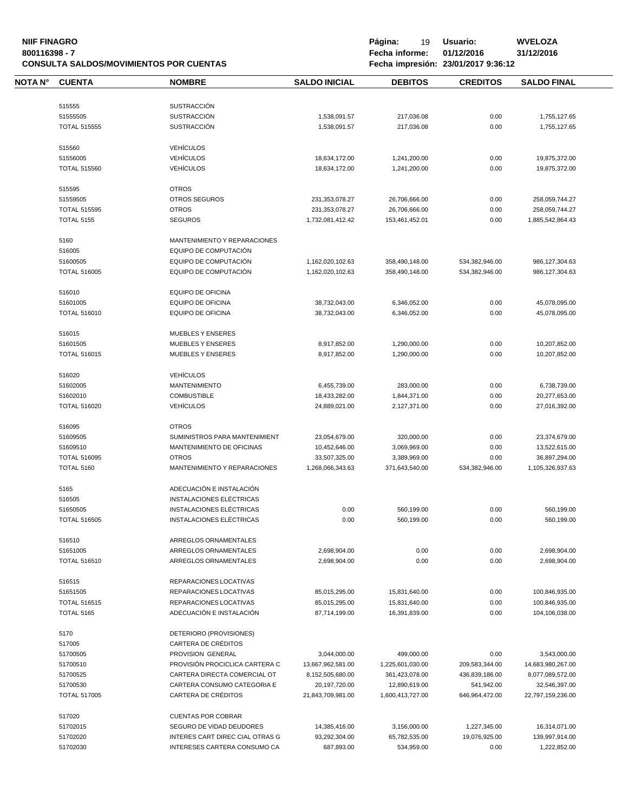# **NIIF FINAGRO P á g i n a :** 19 **U s u a r i o : WVELOZA CONSULTA SALDOS/MOVIMIENTOS POR CUENTAS**

| NOTA N° | <b>CUENTA</b>                   | <b>NOMBRE</b>                                      | <b>SALDO INICIAL</b>               | <b>DEBITOS</b>                    | <b>CREDITOS</b>              | <b>SALDO FINAL</b>                 |
|---------|---------------------------------|----------------------------------------------------|------------------------------------|-----------------------------------|------------------------------|------------------------------------|
|         |                                 |                                                    |                                    |                                   |                              |                                    |
|         | 515555                          | <b>SUSTRACCIÓN</b>                                 |                                    |                                   |                              |                                    |
|         | 51555505                        | <b>SUSTRACCIÓN</b>                                 | 1,538,091.57                       | 217,036.08                        | 0.00                         | 1,755,127.65                       |
|         | <b>TOTAL 515555</b>             | <b>SUSTRACCIÓN</b>                                 | 1,538,091.57                       | 217,036.08                        | 0.00                         | 1,755,127.65                       |
|         | 515560                          | <b>VEHÍCULOS</b>                                   |                                    |                                   |                              |                                    |
|         | 51556005                        | <b>VEHÍCULOS</b>                                   | 18,634,172.00                      | 1,241,200.00                      | 0.00                         | 19,875,372.00                      |
|         | <b>TOTAL 515560</b>             | <b>VEHÍCULOS</b>                                   |                                    | 1,241,200.00                      | 0.00                         |                                    |
|         |                                 |                                                    | 18,634,172.00                      |                                   |                              | 19,875,372.00                      |
|         | 515595                          | <b>OTROS</b>                                       |                                    |                                   |                              |                                    |
|         | 51559505                        | OTROS SEGUROS                                      | 231,353,078.27                     | 26,706,666.00                     | 0.00                         | 258,059,744.27                     |
|         | <b>TOTAL 515595</b>             | <b>OTROS</b>                                       | 231,353,078.27                     | 26,706,666.00                     | 0.00                         | 258,059,744.27                     |
|         | <b>TOTAL 5155</b>               | <b>SEGUROS</b>                                     | 1,732,081,412.42                   | 153,461,452.01                    | 0.00                         | 1,885,542,864.43                   |
|         | 5160                            | MANTENIMIENTO Y REPARACIONES                       |                                    |                                   |                              |                                    |
|         |                                 |                                                    |                                    |                                   |                              |                                    |
|         | 516005                          | EQUIPO DE COMPUTACIÓN                              |                                    |                                   |                              |                                    |
|         | 51600505                        | EQUIPO DE COMPUTACIÓN                              | 1,162,020,102.63                   | 358,490,148.00                    | 534,382,946.00               | 986,127,304.63                     |
|         | <b>TOTAL 516005</b>             | EQUIPO DE COMPUTACIÓN                              | 1,162,020,102.63                   | 358,490,148.00                    | 534,382,946.00               | 986,127,304.63                     |
|         | 516010                          | <b>EQUIPO DE OFICINA</b>                           |                                    |                                   |                              |                                    |
|         | 51601005                        | <b>EQUIPO DE OFICINA</b>                           | 38,732,043.00                      | 6,346,052.00                      | 0.00                         | 45,078,095.00                      |
|         | <b>TOTAL 516010</b>             | <b>EQUIPO DE OFICINA</b>                           | 38,732,043.00                      | 6,346,052.00                      | 0.00                         | 45,078,095.00                      |
|         |                                 |                                                    |                                    |                                   |                              |                                    |
|         | 516015                          | <b>MUEBLES Y ENSERES</b>                           |                                    |                                   |                              |                                    |
|         | 51601505                        | <b>MUEBLES Y ENSERES</b>                           | 8,917,852.00                       | 1,290,000.00                      | 0.00                         | 10,207,852.00                      |
|         | <b>TOTAL 516015</b>             | <b>MUEBLES Y ENSERES</b>                           | 8,917,852.00                       | 1,290,000.00                      | 0.00                         | 10,207,852.00                      |
|         |                                 |                                                    |                                    |                                   |                              |                                    |
|         | 516020                          | <b>VEHÍCULOS</b>                                   |                                    |                                   |                              |                                    |
|         | 51602005                        | <b>MANTENIMIENTO</b>                               | 6,455,739.00                       | 283,000.00                        | 0.00                         | 6,738,739.00                       |
|         | 51602010                        | <b>COMBUSTIBLE</b>                                 | 18,433,282.00                      | 1,844,371.00                      | 0.00                         | 20,277,653.00                      |
|         | <b>TOTAL 516020</b>             | <b>VEHÍCULOS</b>                                   | 24,889,021.00                      | 2,127,371.00                      | 0.00                         | 27,016,392.00                      |
|         | 516095                          | <b>OTROS</b>                                       |                                    |                                   |                              |                                    |
|         | 51609505                        | SUMINISTROS PARA MANTENIMIENT                      | 23,054,679.00                      | 320,000.00                        | 0.00                         | 23,374,679.00                      |
|         | 51609510                        | MANTENIMIENTO DE OFICINAS                          | 10,452,646.00                      | 3,069,969.00                      | 0.00                         | 13,522,615.00                      |
|         | <b>TOTAL 516095</b>             | <b>OTROS</b>                                       | 33,507,325.00                      | 3,389,969.00                      | 0.00                         | 36,897,294.00                      |
|         | <b>TOTAL 5160</b>               | MANTENIMIENTO Y REPARACIONES                       | 1,268,066,343.63                   | 371,643,540.00                    | 534,382,946.00               | 1,105,326,937.63                   |
|         |                                 |                                                    |                                    |                                   |                              |                                    |
|         | 5165                            | ADECUACIÓN E INSTALACIÓN                           |                                    |                                   |                              |                                    |
|         | 516505                          | INSTALACIONES ELÉCTRICAS                           |                                    |                                   |                              |                                    |
|         | 51650505                        | INSTALACIONES ELÉCTRICAS                           | 0.00                               | 560,199.00                        | 0.00                         | 560,199.00                         |
|         | <b>TOTAL 516505</b>             | INSTALACIONES ELÉCTRICAS                           | 0.00                               | 560,199.00                        | 0.00                         | 560,199.00                         |
|         | 516510                          | ARREGLOS ORNAMENTALES                              |                                    |                                   |                              |                                    |
|         | 51651005                        | ARREGLOS ORNAMENTALES                              | 2,698,904.00                       | 0.00                              | 0.00                         | 2,698,904.00                       |
|         | <b>TOTAL 516510</b>             | ARREGLOS ORNAMENTALES                              | 2,698,904.00                       | 0.00                              | 0.00                         | 2,698,904.00                       |
|         |                                 |                                                    |                                    |                                   |                              |                                    |
|         | 516515                          | REPARACIONES LOCATIVAS                             |                                    |                                   |                              |                                    |
|         | 51651505                        | REPARACIONES LOCATIVAS                             | 85,015,295.00                      | 15,831,640.00                     | 0.00                         | 100,846,935.00                     |
|         | <b>TOTAL 516515</b>             | REPARACIONES LOCATIVAS                             | 85,015,295.00                      | 15,831,640.00                     | 0.00                         | 100,846,935.00                     |
|         | <b>TOTAL 5165</b>               | ADECUACIÓN E INSTALACIÓN                           | 87,714,199.00                      | 16,391,839.00                     | 0.00                         | 104,106,038.00                     |
|         | 5170                            | DETERIORO (PROVISIONES)                            |                                    |                                   |                              |                                    |
|         | 517005                          | CARTERA DE CRÉDITOS                                |                                    |                                   |                              |                                    |
|         | 51700505                        | PROVISION GENERAL                                  | 3,044,000.00                       | 499,000.00                        | 0.00                         | 3,543,000.00                       |
|         | 51700510                        | PROVISIÓN PROCICLICA CARTERA C                     | 13,667,962,581.00                  | 1,225,601,030.00                  | 209,583,344.00               | 14,683,980,267.00                  |
|         | 51700525                        | CARTERA DIRECTA COMERCIAL OT                       | 8,152,505,680.00                   | 361,423,078.00                    | 436,839,186.00               | 8,077,089,572.00                   |
|         |                                 |                                                    |                                    |                                   |                              |                                    |
|         | 51700530<br><b>TOTAL 517005</b> | CARTERA CONSUMO CATEGORIA E<br>CARTERA DE CRÉDITOS | 20,197,720.00<br>21,843,709,981.00 | 12,890,619.00<br>1,600,413,727.00 | 541,942.00<br>646,964,472.00 | 32,546,397.00<br>22,797,159,236.00 |
|         |                                 |                                                    |                                    |                                   |                              |                                    |
|         | 517020                          | <b>CUENTAS POR COBRAR</b>                          |                                    |                                   |                              |                                    |
|         | 51702015                        | SEGURO DE VIDAD DEUDORES                           | 14,385,416.00                      | 3,156,000.00                      | 1,227,345.00                 | 16,314,071.00                      |
|         | 51702020                        | INTERES CART DIREC CIAL OTRAS G                    | 93,292,304.00                      | 65,782,535.00                     | 19,076,925.00                | 139,997,914.00                     |
|         | 51702030                        | INTERESES CARTERA CONSUMO CA                       | 687,893.00                         | 534,959.00                        | 0.00                         | 1,222,852.00                       |
|         |                                 |                                                    |                                    |                                   |                              |                                    |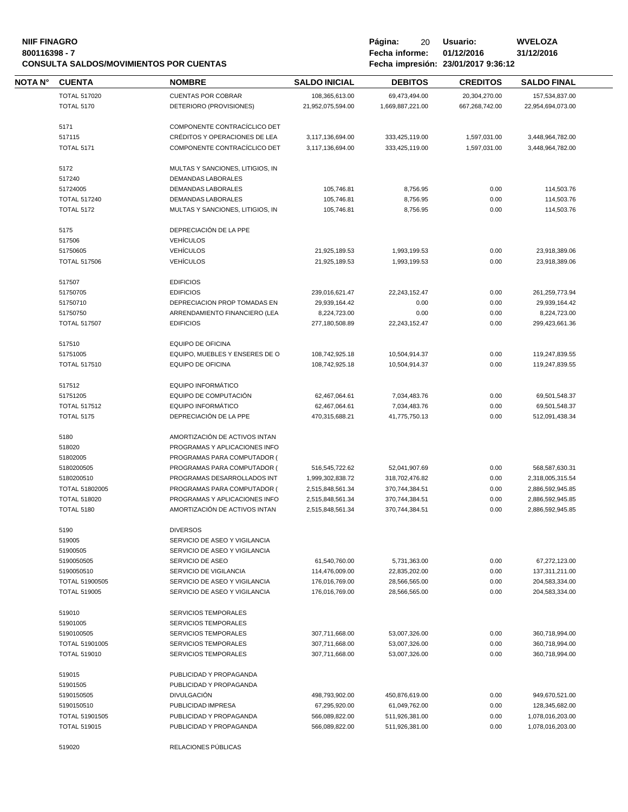#### **NIIF FINAGRO P á g i n a :** 20 **U s u a r i o : WVELOZA 800116398 - 7 Fecha informe: 01/12/2016 31/12/2016 CONSULTA SALDOS/MOVIMIENTOS POR CUENTAS Fecha impresión: 23/01/2017 9:36:12**

| Página: | 20             | Usuario:                      |  |
|---------|----------------|-------------------------------|--|
|         | Fecha informe: |                               |  |
|         |                | Eache impresión. 22/04/2017 0 |  |

| NOTA N° | <b>CUENTA</b>                            | <b>NOMBRE</b>                                                  | <b>SALDO INICIAL</b>                 | <b>DEBITOS</b>                   | <b>CREDITOS</b> | <b>SALDO FINAL</b>                   |
|---------|------------------------------------------|----------------------------------------------------------------|--------------------------------------|----------------------------------|-----------------|--------------------------------------|
|         | <b>TOTAL 517020</b>                      | <b>CUENTAS POR COBRAR</b>                                      | 108,365,613.00                       | 69,473,494.00                    | 20,304,270.00   | 157,534,837.00                       |
|         | <b>TOTAL 5170</b>                        | DETERIORO (PROVISIONES)                                        | 21,952,075,594.00                    | 1,669,887,221.00                 | 667,268,742.00  | 22,954,694,073.00                    |
|         |                                          |                                                                |                                      |                                  |                 |                                      |
|         | 5171                                     | COMPONENTE CONTRACÍCLICO DET                                   |                                      |                                  |                 |                                      |
|         | 517115                                   | CRÉDITOS Y OPERACIONES DE LEA                                  | 3,117,136,694.00                     | 333,425,119.00                   | 1,597,031.00    | 3,448,964,782.00                     |
|         | <b>TOTAL 5171</b>                        | COMPONENTE CONTRACÍCLICO DET                                   | 3,117,136,694.00                     | 333,425,119.00                   | 1,597,031.00    | 3,448,964,782.00                     |
|         | 5172                                     | MULTAS Y SANCIONES, LITIGIOS, IN                               |                                      |                                  |                 |                                      |
|         | 517240                                   | DEMANDAS LABORALES                                             |                                      |                                  |                 |                                      |
|         | 51724005                                 | <b>DEMANDAS LABORALES</b>                                      | 105,746.81                           | 8,756.95                         | 0.00            | 114,503.76                           |
|         | <b>TOTAL 517240</b>                      | <b>DEMANDAS LABORALES</b>                                      | 105,746.81                           | 8,756.95                         | 0.00            | 114,503.76                           |
|         | <b>TOTAL 5172</b>                        | MULTAS Y SANCIONES, LITIGIOS, IN                               | 105,746.81                           | 8,756.95                         | 0.00            | 114,503.76                           |
|         |                                          |                                                                |                                      |                                  |                 |                                      |
|         | 5175<br>517506                           | DEPRECIACIÓN DE LA PPE<br><b>VEHÍCULOS</b>                     |                                      |                                  |                 |                                      |
|         |                                          |                                                                |                                      |                                  |                 |                                      |
|         | 51750605                                 | <b>VEHÍCULOS</b>                                               | 21,925,189.53                        | 1,993,199.53                     | 0.00            | 23,918,389.06                        |
|         | <b>TOTAL 517506</b>                      | <b>VEHÍCULOS</b>                                               | 21,925,189.53                        | 1,993,199.53                     | 0.00            | 23,918,389.06                        |
|         | 517507                                   | <b>EDIFICIOS</b>                                               |                                      |                                  |                 |                                      |
|         | 51750705                                 | <b>EDIFICIOS</b>                                               | 239,016,621.47                       | 22,243,152.47                    | 0.00            | 261,259,773.94                       |
|         | 51750710                                 | DEPRECIACION PROP TOMADAS EN                                   | 29,939,164.42                        | 0.00                             | 0.00            | 29,939,164.42                        |
|         | 51750750                                 | ARRENDAMIENTO FINANCIERO (LEA                                  | 8,224,723.00                         | 0.00                             | 0.00            | 8,224,723.00                         |
|         | <b>TOTAL 517507</b>                      | <b>EDIFICIOS</b>                                               | 277,180,508.89                       | 22,243,152.47                    | 0.00            | 299,423,661.36                       |
|         |                                          |                                                                |                                      |                                  |                 |                                      |
|         | 517510                                   | <b>EQUIPO DE OFICINA</b>                                       |                                      |                                  |                 |                                      |
|         | 51751005                                 | EQUIPO, MUEBLES Y ENSERES DE O                                 | 108,742,925.18                       | 10,504,914.37                    | 0.00            | 119,247,839.55                       |
|         | <b>TOTAL 517510</b>                      | <b>EQUIPO DE OFICINA</b>                                       | 108,742,925.18                       | 10,504,914.37                    | 0.00            | 119,247,839.55                       |
|         | 517512                                   | EQUIPO INFORMÁTICO                                             |                                      |                                  |                 |                                      |
|         | 51751205                                 | EQUIPO DE COMPUTACIÓN                                          | 62,467,064.61                        | 7,034,483.76                     | 0.00            | 69,501,548.37                        |
|         | <b>TOTAL 517512</b>                      | <b>EQUIPO INFORMÁTICO</b>                                      | 62,467,064.61                        | 7,034,483.76                     | 0.00            | 69,501,548.37                        |
|         | <b>TOTAL 5175</b>                        | DEPRECIACIÓN DE LA PPE                                         | 470,315,688.21                       | 41,775,750.13                    | 0.00            | 512,091,438.34                       |
|         | 5180                                     | AMORTIZACIÓN DE ACTIVOS INTAN                                  |                                      |                                  |                 |                                      |
|         | 518020                                   | PROGRAMAS Y APLICACIONES INFO                                  |                                      |                                  |                 |                                      |
|         | 51802005                                 | PROGRAMAS PARA COMPUTADOR (                                    |                                      |                                  |                 |                                      |
|         | 5180200505                               | PROGRAMAS PARA COMPUTADOR (                                    |                                      | 52,041,907.69                    | 0.00            | 568,587,630.31                       |
|         | 5180200510                               | PROGRAMAS DESARROLLADOS INT                                    | 516,545,722.62                       |                                  |                 | 2,318,005,315.54                     |
|         | TOTAL 51802005                           | PROGRAMAS PARA COMPUTADOR (                                    | 1,999,302,838.72                     | 318,702,476.82                   | 0.00            |                                      |
|         |                                          |                                                                | 2,515,848,561.34                     | 370,744,384.51                   | 0.00            | 2,886,592,945.85                     |
|         | <b>TOTAL 518020</b><br><b>TOTAL 5180</b> | PROGRAMAS Y APLICACIONES INFO<br>AMORTIZACIÓN DE ACTIVOS INTAN | 2,515,848,561.34<br>2,515,848,561.34 | 370,744,384.51<br>370,744,384.51 | 0.00<br>0.00    | 2,886,592,945.85<br>2,886,592,945.85 |
|         |                                          |                                                                |                                      |                                  |                 |                                      |
|         | 5190                                     | <b>DIVERSOS</b>                                                |                                      |                                  |                 |                                      |
|         | 519005                                   | SERVICIO DE ASEO Y VIGILANCIA                                  |                                      |                                  |                 |                                      |
|         | 51900505                                 | SERVICIO DE ASEO Y VIGILANCIA                                  |                                      |                                  |                 |                                      |
|         | 5190050505                               | <b>SERVICIO DE ASEO</b>                                        | 61,540,760.00                        | 5,731,363.00                     | 0.00            | 67,272,123.00                        |
|         | 5190050510                               | SERVICIO DE VIGILANCIA                                         | 114,476,009.00                       | 22,835,202.00                    | 0.00            | 137,311,211.00                       |
|         | TOTAL 51900505                           | SERVICIO DE ASEO Y VIGILANCIA                                  | 176,016,769.00                       | 28,566,565.00                    | 0.00            | 204,583,334.00                       |
|         | <b>TOTAL 519005</b>                      | SERVICIO DE ASEO Y VIGILANCIA                                  | 176,016,769.00                       | 28,566,565.00                    | 0.00            | 204,583,334.00                       |
|         | 519010                                   | <b>SERVICIOS TEMPORALES</b>                                    |                                      |                                  |                 |                                      |
|         | 51901005                                 | SERVICIOS TEMPORALES                                           |                                      |                                  |                 |                                      |
|         | 5190100505                               | <b>SERVICIOS TEMPORALES</b>                                    | 307,711,668.00                       | 53,007,326.00                    | 0.00            | 360,718,994.00                       |
|         | <b>TOTAL 51901005</b>                    | <b>SERVICIOS TEMPORALES</b>                                    | 307,711,668.00                       | 53,007,326.00                    | 0.00            | 360,718,994.00                       |
|         | <b>TOTAL 519010</b>                      | SERVICIOS TEMPORALES                                           | 307,711,668.00                       | 53,007,326.00                    | 0.00            | 360,718,994.00                       |
|         |                                          |                                                                |                                      |                                  |                 |                                      |
|         | 519015                                   | PUBLICIDAD Y PROPAGANDA                                        |                                      |                                  |                 |                                      |
|         | 51901505                                 | PUBLICIDAD Y PROPAGANDA                                        |                                      |                                  |                 |                                      |
|         | 5190150505                               | <b>DIVULGACIÓN</b>                                             | 498,793,902.00                       | 450,876,619.00                   | 0.00            | 949,670,521.00                       |
|         | 5190150510                               | PUBLICIDAD IMPRESA                                             | 67,295,920.00                        | 61,049,762.00                    | 0.00            | 128,345,682.00                       |
|         | <b>TOTAL 51901505</b>                    | PUBLICIDAD Y PROPAGANDA                                        | 566,089,822.00                       | 511,926,381.00                   | 0.00            | 1,078,016,203.00                     |
|         | <b>TOTAL 519015</b>                      | PUBLICIDAD Y PROPAGANDA                                        | 566,089,822.00                       | 511,926,381.00                   | 0.00            | 1,078,016,203.00                     |
|         | 519020                                   | RELACIONES PÚBLICAS                                            |                                      |                                  |                 |                                      |
|         |                                          |                                                                |                                      |                                  |                 |                                      |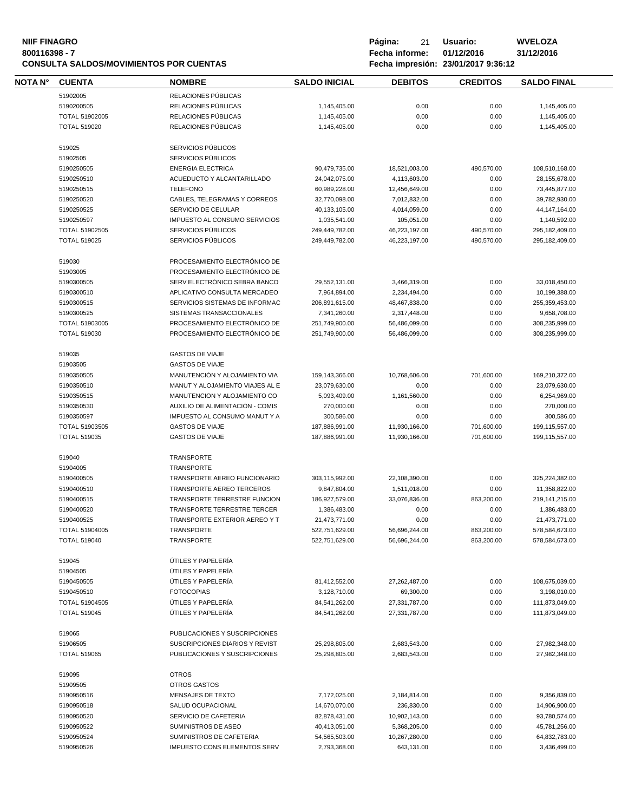#### **NIIF FINAGRO P á g i n a :** 21 **U s u a r i o : WVELOZA CONSULTA SALDOS/MOVIMIENTOS POR CUENTAS**

| <b>NOTA N°</b> | <b>CUENTA</b>       | <b>NOMBRE</b>                       | <b>SALDO INICIAL</b> | <b>DEBITOS</b> | <b>CREDITOS</b> | <b>SALDO FINAL</b> |
|----------------|---------------------|-------------------------------------|----------------------|----------------|-----------------|--------------------|
|                | 51902005            | RELACIONES PÚBLICAS                 |                      |                |                 |                    |
|                | 5190200505          | RELACIONES PÚBLICAS                 | 1,145,405.00         | 0.00           | 0.00            | 1,145,405.00       |
|                | TOTAL 51902005      | RELACIONES PÚBLICAS                 | 1,145,405.00         | 0.00           | 0.00            | 1,145,405.00       |
|                | <b>TOTAL 519020</b> | RELACIONES PÚBLICAS                 |                      | 0.00           | 0.00            |                    |
|                |                     |                                     | 1,145,405.00         |                |                 | 1,145,405.00       |
|                | 519025              | SERVICIOS PÚBLICOS                  |                      |                |                 |                    |
|                | 51902505            | SERVICIOS PÚBLICOS                  |                      |                |                 |                    |
|                | 5190250505          | <b>ENERGIA ELECTRICA</b>            | 90,479,735.00        | 18,521,003.00  | 490,570.00      | 108,510,168.00     |
|                | 5190250510          | ACUEDUCTO Y ALCANTARILLADO          | 24,042,075.00        | 4,113,603.00   | 0.00            | 28,155,678.00      |
|                | 5190250515          | <b>TELEFONO</b>                     | 60,989,228.00        | 12,456,649.00  | 0.00            | 73,445,877.00      |
|                | 5190250520          | CABLES, TELEGRAMAS Y CORREOS        | 32,770,098.00        | 7,012,832.00   | 0.00            | 39,782,930.00      |
|                | 5190250525          | SERVICIO DE CELULAR                 | 40,133,105.00        | 4,014,059.00   | 0.00            | 44, 147, 164.00    |
|                | 5190250597          | IMPUESTO AL CONSUMO SERVICIOS       | 1,035,541.00         | 105,051.00     | 0.00            | 1,140,592.00       |
|                | TOTAL 51902505      | SERVICIOS PÚBLICOS                  | 249,449,782.00       | 46,223,197.00  | 490,570.00      | 295,182,409.00     |
|                | <b>TOTAL 519025</b> | SERVICIOS PÚBLICOS                  | 249,449,782.00       | 46,223,197.00  | 490,570.00      | 295,182,409.00     |
|                | 519030              | PROCESAMIENTO ELECTRÓNICO DE        |                      |                |                 |                    |
|                |                     |                                     |                      |                |                 |                    |
|                | 51903005            | PROCESAMIENTO ELECTRÓNICO DE        |                      |                |                 |                    |
|                | 5190300505          | SERV ELECTRÓNICO SEBRA BANCO        | 29,552,131.00        | 3,466,319.00   | 0.00            | 33,018,450.00      |
|                | 5190300510          | APLICATIVO CONSULTA MERCADEO        | 7,964,894.00         | 2,234,494.00   | 0.00            | 10,199,388.00      |
|                | 5190300515          | SERVICIOS SISTEMAS DE INFORMAC      | 206,891,615.00       | 48,467,838.00  | 0.00            | 255,359,453.00     |
|                | 5190300525          | SISTEMAS TRANSACCIONALES            | 7,341,260.00         | 2,317,448.00   | 0.00            | 9,658,708.00       |
|                | TOTAL 51903005      | PROCESAMIENTO ELECTRÓNICO DE        | 251,749,900.00       | 56,486,099.00  | 0.00            | 308,235,999.00     |
|                | <b>TOTAL 519030</b> | PROCESAMIENTO ELECTRÓNICO DE        | 251,749,900.00       | 56,486,099.00  | 0.00            | 308,235,999.00     |
|                | 519035              | <b>GASTOS DE VIAJE</b>              |                      |                |                 |                    |
|                | 51903505            | <b>GASTOS DE VIAJE</b>              |                      |                |                 |                    |
|                | 5190350505          | MANUTENCIÓN Y ALOJAMIENTO VIA       | 159,143,366.00       | 10,768,606.00  | 701,600.00      | 169,210,372.00     |
|                | 5190350510          | MANUT Y ALOJAMIENTO VIAJES AL E     | 23,079,630.00        | 0.00           | 0.00            | 23,079,630.00      |
|                | 5190350515          | MANUTENCION Y ALOJAMIENTO CO        | 5,093,409.00         | 1,161,560.00   | 0.00            | 6,254,969.00       |
|                | 5190350530          | AUXILIO DE ALIMENTACIÓN - COMIS     | 270,000.00           | 0.00           | 0.00            | 270,000.00         |
|                | 5190350597          | IMPUESTO AL CONSUMO MANUT Y A       |                      |                |                 | 300,586.00         |
|                |                     |                                     | 300,586.00           | 0.00           | 0.00            |                    |
|                | TOTAL 51903505      | <b>GASTOS DE VIAJE</b>              | 187,886,991.00       | 11,930,166.00  | 701,600.00      | 199,115,557.00     |
|                | <b>TOTAL 519035</b> | <b>GASTOS DE VIAJE</b>              | 187,886,991.00       | 11,930,166.00  | 701,600.00      | 199,115,557.00     |
|                | 519040              | TRANSPORTE                          |                      |                |                 |                    |
|                | 51904005            | <b>TRANSPORTE</b>                   |                      |                |                 |                    |
|                | 5190400505          | TRANSPORTE AEREO FUNCIONARIO        | 303,115,992.00       | 22,108,390.00  | 0.00            | 325,224,382.00     |
|                | 5190400510          | <b>TRANSPORTE AEREO TERCEROS</b>    | 9,847,804.00         | 1,511,018.00   | 0.00            | 11,358,822.00      |
|                | 5190400515          | TRANSPORTE TERRESTRE FUNCION        | 186,927,579.00       | 33,076,836.00  | 863,200.00      | 219,141,215.00     |
|                | 5190400520          | TRANSPORTE TERRESTRE TERCER         | 1,386,483.00         | 0.00           | 0.00            | 1,386,483.00       |
|                | 5190400525          | TRANSPORTE EXTERIOR AEREO Y T       | 21.473.771.00        | 0.00           | 0.00            | 21,473,771.00      |
|                | TOTAL 51904005      | <b>TRANSPORTE</b>                   | 522,751,629.00       | 56,696,244.00  | 863,200.00      | 578,584,673.00     |
|                | <b>TOTAL 519040</b> | <b>TRANSPORTE</b>                   | 522,751,629.00       | 56,696,244.00  | 863,200.00      | 578,584,673.00     |
|                | 519045              | ÚTILES Y PAPELERÍA                  |                      |                |                 |                    |
|                | 51904505            | ÚTILES Y PAPELERÍA                  |                      |                |                 |                    |
|                |                     | ÚTILES Y PAPELERÍA                  |                      |                |                 |                    |
|                | 5190450505          |                                     | 81,412,552.00        | 27,262,487.00  | 0.00            | 108,675,039.00     |
|                | 5190450510          | <b>FOTOCOPIAS</b>                   | 3,128,710.00         | 69,300.00      | 0.00            | 3,198,010.00       |
|                | TOTAL 51904505      | ÚTILES Y PAPELERÍA                  | 84,541,262.00        | 27,331,787.00  | 0.00            | 111,873,049.00     |
|                | <b>TOTAL 519045</b> | ÚTILES Y PAPELERÍA                  | 84,541,262.00        | 27,331,787.00  | 0.00            | 111,873,049.00     |
|                | 519065              | PUBLICACIONES Y SUSCRIPCIONES       |                      |                |                 |                    |
|                | 51906505            | SUSCRIPCIONES DIARIOS Y REVIST      | 25,298,805.00        | 2,683,543.00   | 0.00            | 27,982,348.00      |
|                | <b>TOTAL 519065</b> | PUBLICACIONES Y SUSCRIPCIONES       | 25,298,805.00        | 2,683,543.00   | 0.00            | 27,982,348.00      |
|                | 519095              | <b>OTROS</b>                        |                      |                |                 |                    |
|                | 51909505            | OTROS GASTOS                        |                      |                |                 |                    |
|                | 5190950516          | MENSAJES DE TEXTO                   | 7,172,025.00         | 2,184,814.00   | 0.00            | 9,356,839.00       |
|                | 5190950518          | SALUD OCUPACIONAL                   | 14,670,070.00        | 236,830.00     | 0.00            | 14,906,900.00      |
|                | 5190950520          | SERVICIO DE CAFETERIA               | 82,878,431.00        | 10,902,143.00  | 0.00            | 93,780,574.00      |
|                |                     |                                     |                      |                |                 |                    |
|                | 5190950522          | SUMINISTROS DE ASEO                 | 40,413,051.00        | 5,368,205.00   | 0.00            | 45,781,256.00      |
|                | 5190950524          | SUMINISTROS DE CAFETERIA            | 54,565,503.00        | 10,267,280.00  | 0.00            | 64,832,783.00      |
|                | 5190950526          | <b>IMPUESTO CONS ELEMENTOS SERV</b> | 2,793,368.00         | 643,131.00     | 0.00            | 3,436,499.00       |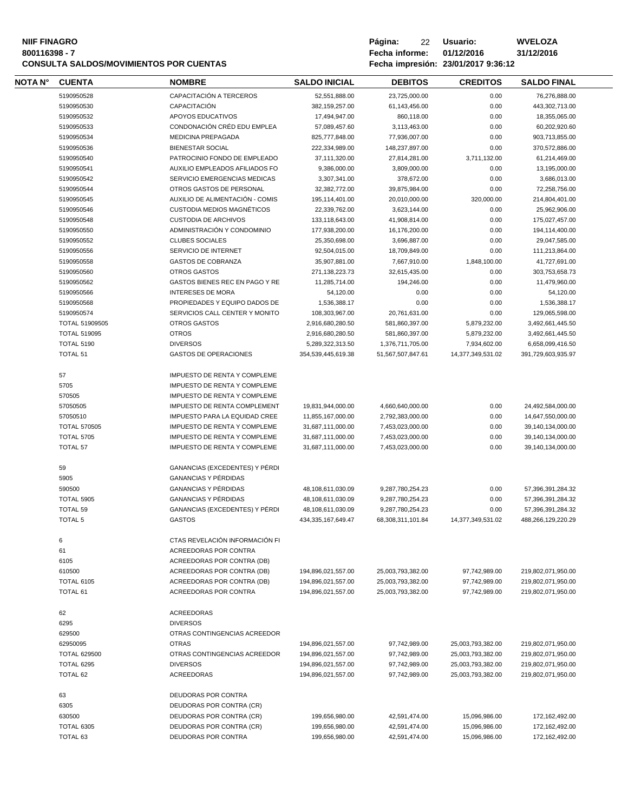#### **800116398 - 7 Fecha informe: 01/12/2016 31/12/2016 CONSULTA SALDOS/MOVIMIENTOS POR CUENTAS**

| <b>NIIF FINAGRO</b><br>800116398 - 7 | <b>CONSULTA SALDOS/MOVIMIENTOS POR CUENTAS</b> |               |                      | Página:<br>Fecha informe: | 22 | Usuario:<br>01/12/2016<br>Fecha impresión: 23/01/2017 9:36:12 | <b>WVELOZA</b><br>31/12/2016 |
|--------------------------------------|------------------------------------------------|---------------|----------------------|---------------------------|----|---------------------------------------------------------------|------------------------------|
| IOTA N°                              | <b>CUENTA</b>                                  | <b>NOMBRE</b> | <b>SALDO INICIAL</b> | DEBITOS                   |    | <b>CREDITOS</b>                                               | <b>SALDO FI</b>              |

| NOTA N° | <b>CUENTA</b>       | <b>NOMBRE</b>                       | <b>SALDO INICIAL</b>   | <b>DEBITOS</b>    | <b>CREDITOS</b>   | <b>SALDO FINAL</b> |  |
|---------|---------------------|-------------------------------------|------------------------|-------------------|-------------------|--------------------|--|
|         | 5190950528          | CAPACITACIÓN A TERCEROS             | 52,551,888.00          | 23,725,000.00     | 0.00              | 76,276,888.00      |  |
|         | 5190950530          | CAPACITACIÓN                        | 382,159,257.00         | 61,143,456.00     | 0.00              | 443,302,713.00     |  |
|         | 5190950532          | APOYOS EDUCATIVOS                   | 17,494,947.00          | 860,118.00        | 0.00              | 18,355,065.00      |  |
|         | 5190950533          | CONDONACIÓN CRÉD EDU EMPLEA         | 57,089,457.60          | 3,113,463.00      | 0.00              | 60,202,920.60      |  |
|         | 5190950534          | MEDICINA PREPAGADA                  | 825,777,848.00         | 77,936,007.00     | 0.00              | 903,713,855.00     |  |
|         | 5190950536          | <b>BIENESTAR SOCIAL</b>             | 222,334,989.00         | 148,237,897.00    | 0.00              | 370,572,886.00     |  |
|         | 5190950540          | PATROCINIO FONDO DE EMPLEADO        | 37,111,320.00          | 27,814,281.00     | 3,711,132.00      | 61,214,469.00      |  |
|         | 5190950541          | AUXILIO EMPLEADOS AFILIADOS FO      | 9,386,000.00           | 3,809,000.00      | 0.00              | 13,195,000.00      |  |
|         | 5190950542          | SERVICIO EMERGENCIAS MEDICAS        | 3,307,341.00           | 378,672.00        | 0.00              | 3,686,013.00       |  |
|         | 5190950544          | OTROS GASTOS DE PERSONAL            | 32,382,772.00          | 39,875,984.00     | 0.00              | 72,258,756.00      |  |
|         | 5190950545          | AUXILIO DE ALIMENTACIÓN - COMIS     | 195,114,401.00         | 20,010,000.00     | 320,000.00        | 214,804,401.00     |  |
|         | 5190950546          | CUSTODIA MEDIOS MAGNÉTICOS          | 22,339,762.00          | 3,623,144.00      | 0.00              | 25,962,906.00      |  |
|         | 5190950548          | <b>CUSTODIA DE ARCHIVOS</b>         | 133,118,643.00         | 41,908,814.00     | 0.00              | 175,027,457.00     |  |
|         | 5190950550          | ADMINISTRACIÓN Y CONDOMINIO         | 177,938,200.00         | 16,176,200.00     | 0.00              | 194,114,400.00     |  |
|         | 5190950552          | <b>CLUBES SOCIALES</b>              | 25,350,698.00          | 3,696,887.00      | 0.00              | 29,047,585.00      |  |
|         | 5190950556          | SERVICIO DE INTERNET                | 92,504,015.00          | 18,709,849.00     | 0.00              | 111,213,864.00     |  |
|         | 5190950558          | <b>GASTOS DE COBRANZA</b>           | 35,907,881.00          | 7,667,910.00      | 1,848,100.00      | 41,727,691.00      |  |
|         | 5190950560          | <b>OTROS GASTOS</b>                 | 271,138,223.73         | 32,615,435.00     | 0.00              | 303,753,658.73     |  |
|         | 5190950562          | GASTOS BIENES REC EN PAGO Y RE      | 11,285,714.00          | 194,246.00        | 0.00              | 11,479,960.00      |  |
|         | 5190950566          | <b>INTERESES DE MORA</b>            | 54,120.00              | 0.00              | 0.00              | 54,120.00          |  |
|         | 5190950568          | PROPIEDADES Y EQUIPO DADOS DE       | 1,536,388.17           | 0.00              | 0.00              | 1,536,388.17       |  |
|         | 5190950574          | SERVICIOS CALL CENTER Y MONITO      | 108,303,967.00         | 20,761,631.00     | 0.00              | 129,065,598.00     |  |
|         | TOTAL 51909505      | <b>OTROS GASTOS</b>                 | 2,916,680,280.50       | 581,860,397.00    | 5,879,232.00      | 3,492,661,445.50   |  |
|         | <b>TOTAL 519095</b> | <b>OTROS</b>                        | 2,916,680,280.50       | 581,860,397.00    | 5,879,232.00      | 3,492,661,445.50   |  |
|         | <b>TOTAL 5190</b>   | <b>DIVERSOS</b>                     | 5,289,322,313.50       | 1,376,711,705.00  | 7,934,602.00      | 6,658,099,416.50   |  |
|         | <b>TOTAL 51</b>     | <b>GASTOS DE OPERACIONES</b>        | 354,539,445,619.38     | 51,567,507,847.61 | 14,377,349,531.02 | 391,729,603,935.97 |  |
|         |                     |                                     |                        |                   |                   |                    |  |
|         | 57                  | <b>IMPUESTO DE RENTA Y COMPLEME</b> |                        |                   |                   |                    |  |
|         | 5705                | <b>IMPUESTO DE RENTA Y COMPLEME</b> |                        |                   |                   |                    |  |
|         | 570505              | IMPUESTO DE RENTA Y COMPLEME        |                        |                   |                   |                    |  |
|         | 57050505            | IMPUESTO DE RENTA COMPLEMENT        | 19,831,944,000.00      | 4,660,640,000.00  | 0.00              | 24,492,584,000.00  |  |
|         | 57050510            | IMPUESTO PARA LA EQUIDAD CREE       | 11,855,167,000.00      | 2,792,383,000.00  | 0.00              | 14,647,550,000.00  |  |
|         | <b>TOTAL 570505</b> | IMPUESTO DE RENTA Y COMPLEME        | 31,687,111,000.00      | 7,453,023,000.00  | 0.00              | 39,140,134,000.00  |  |
|         | <b>TOTAL 5705</b>   | IMPUESTO DE RENTA Y COMPLEME        | 31,687,111,000.00      | 7,453,023,000.00  | 0.00              | 39,140,134,000.00  |  |
|         | <b>TOTAL 57</b>     | <b>IMPUESTO DE RENTA Y COMPLEME</b> | 31,687,111,000.00      | 7,453,023,000.00  | 0.00              | 39,140,134,000.00  |  |
|         |                     |                                     |                        |                   |                   |                    |  |
|         | 59                  | GANANCIAS (EXCEDENTES) Y PÉRDI      |                        |                   |                   |                    |  |
|         | 5905                | <b>GANANCIAS Y PÉRDIDAS</b>         |                        |                   |                   |                    |  |
|         | 590500              | <b>GANANCIAS Y PÉRDIDAS</b>         | 48,108,611,030.09      | 9,287,780,254.23  | 0.00              | 57,396,391,284.32  |  |
|         | <b>TOTAL 5905</b>   | <b>GANANCIAS Y PÉRDIDAS</b>         | 48,108,611,030.09      | 9,287,780,254.23  | 0.00              | 57,396,391,284.32  |  |
|         | <b>TOTAL 59</b>     | GANANCIAS (EXCEDENTES) Y PÉRDI      | 48,108,611,030.09      | 9,287,780,254.23  | 0.00              | 57,396,391,284.32  |  |
|         | <b>TOTAL 5</b>      | <b>GASTOS</b>                       | 434, 335, 167, 649. 47 | 68.308.311.101.84 | 14,377,349,531.02 | 488,266,129,220.29 |  |
|         |                     |                                     |                        |                   |                   |                    |  |
|         | 6                   | CTAS REVELACIÓN INFORMACIÓN FI      |                        |                   |                   |                    |  |
|         | 61                  | ACREEDORAS POR CONTRA               |                        |                   |                   |                    |  |
|         | 6105                | ACREEDORAS POR CONTRA (DB)          |                        |                   |                   |                    |  |
|         | 610500              | ACREEDORAS POR CONTRA (DB)          | 194,896,021,557.00     | 25,003,793,382.00 | 97,742,989.00     | 219,802,071,950.00 |  |
|         | <b>TOTAL 6105</b>   | ACREEDORAS POR CONTRA (DB)          | 194,896,021,557.00     | 25,003,793,382.00 | 97,742,989.00     | 219,802,071,950.00 |  |
|         | <b>TOTAL 61</b>     | ACREEDORAS POR CONTRA               | 194,896,021,557.00     | 25,003,793,382.00 | 97,742,989.00     | 219,802,071,950.00 |  |
|         |                     |                                     |                        |                   |                   |                    |  |
|         | 62                  | ACREEDORAS                          |                        |                   |                   |                    |  |
|         | 6295                | <b>DIVERSOS</b>                     |                        |                   |                   |                    |  |
|         | 629500              | OTRAS CONTINGENCIAS ACREEDOR        |                        |                   |                   |                    |  |
|         | 62950095            | <b>OTRAS</b>                        | 194,896,021,557.00     | 97,742,989.00     | 25,003,793,382.00 | 219,802,071,950.00 |  |
|         | <b>TOTAL 629500</b> | OTRAS CONTINGENCIAS ACREEDOR        | 194,896,021,557.00     | 97,742,989.00     | 25,003,793,382.00 | 219,802,071,950.00 |  |
|         | TOTAL 6295          | <b>DIVERSOS</b>                     | 194,896,021,557.00     | 97,742,989.00     | 25,003,793,382.00 | 219,802,071,950.00 |  |
|         | TOTAL 62            | ACREEDORAS                          | 194,896,021,557.00     | 97,742,989.00     | 25,003,793,382.00 | 219,802,071,950.00 |  |
|         |                     |                                     |                        |                   |                   |                    |  |
|         | 63                  | DEUDORAS POR CONTRA                 |                        |                   |                   |                    |  |
|         | 6305                | DEUDORAS POR CONTRA (CR)            |                        |                   |                   |                    |  |
|         | 630500              | DEUDORAS POR CONTRA (CR)            | 199,656,980.00         | 42,591,474.00     | 15,096,986.00     | 172,162,492.00     |  |
|         | TOTAL 6305          | DEUDORAS POR CONTRA (CR)            | 199,656,980.00         | 42,591,474.00     | 15,096,986.00     | 172,162,492.00     |  |
|         | TOTAL 63            | DEUDORAS POR CONTRA                 | 199,656,980.00         | 42,591,474.00     | 15,096,986.00     | 172,162,492.00     |  |
|         |                     |                                     |                        |                   |                   |                    |  |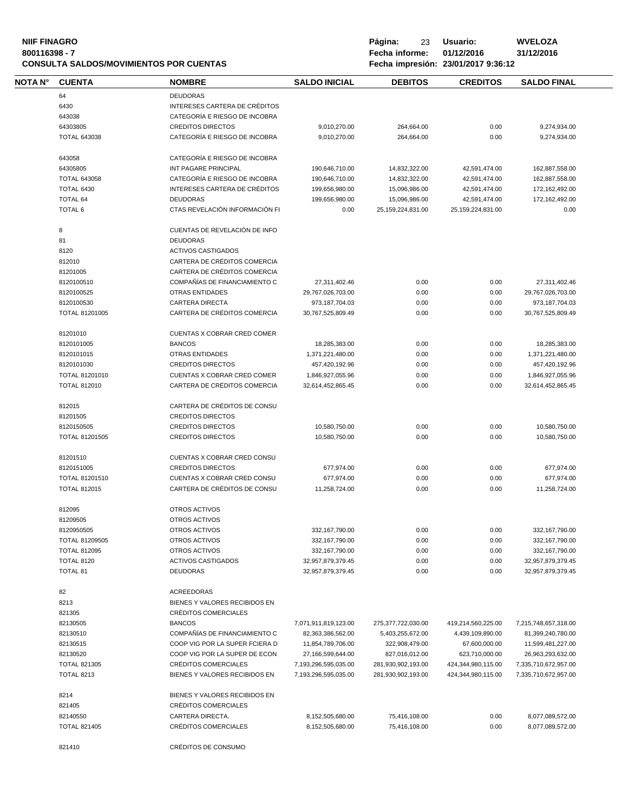# **NIIF FINAGRO P á g i n a :** 23 **U s u a r i o : WVELOZA CONSULTA SALDOS/MOVIMIENTOS POR CUENTAS**

| NOTA N° | <b>CUENTA</b>         | <b>NOMBRE</b>                                    | <b>SALDO INICIAL</b> | <b>DEBITOS</b>       | <b>CREDITOS</b>      | <b>SALDO FINAL</b>   |
|---------|-----------------------|--------------------------------------------------|----------------------|----------------------|----------------------|----------------------|
|         | 64                    | <b>DEUDORAS</b>                                  |                      |                      |                      |                      |
|         | 6430                  | INTERESES CARTERA DE CRÉDITOS                    |                      |                      |                      |                      |
|         | 643038                | CATEGORÍA E RIESGO DE INCOBRA                    |                      |                      |                      |                      |
|         | 64303805              | <b>CREDITOS DIRECTOS</b>                         | 9,010,270.00         | 264,664.00           | 0.00                 | 9,274,934.00         |
|         | <b>TOTAL 643038</b>   | CATEGORÍA E RIESGO DE INCOBRA                    | 9,010,270.00         | 264,664.00           | 0.00                 | 9,274,934.00         |
|         |                       |                                                  |                      |                      |                      |                      |
|         | 643058                | CATEGORÍA E RIESGO DE INCOBRA                    |                      |                      |                      |                      |
|         | 64305805              | INT PAGARE PRINCIPAL                             | 190,646,710.00       | 14,832,322.00        | 42,591,474.00        | 162,887,558.00       |
|         | <b>TOTAL 643058</b>   | CATEGORÍA E RIESGO DE INCOBRA                    | 190,646,710.00       | 14,832,322.00        | 42,591,474.00        | 162,887,558.00       |
|         | <b>TOTAL 6430</b>     | INTERESES CARTERA DE CRÉDITOS                    | 199,656,980.00       | 15,096,986.00        | 42,591,474.00        | 172,162,492.00       |
|         | <b>TOTAL 64</b>       | <b>DEUDORAS</b>                                  | 199,656,980.00       | 15,096,986.00        | 42,591,474.00        | 172,162,492.00       |
|         | <b>TOTAL 6</b>        | CTAS REVELACIÓN INFORMACIÓN FI                   | 0.00                 | 25, 159, 224, 831.00 | 25, 159, 224, 831.00 | 0.00                 |
|         |                       |                                                  |                      |                      |                      |                      |
|         | 8<br>81               | CUENTAS DE REVELACIÓN DE INFO<br><b>DEUDORAS</b> |                      |                      |                      |                      |
|         |                       |                                                  |                      |                      |                      |                      |
|         | 8120                  | <b>ACTIVOS CASTIGADOS</b>                        |                      |                      |                      |                      |
|         | 812010                | CARTERA DE CRÉDITOS COMERCIA                     |                      |                      |                      |                      |
|         | 81201005              | CARTERA DE CRÉDITOS COMERCIA                     |                      |                      |                      |                      |
|         | 8120100510            | COMPAÑÍAS DE FINANCIAMIENTO C                    | 27,311,402.46        | 0.00                 | 0.00                 | 27,311,402.46        |
|         | 8120100525            | <b>OTRAS ENTIDADES</b>                           | 29,767,026,703.00    | 0.00                 | 0.00                 | 29,767,026,703.00    |
|         | 8120100530            | <b>CARTERA DIRECTA</b>                           | 973,187,704.03       | 0.00                 | 0.00                 | 973,187,704.03       |
|         | <b>TOTAL 81201005</b> | CARTERA DE CRÉDITOS COMERCIA                     | 30,767,525,809.49    | 0.00                 | 0.00                 | 30,767,525,809.49    |
|         | 81201010              | CUENTAS X COBRAR CRED COMER                      |                      |                      |                      |                      |
|         |                       |                                                  |                      |                      |                      |                      |
|         | 8120101005            | <b>BANCOS</b>                                    | 18,285,383.00        | 0.00                 | 0.00                 | 18,285,383.00        |
|         | 8120101015            | <b>OTRAS ENTIDADES</b>                           | 1,371,221,480.00     | 0.00                 | 0.00                 | 1,371,221,480.00     |
|         | 8120101030            | <b>CREDITOS DIRECTOS</b>                         | 457,420,192.96       | 0.00                 | 0.00                 | 457,420,192.96       |
|         | TOTAL 81201010        | CUENTAS X COBRAR CRED COMER                      | 1,846,927,055.96     | 0.00                 | 0.00                 | 1,846,927,055.96     |
|         | <b>TOTAL 812010</b>   | CARTERA DE CRÉDITOS COMERCIA                     | 32,614,452,865.45    | 0.00                 | 0.00                 | 32,614,452,865.45    |
|         | 812015                | CARTERA DE CRÉDITOS DE CONSU                     |                      |                      |                      |                      |
|         | 81201505              | <b>CREDITOS DIRECTOS</b>                         |                      |                      |                      |                      |
|         | 8120150505            | <b>CREDITOS DIRECTOS</b>                         | 10,580,750.00        | 0.00                 | 0.00                 | 10,580,750.00        |
|         | <b>TOTAL 81201505</b> | <b>CREDITOS DIRECTOS</b>                         | 10,580,750.00        | 0.00                 | 0.00                 | 10,580,750.00        |
|         |                       |                                                  |                      |                      |                      |                      |
|         | 81201510              | CUENTAS X COBRAR CRED CONSU                      |                      |                      |                      |                      |
|         | 8120151005            | <b>CREDITOS DIRECTOS</b>                         | 677,974.00           | 0.00                 | 0.00                 | 677,974.00           |
|         | TOTAL 81201510        | CUENTAS X COBRAR CRED CONSU                      | 677,974.00           | 0.00                 | 0.00                 | 677,974.00           |
|         | <b>TOTAL 812015</b>   | CARTERA DE CRÉDITOS DE CONSU                     | 11,258,724.00        | 0.00                 | 0.00                 | 11,258,724.00        |
|         | 812095                | OTROS ACTIVOS                                    |                      |                      |                      |                      |
|         | 81209505              | OTROS ACTIVOS                                    |                      |                      |                      |                      |
|         | 8120950505            | OTROS ACTIVOS                                    | 332,167,790.00       | 0.00                 | 0.00                 | 332, 167, 790.00     |
|         | TOTAL 81209505        | OTROS ACTIVOS                                    |                      | 0.00                 | 0.00                 |                      |
|         |                       |                                                  | 332,167,790.00       |                      |                      | 332, 167, 790.00     |
|         | <b>TOTAL 812095</b>   | OTROS ACTIVOS                                    | 332,167,790.00       | 0.00                 | 0.00                 | 332, 167, 790.00     |
|         | <b>TOTAL 8120</b>     | <b>ACTIVOS CASTIGADOS</b>                        | 32,957,879,379.45    | 0.00                 | 0.00                 | 32,957,879,379.45    |
|         | <b>TOTAL 81</b>       | <b>DEUDORAS</b>                                  | 32,957,879,379.45    | 0.00                 | 0.00                 | 32,957,879,379.45    |
|         | 82                    | ACREEDORAS                                       |                      |                      |                      |                      |
|         | 8213                  | BIENES Y VALORES RECIBIDOS EN                    |                      |                      |                      |                      |
|         | 821305                | CRÉDITOS COMERCIALES                             |                      |                      |                      |                      |
|         | 82130505              | <b>BANCOS</b>                                    | 7,071,911,819,123.00 | 275,377,722,030.00   | 419,214,560,225.00   | 7,215,748,657,318.00 |
|         | 82130510              | COMPAÑÍAS DE FINANCIAMIENTO C                    | 82,363,386,562.00    | 5,403,255,672.00     | 4,439,109,890.00     | 81,399,240,780.00    |
|         | 82130515              | COOP VIG POR LA SUPER FCIERA D                   | 11,854,789,706.00    | 322,908,479.00       | 67,600,000.00        | 11,599,481,227.00    |
|         |                       |                                                  |                      |                      |                      |                      |
|         | 82130520              | COOP VIG POR LA SUPER DE ECON                    | 27,166,599,644.00    | 827,016,012.00       | 623,710,000.00       | 26,963,293,632.00    |
|         | <b>TOTAL 821305</b>   | CRÉDITOS COMERCIALES                             | 7,193,296,595,035.00 | 281,930,902,193.00   | 424,344,980,115.00   | 7,335,710,672,957.00 |
|         | <b>TOTAL 8213</b>     | BIENES Y VALORES RECIBIDOS EN                    | 7,193,296,595,035.00 | 281,930,902,193.00   | 424,344,980,115.00   | 7,335,710,672,957.00 |
|         | 8214                  | BIENES Y VALORES RECIBIDOS EN                    |                      |                      |                      |                      |
|         | 821405                | CRÉDITOS COMERCIALES                             |                      |                      |                      |                      |
|         | 82140550              | CARTERA DIRECTA.                                 | 8,152,505,680.00     | 75,416,108.00        | 0.00                 | 8,077,089,572.00     |
|         | <b>TOTAL 821405</b>   | CRÉDITOS COMERCIALES                             | 8,152,505,680.00     | 75,416,108.00        | 0.00                 | 8,077,089,572.00     |
|         |                       |                                                  |                      |                      |                      |                      |
|         | 821410                | CRÉDITOS DE CONSUMO                              |                      |                      |                      |                      |